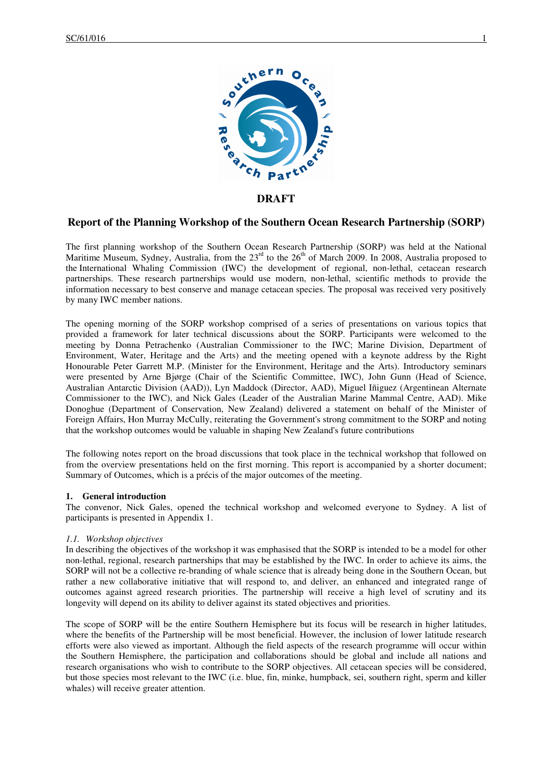

# **DRAFT**

# **Report of the Planning Workshop of the Southern Ocean Research Partnership (SORP)**

The first planning workshop of the Southern Ocean Research Partnership (SORP) was held at the National Maritime Museum, Sydney, Australia, from the  $23<sup>rd</sup>$  to the  $26<sup>th</sup>$  of March 2009. In 2008, Australia proposed to the International Whaling Commission (IWC) the development of regional, non-lethal, cetacean research partnerships. These research partnerships would use modern, non-lethal, scientific methods to provide the information necessary to best conserve and manage cetacean species. The proposal was received very positively by many IWC member nations.

The opening morning of the SORP workshop comprised of a series of presentations on various topics that provided a framework for later technical discussions about the SORP. Participants were welcomed to the meeting by Donna Petrachenko (Australian Commissioner to the IWC; Marine Division, Department of Environment, Water, Heritage and the Arts) and the meeting opened with a keynote address by the Right Honourable Peter Garrett M.P. (Minister for the Environment, Heritage and the Arts). Introductory seminars were presented by Arne Bjørge (Chair of the Scientific Committee, IWC), John Gunn (Head of Science, Australian Antarctic Division (AAD)), Lyn Maddock (Director, AAD), Miguel Iñiguez (Argentinean Alternate Commissioner to the IWC), and Nick Gales (Leader of the Australian Marine Mammal Centre, AAD). Mike Donoghue (Department of Conservation, New Zealand) delivered a statement on behalf of the Minister of Foreign Affairs, Hon Murray McCully, reiterating the Government's strong commitment to the SORP and noting that the workshop outcomes would be valuable in shaping New Zealand's future contributions

The following notes report on the broad discussions that took place in the technical workshop that followed on from the overview presentations held on the first morning. This report is accompanied by a shorter document; Summary of Outcomes, which is a précis of the major outcomes of the meeting.

#### **1. General introduction**

The convenor, Nick Gales, opened the technical workshop and welcomed everyone to Sydney. A list of participants is presented in Appendix 1.

#### *1.1. Workshop objectives*

In describing the objectives of the workshop it was emphasised that the SORP is intended to be a model for other non-lethal, regional, research partnerships that may be established by the IWC. In order to achieve its aims, the SORP will not be a collective re-branding of whale science that is already being done in the Southern Ocean, but rather a new collaborative initiative that will respond to, and deliver, an enhanced and integrated range of outcomes against agreed research priorities. The partnership will receive a high level of scrutiny and its longevity will depend on its ability to deliver against its stated objectives and priorities.

The scope of SORP will be the entire Southern Hemisphere but its focus will be research in higher latitudes, where the benefits of the Partnership will be most beneficial. However, the inclusion of lower latitude research efforts were also viewed as important. Although the field aspects of the research programme will occur within the Southern Hemisphere, the participation and collaborations should be global and include all nations and research organisations who wish to contribute to the SORP objectives. All cetacean species will be considered, but those species most relevant to the IWC (i.e. blue, fin, minke, humpback, sei, southern right, sperm and killer whales) will receive greater attention.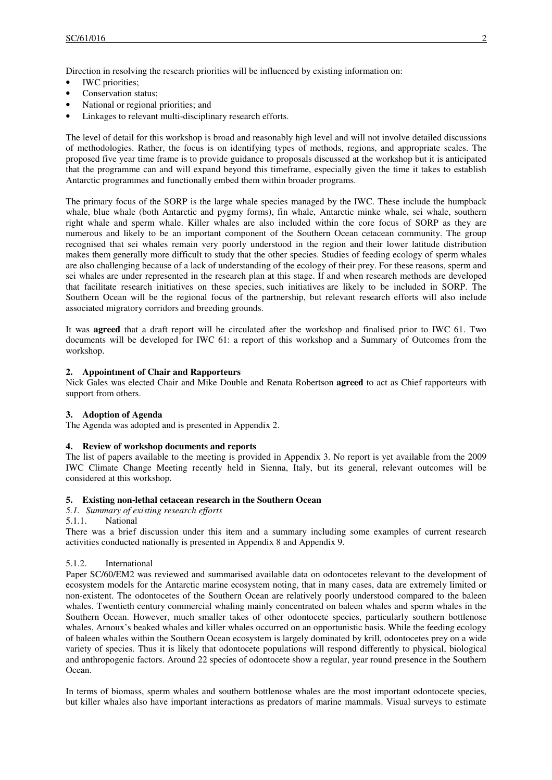Direction in resolving the research priorities will be influenced by existing information on:

- IWC priorities;
- Conservation status;
- National or regional priorities; and
- Linkages to relevant multi-disciplinary research efforts.

The level of detail for this workshop is broad and reasonably high level and will not involve detailed discussions of methodologies. Rather, the focus is on identifying types of methods, regions, and appropriate scales. The proposed five year time frame is to provide guidance to proposals discussed at the workshop but it is anticipated that the programme can and will expand beyond this timeframe, especially given the time it takes to establish Antarctic programmes and functionally embed them within broader programs.

The primary focus of the SORP is the large whale species managed by the IWC. These include the humpback whale, blue whale (both Antarctic and pygmy forms), fin whale, Antarctic minke whale, sei whale, southern right whale and sperm whale. Killer whales are also included within the core focus of SORP as they are numerous and likely to be an important component of the Southern Ocean cetacean community. The group recognised that sei whales remain very poorly understood in the region and their lower latitude distribution makes them generally more difficult to study that the other species. Studies of feeding ecology of sperm whales are also challenging because of a lack of understanding of the ecology of their prey. For these reasons, sperm and sei whales are under represented in the research plan at this stage. If and when research methods are developed that facilitate research initiatives on these species, such initiatives are likely to be included in SORP. The Southern Ocean will be the regional focus of the partnership, but relevant research efforts will also include associated migratory corridors and breeding grounds.

It was **agreed** that a draft report will be circulated after the workshop and finalised prior to IWC 61. Two documents will be developed for IWC 61: a report of this workshop and a Summary of Outcomes from the workshop.

## **2. Appointment of Chair and Rapporteurs**

Nick Gales was elected Chair and Mike Double and Renata Robertson **agreed** to act as Chief rapporteurs with support from others.

## **3. Adoption of Agenda**

The Agenda was adopted and is presented in Appendix 2.

## **4. Review of workshop documents and reports**

The list of papers available to the meeting is provided in Appendix 3. No report is yet available from the 2009 IWC Climate Change Meeting recently held in Sienna, Italy, but its general, relevant outcomes will be considered at this workshop.

#### **5. Existing non-lethal cetacean research in the Southern Ocean**

- *5.1. Summary of existing research efforts*
- 5.1.1. National

There was a brief discussion under this item and a summary including some examples of current research activities conducted nationally is presented in Appendix 8 and Appendix 9.

#### 5.1.2. International

Paper SC/60/EM2 was reviewed and summarised available data on odontocetes relevant to the development of ecosystem models for the Antarctic marine ecosystem noting, that in many cases, data are extremely limited or non-existent. The odontocetes of the Southern Ocean are relatively poorly understood compared to the baleen whales. Twentieth century commercial whaling mainly concentrated on baleen whales and sperm whales in the Southern Ocean. However, much smaller takes of other odontocete species, particularly southern bottlenose whales, Arnoux's beaked whales and killer whales occurred on an opportunistic basis. While the feeding ecology of baleen whales within the Southern Ocean ecosystem is largely dominated by krill, odontocetes prey on a wide variety of species. Thus it is likely that odontocete populations will respond differently to physical, biological and anthropogenic factors. Around 22 species of odontocete show a regular, year round presence in the Southern Ocean.

In terms of biomass, sperm whales and southern bottlenose whales are the most important odontocete species, but killer whales also have important interactions as predators of marine mammals. Visual surveys to estimate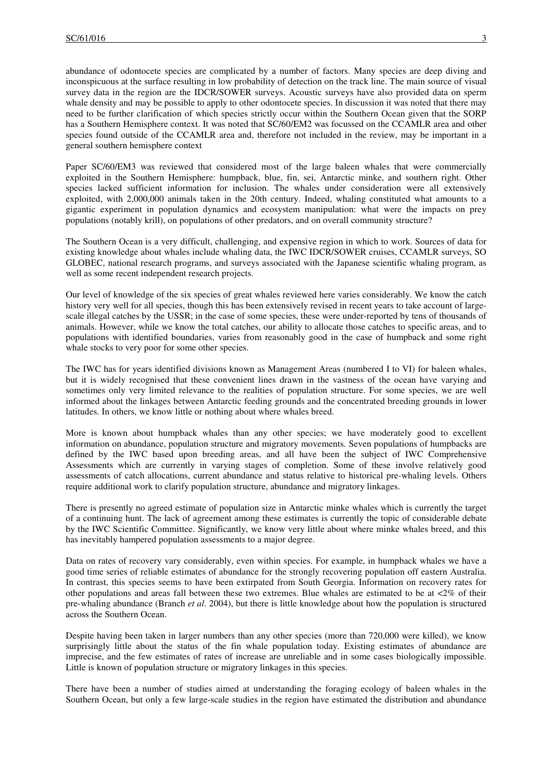abundance of odontocete species are complicated by a number of factors. Many species are deep diving and inconspicuous at the surface resulting in low probability of detection on the track line. The main source of visual survey data in the region are the IDCR/SOWER surveys. Acoustic surveys have also provided data on sperm whale density and may be possible to apply to other odontocete species. In discussion it was noted that there may need to be further clarification of which species strictly occur within the Southern Ocean given that the SORP has a Southern Hemisphere context. It was noted that SC/60/EM2 was focussed on the CCAMLR area and other species found outside of the CCAMLR area and, therefore not included in the review, may be important in a general southern hemisphere context

Paper SC/60/EM3 was reviewed that considered most of the large baleen whales that were commercially exploited in the Southern Hemisphere: humpback, blue, fin, sei, Antarctic minke, and southern right. Other species lacked sufficient information for inclusion. The whales under consideration were all extensively exploited, with 2,000,000 animals taken in the 20th century. Indeed, whaling constituted what amounts to a gigantic experiment in population dynamics and ecosystem manipulation: what were the impacts on prey populations (notably krill), on populations of other predators, and on overall community structure?

The Southern Ocean is a very difficult, challenging, and expensive region in which to work. Sources of data for existing knowledge about whales include whaling data, the IWC IDCR/SOWER cruises, CCAMLR surveys, SO GLOBEC, national research programs, and surveys associated with the Japanese scientific whaling program, as well as some recent independent research projects.

Our level of knowledge of the six species of great whales reviewed here varies considerably. We know the catch history very well for all species, though this has been extensively revised in recent years to take account of largescale illegal catches by the USSR; in the case of some species, these were under-reported by tens of thousands of animals. However, while we know the total catches, our ability to allocate those catches to specific areas, and to populations with identified boundaries, varies from reasonably good in the case of humpback and some right whale stocks to very poor for some other species.

The IWC has for years identified divisions known as Management Areas (numbered I to VI) for baleen whales, but it is widely recognised that these convenient lines drawn in the vastness of the ocean have varying and sometimes only very limited relevance to the realities of population structure. For some species, we are well informed about the linkages between Antarctic feeding grounds and the concentrated breeding grounds in lower latitudes. In others, we know little or nothing about where whales breed.

More is known about humpback whales than any other species; we have moderately good to excellent information on abundance, population structure and migratory movements. Seven populations of humpbacks are defined by the IWC based upon breeding areas, and all have been the subject of IWC Comprehensive Assessments which are currently in varying stages of completion. Some of these involve relatively good assessments of catch allocations, current abundance and status relative to historical pre-whaling levels. Others require additional work to clarify population structure, abundance and migratory linkages.

There is presently no agreed estimate of population size in Antarctic minke whales which is currently the target of a continuing hunt. The lack of agreement among these estimates is currently the topic of considerable debate by the IWC Scientific Committee. Significantly, we know very little about where minke whales breed, and this has inevitably hampered population assessments to a major degree.

Data on rates of recovery vary considerably, even within species. For example, in humpback whales we have a good time series of reliable estimates of abundance for the strongly recovering population off eastern Australia. In contrast, this species seems to have been extirpated from South Georgia. Information on recovery rates for other populations and areas fall between these two extremes. Blue whales are estimated to be at <2% of their pre-whaling abundance (Branch *et al*. 2004), but there is little knowledge about how the population is structured across the Southern Ocean.

Despite having been taken in larger numbers than any other species (more than 720,000 were killed), we know surprisingly little about the status of the fin whale population today. Existing estimates of abundance are imprecise, and the few estimates of rates of increase are unreliable and in some cases biologically impossible. Little is known of population structure or migratory linkages in this species.

There have been a number of studies aimed at understanding the foraging ecology of baleen whales in the Southern Ocean, but only a few large-scale studies in the region have estimated the distribution and abundance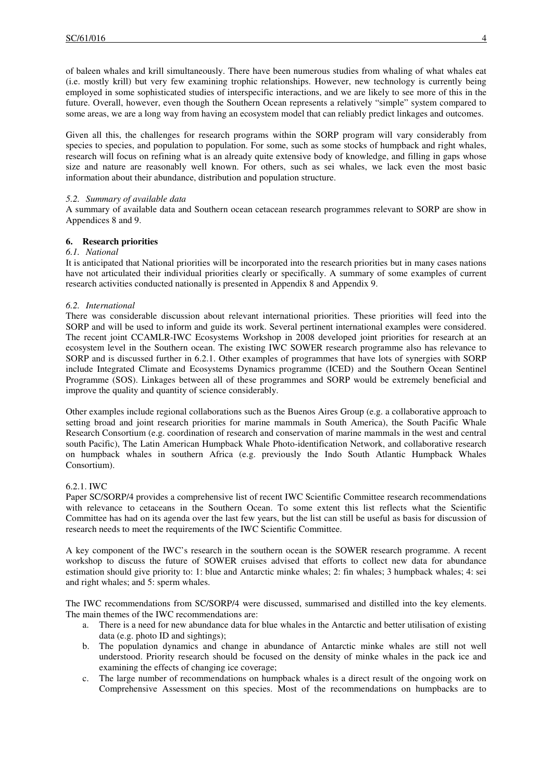of baleen whales and krill simultaneously. There have been numerous studies from whaling of what whales eat (i.e. mostly krill) but very few examining trophic relationships. However, new technology is currently being employed in some sophisticated studies of interspecific interactions, and we are likely to see more of this in the future. Overall, however, even though the Southern Ocean represents a relatively "simple" system compared to some areas, we are a long way from having an ecosystem model that can reliably predict linkages and outcomes.

Given all this, the challenges for research programs within the SORP program will vary considerably from species to species, and population to population. For some, such as some stocks of humpback and right whales, research will focus on refining what is an already quite extensive body of knowledge, and filling in gaps whose size and nature are reasonably well known. For others, such as sei whales, we lack even the most basic information about their abundance, distribution and population structure.

## *5.2. Summary of available data*

A summary of available data and Southern ocean cetacean research programmes relevant to SORP are show in Appendices 8 and 9.

## **6. Research priorities**

## *6.1. National*

It is anticipated that National priorities will be incorporated into the research priorities but in many cases nations have not articulated their individual priorities clearly or specifically. A summary of some examples of current research activities conducted nationally is presented in Appendix 8 and Appendix 9.

## *6.2. International*

There was considerable discussion about relevant international priorities. These priorities will feed into the SORP and will be used to inform and guide its work. Several pertinent international examples were considered. The recent joint CCAMLR-IWC Ecosystems Workshop in 2008 developed joint priorities for research at an ecosystem level in the Southern ocean. The existing IWC SOWER research programme also has relevance to SORP and is discussed further in 6.2.1. Other examples of programmes that have lots of synergies with SORP include Integrated Climate and Ecosystems Dynamics programme (ICED) and the Southern Ocean Sentinel Programme (SOS). Linkages between all of these programmes and SORP would be extremely beneficial and improve the quality and quantity of science considerably.

Other examples include regional collaborations such as the Buenos Aires Group (e.g. a collaborative approach to setting broad and joint research priorities for marine mammals in South America), the South Pacific Whale Research Consortium (e.g. coordination of research and conservation of marine mammals in the west and central south Pacific), The Latin American Humpback Whale Photo-identification Network, and collaborative research on humpback whales in southern Africa (e.g. previously the Indo South Atlantic Humpback Whales Consortium).

#### 6.2.1. IWC

Paper SC/SORP/4 provides a comprehensive list of recent IWC Scientific Committee research recommendations with relevance to cetaceans in the Southern Ocean. To some extent this list reflects what the Scientific Committee has had on its agenda over the last few years, but the list can still be useful as basis for discussion of research needs to meet the requirements of the IWC Scientific Committee.

A key component of the IWC's research in the southern ocean is the SOWER research programme. A recent workshop to discuss the future of SOWER cruises advised that efforts to collect new data for abundance estimation should give priority to: 1: blue and Antarctic minke whales; 2: fin whales; 3 humpback whales; 4: sei and right whales; and 5: sperm whales.

The IWC recommendations from SC/SORP/4 were discussed, summarised and distilled into the key elements. The main themes of the IWC recommendations are:

- a. There is a need for new abundance data for blue whales in the Antarctic and better utilisation of existing data (e.g. photo ID and sightings);
- b. The population dynamics and change in abundance of Antarctic minke whales are still not well understood. Priority research should be focused on the density of minke whales in the pack ice and examining the effects of changing ice coverage;
- c. The large number of recommendations on humpback whales is a direct result of the ongoing work on Comprehensive Assessment on this species. Most of the recommendations on humpbacks are to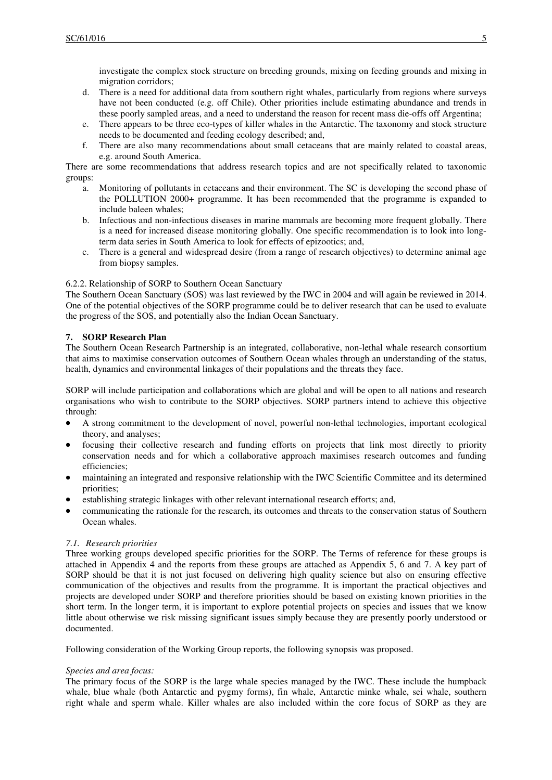investigate the complex stock structure on breeding grounds, mixing on feeding grounds and mixing in migration corridors;

- d. There is a need for additional data from southern right whales, particularly from regions where surveys have not been conducted (e.g. off Chile). Other priorities include estimating abundance and trends in these poorly sampled areas, and a need to understand the reason for recent mass die-offs off Argentina;
- e. There appears to be three eco-types of killer whales in the Antarctic. The taxonomy and stock structure needs to be documented and feeding ecology described; and,
- f. There are also many recommendations about small cetaceans that are mainly related to coastal areas, e.g. around South America.

There are some recommendations that address research topics and are not specifically related to taxonomic groups:

- a. Monitoring of pollutants in cetaceans and their environment. The SC is developing the second phase of the POLLUTION 2000+ programme. It has been recommended that the programme is expanded to include baleen whales;
- b. Infectious and non-infectious diseases in marine mammals are becoming more frequent globally. There is a need for increased disease monitoring globally. One specific recommendation is to look into longterm data series in South America to look for effects of epizootics; and,
- c. There is a general and widespread desire (from a range of research objectives) to determine animal age from biopsy samples.

## 6.2.2. Relationship of SORP to Southern Ocean Sanctuary

The Southern Ocean Sanctuary (SOS) was last reviewed by the IWC in 2004 and will again be reviewed in 2014. One of the potential objectives of the SORP programme could be to deliver research that can be used to evaluate the progress of the SOS, and potentially also the Indian Ocean Sanctuary.

## **7. SORP Research Plan**

The Southern Ocean Research Partnership is an integrated, collaborative, non-lethal whale research consortium that aims to maximise conservation outcomes of Southern Ocean whales through an understanding of the status, health, dynamics and environmental linkages of their populations and the threats they face.

SORP will include participation and collaborations which are global and will be open to all nations and research organisations who wish to contribute to the SORP objectives. SORP partners intend to achieve this objective through:

- A strong commitment to the development of novel, powerful non-lethal technologies, important ecological theory, and analyses;
- focusing their collective research and funding efforts on projects that link most directly to priority conservation needs and for which a collaborative approach maximises research outcomes and funding efficiencies;
- maintaining an integrated and responsive relationship with the IWC Scientific Committee and its determined priorities;
- establishing strategic linkages with other relevant international research efforts; and,
- communicating the rationale for the research, its outcomes and threats to the conservation status of Southern Ocean whales.

## *7.1. Research priorities*

Three working groups developed specific priorities for the SORP. The Terms of reference for these groups is attached in Appendix 4 and the reports from these groups are attached as Appendix 5, 6 and 7. A key part of SORP should be that it is not just focused on delivering high quality science but also on ensuring effective communication of the objectives and results from the programme. It is important the practical objectives and projects are developed under SORP and therefore priorities should be based on existing known priorities in the short term. In the longer term, it is important to explore potential projects on species and issues that we know little about otherwise we risk missing significant issues simply because they are presently poorly understood or documented.

Following consideration of the Working Group reports, the following synopsis was proposed.

## *Species and area focus:*

The primary focus of the SORP is the large whale species managed by the IWC. These include the humpback whale, blue whale (both Antarctic and pygmy forms), fin whale, Antarctic minke whale, sei whale, southern right whale and sperm whale. Killer whales are also included within the core focus of SORP as they are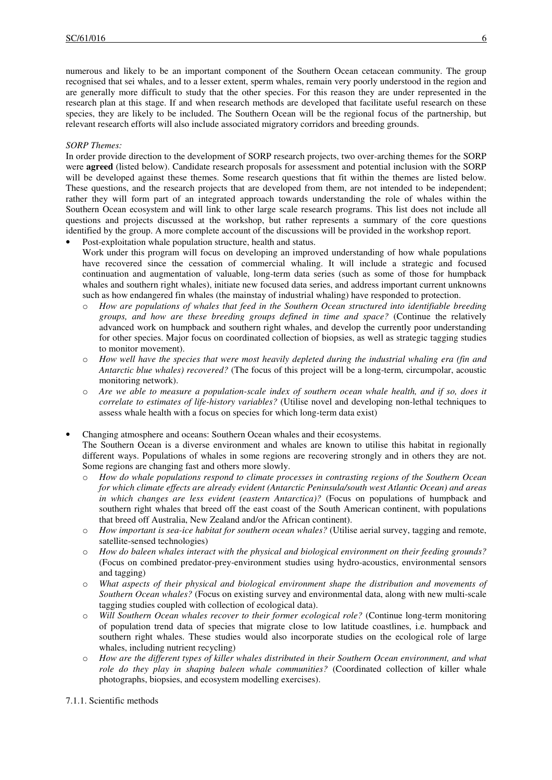numerous and likely to be an important component of the Southern Ocean cetacean community. The group recognised that sei whales, and to a lesser extent, sperm whales, remain very poorly understood in the region and are generally more difficult to study that the other species. For this reason they are under represented in the research plan at this stage. If and when research methods are developed that facilitate useful research on these species, they are likely to be included. The Southern Ocean will be the regional focus of the partnership, but relevant research efforts will also include associated migratory corridors and breeding grounds.

## *SORP Themes:*

In order provide direction to the development of SORP research projects, two over-arching themes for the SORP were **agreed** (listed below). Candidate research proposals for assessment and potential inclusion with the SORP will be developed against these themes. Some research questions that fit within the themes are listed below. These questions, and the research projects that are developed from them, are not intended to be independent; rather they will form part of an integrated approach towards understanding the role of whales within the Southern Ocean ecosystem and will link to other large scale research programs. This list does not include all questions and projects discussed at the workshop, but rather represents a summary of the core questions identified by the group. A more complete account of the discussions will be provided in the workshop report.

Post-exploitation whale population structure, health and status.

Work under this program will focus on developing an improved understanding of how whale populations have recovered since the cessation of commercial whaling. It will include a strategic and focused continuation and augmentation of valuable, long-term data series (such as some of those for humpback whales and southern right whales), initiate new focused data series, and address important current unknowns such as how endangered fin whales (the mainstay of industrial whaling) have responded to protection.

- How are populations of whales that feed in the Southern Ocean structured into identifiable breeding *groups, and how are these breeding groups defined in time and space?* (Continue the relatively advanced work on humpback and southern right whales, and develop the currently poor understanding for other species. Major focus on coordinated collection of biopsies, as well as strategic tagging studies to monitor movement).
- o *How well have the species that were most heavily depleted during the industrial whaling era (fin and Antarctic blue whales) recovered?* (The focus of this project will be a long-term, circumpolar, acoustic monitoring network).
- o *Are we able to measure a population-scale index of southern ocean whale health, and if so, does it correlate to estimates of life-history variables?* (Utilise novel and developing non-lethal techniques to assess whale health with a focus on species for which long-term data exist)
- Changing atmosphere and oceans: Southern Ocean whales and their ecosystems. The Southern Ocean is a diverse environment and whales are known to utilise this habitat in regionally different ways. Populations of whales in some regions are recovering strongly and in others they are not. Some regions are changing fast and others more slowly.
	- o *How do whale populations respond to climate processes in contrasting regions of the Southern Ocean for which climate effects are already evident (Antarctic Peninsula/south west Atlantic Ocean) and areas in which changes are less evident (eastern Antarctica)?* (Focus on populations of humpback and southern right whales that breed off the east coast of the South American continent, with populations that breed off Australia, New Zealand and/or the African continent).
	- o *How important is sea-ice habitat for southern ocean whales?* (Utilise aerial survey, tagging and remote, satellite-sensed technologies)
	- o *How do baleen whales interact with the physical and biological environment on their feeding grounds?*  (Focus on combined predator-prey-environment studies using hydro-acoustics, environmental sensors and tagging)
	- o *What aspects of their physical and biological environment shape the distribution and movements of Southern Ocean whales?* (Focus on existing survey and environmental data, along with new multi-scale tagging studies coupled with collection of ecological data).
	- o *Will Southern Ocean whales recover to their former ecological role?* (Continue long-term monitoring of population trend data of species that migrate close to low latitude coastlines, i.e. humpback and southern right whales. These studies would also incorporate studies on the ecological role of large whales, including nutrient recycling)
	- o *How are the different types of killer whales distributed in their Southern Ocean environment, and what role do they play in shaping baleen whale communities?* (Coordinated collection of killer whale photographs, biopsies, and ecosystem modelling exercises).

7.1.1. Scientific methods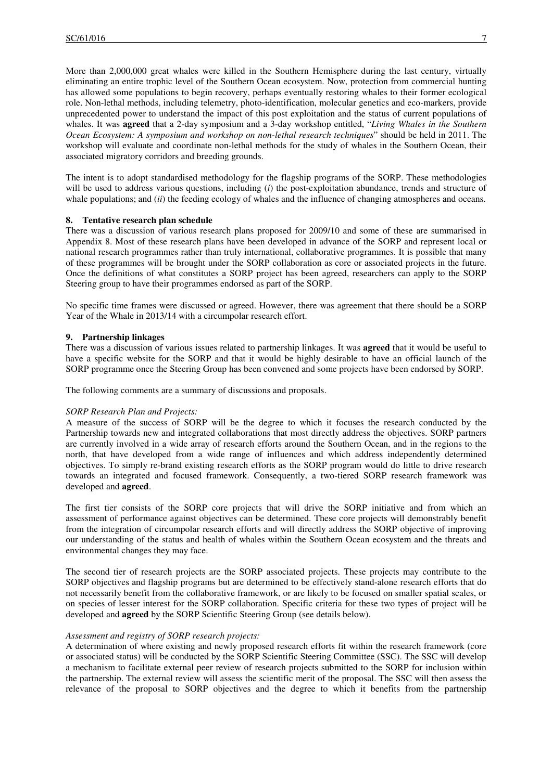More than 2,000,000 great whales were killed in the Southern Hemisphere during the last century, virtually eliminating an entire trophic level of the Southern Ocean ecosystem. Now, protection from commercial hunting has allowed some populations to begin recovery, perhaps eventually restoring whales to their former ecological role. Non-lethal methods, including telemetry, photo-identification, molecular genetics and eco-markers, provide unprecedented power to understand the impact of this post exploitation and the status of current populations of whales. It was **agreed** that a 2-day symposium and a 3-day workshop entitled, "*Living Whales in the Southern Ocean Ecosystem: A symposium and workshop on non-lethal research techniques*" should be held in 2011. The workshop will evaluate and coordinate non-lethal methods for the study of whales in the Southern Ocean, their associated migratory corridors and breeding grounds.

The intent is to adopt standardised methodology for the flagship programs of the SORP. These methodologies will be used to address various questions, including (*i*) the post-exploitation abundance, trends and structure of whale populations; and *(ii)* the feeding ecology of whales and the influence of changing atmospheres and oceans.

## **8. Tentative research plan schedule**

There was a discussion of various research plans proposed for 2009/10 and some of these are summarised in Appendix 8. Most of these research plans have been developed in advance of the SORP and represent local or national research programmes rather than truly international, collaborative programmes. It is possible that many of these programmes will be brought under the SORP collaboration as core or associated projects in the future. Once the definitions of what constitutes a SORP project has been agreed, researchers can apply to the SORP Steering group to have their programmes endorsed as part of the SORP.

No specific time frames were discussed or agreed. However, there was agreement that there should be a SORP Year of the Whale in 2013/14 with a circumpolar research effort.

#### **9. Partnership linkages**

There was a discussion of various issues related to partnership linkages. It was **agreed** that it would be useful to have a specific website for the SORP and that it would be highly desirable to have an official launch of the SORP programme once the Steering Group has been convened and some projects have been endorsed by SORP.

The following comments are a summary of discussions and proposals.

#### *SORP Research Plan and Projects:*

A measure of the success of SORP will be the degree to which it focuses the research conducted by the Partnership towards new and integrated collaborations that most directly address the objectives. SORP partners are currently involved in a wide array of research efforts around the Southern Ocean, and in the regions to the north, that have developed from a wide range of influences and which address independently determined objectives. To simply re-brand existing research efforts as the SORP program would do little to drive research towards an integrated and focused framework. Consequently, a two-tiered SORP research framework was developed and **agreed**.

The first tier consists of the SORP core projects that will drive the SORP initiative and from which an assessment of performance against objectives can be determined. These core projects will demonstrably benefit from the integration of circumpolar research efforts and will directly address the SORP objective of improving our understanding of the status and health of whales within the Southern Ocean ecosystem and the threats and environmental changes they may face.

The second tier of research projects are the SORP associated projects. These projects may contribute to the SORP objectives and flagship programs but are determined to be effectively stand-alone research efforts that do not necessarily benefit from the collaborative framework, or are likely to be focused on smaller spatial scales, or on species of lesser interest for the SORP collaboration. Specific criteria for these two types of project will be developed and **agreed** by the SORP Scientific Steering Group (see details below).

# *Assessment and registry of SORP research projects:*

A determination of where existing and newly proposed research efforts fit within the research framework (core or associated status) will be conducted by the SORP Scientific Steering Committee (SSC). The SSC will develop a mechanism to facilitate external peer review of research projects submitted to the SORP for inclusion within the partnership. The external review will assess the scientific merit of the proposal. The SSC will then assess the relevance of the proposal to SORP objectives and the degree to which it benefits from the partnership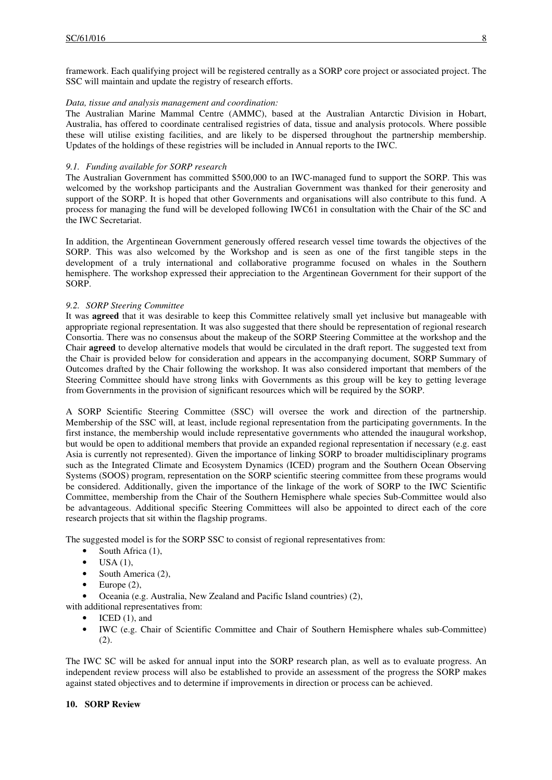framework. Each qualifying project will be registered centrally as a SORP core project or associated project. The SSC will maintain and update the registry of research efforts.

## *Data, tissue and analysis management and coordination:*

The Australian Marine Mammal Centre (AMMC), based at the Australian Antarctic Division in Hobart, Australia, has offered to coordinate centralised registries of data, tissue and analysis protocols. Where possible these will utilise existing facilities, and are likely to be dispersed throughout the partnership membership. Updates of the holdings of these registries will be included in Annual reports to the IWC.

## *9.1. Funding available for SORP research*

The Australian Government has committed \$500,000 to an IWC-managed fund to support the SORP. This was welcomed by the workshop participants and the Australian Government was thanked for their generosity and support of the SORP. It is hoped that other Governments and organisations will also contribute to this fund. A process for managing the fund will be developed following IWC61 in consultation with the Chair of the SC and the IWC Secretariat.

In addition, the Argentinean Government generously offered research vessel time towards the objectives of the SORP. This was also welcomed by the Workshop and is seen as one of the first tangible steps in the development of a truly international and collaborative programme focused on whales in the Southern hemisphere. The workshop expressed their appreciation to the Argentinean Government for their support of the SORP.

## *9.2. SORP Steering Committee*

It was **agreed** that it was desirable to keep this Committee relatively small yet inclusive but manageable with appropriate regional representation. It was also suggested that there should be representation of regional research Consortia. There was no consensus about the makeup of the SORP Steering Committee at the workshop and the Chair **agreed** to develop alternative models that would be circulated in the draft report. The suggested text from the Chair is provided below for consideration and appears in the accompanying document, SORP Summary of Outcomes drafted by the Chair following the workshop. It was also considered important that members of the Steering Committee should have strong links with Governments as this group will be key to getting leverage from Governments in the provision of significant resources which will be required by the SORP.

A SORP Scientific Steering Committee (SSC) will oversee the work and direction of the partnership. Membership of the SSC will, at least, include regional representation from the participating governments. In the first instance, the membership would include representative governments who attended the inaugural workshop, but would be open to additional members that provide an expanded regional representation if necessary (e.g. east Asia is currently not represented). Given the importance of linking SORP to broader multidisciplinary programs such as the Integrated Climate and Ecosystem Dynamics (ICED) program and the Southern Ocean Observing Systems (SOOS) program, representation on the SORP scientific steering committee from these programs would be considered. Additionally, given the importance of the linkage of the work of SORP to the IWC Scientific Committee, membership from the Chair of the Southern Hemisphere whale species Sub-Committee would also be advantageous. Additional specific Steering Committees will also be appointed to direct each of the core research projects that sit within the flagship programs.

The suggested model is for the SORP SSC to consist of regional representatives from:

- South Africa (1),
- $\bullet$  USA (1),
- South America (2),
- Europe  $(2)$ ,
- Oceania (e.g. Australia, New Zealand and Pacific Island countries) (2),

with additional representatives from:

- ICED  $(1)$ , and
- IWC (e.g. Chair of Scientific Committee and Chair of Southern Hemisphere whales sub-Committee) (2).

The IWC SC will be asked for annual input into the SORP research plan, as well as to evaluate progress. An independent review process will also be established to provide an assessment of the progress the SORP makes against stated objectives and to determine if improvements in direction or process can be achieved.

## **10. SORP Review**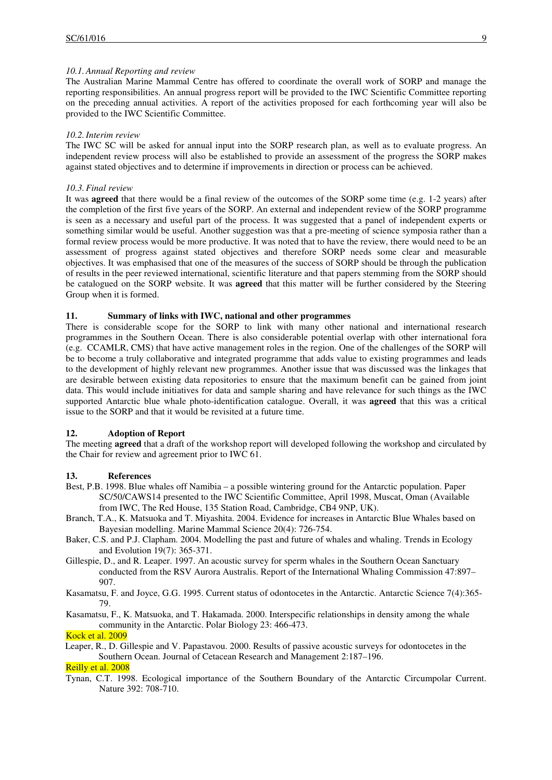## *10.1.Annual Reporting and review*

The Australian Marine Mammal Centre has offered to coordinate the overall work of SORP and manage the reporting responsibilities. An annual progress report will be provided to the IWC Scientific Committee reporting on the preceding annual activities. A report of the activities proposed for each forthcoming year will also be provided to the IWC Scientific Committee.

## *10.2.Interim review*

The IWC SC will be asked for annual input into the SORP research plan, as well as to evaluate progress. An independent review process will also be established to provide an assessment of the progress the SORP makes against stated objectives and to determine if improvements in direction or process can be achieved.

## *10.3.Final review*

It was **agreed** that there would be a final review of the outcomes of the SORP some time (e.g. 1-2 years) after the completion of the first five years of the SORP. An external and independent review of the SORP programme is seen as a necessary and useful part of the process. It was suggested that a panel of independent experts or something similar would be useful. Another suggestion was that a pre-meeting of science symposia rather than a formal review process would be more productive. It was noted that to have the review, there would need to be an assessment of progress against stated objectives and therefore SORP needs some clear and measurable objectives. It was emphasised that one of the measures of the success of SORP should be through the publication of results in the peer reviewed international, scientific literature and that papers stemming from the SORP should be catalogued on the SORP website. It was **agreed** that this matter will be further considered by the Steering Group when it is formed.

## **11. Summary of links with IWC, national and other programmes**

There is considerable scope for the SORP to link with many other national and international research programmes in the Southern Ocean. There is also considerable potential overlap with other international fora (e.g. CCAMLR, CMS) that have active management roles in the region. One of the challenges of the SORP will be to become a truly collaborative and integrated programme that adds value to existing programmes and leads to the development of highly relevant new programmes. Another issue that was discussed was the linkages that are desirable between existing data repositories to ensure that the maximum benefit can be gained from joint data. This would include initiatives for data and sample sharing and have relevance for such things as the IWC supported Antarctic blue whale photo-identification catalogue. Overall, it was **agreed** that this was a critical issue to the SORP and that it would be revisited at a future time.

## **12. Adoption of Report**

The meeting **agreed** that a draft of the workshop report will developed following the workshop and circulated by the Chair for review and agreement prior to IWC 61.

## **13. References**

- Best, P.B. 1998. Blue whales off Namibia a possible wintering ground for the Antarctic population. Paper SC/50/CAWS14 presented to the IWC Scientific Committee, April 1998, Muscat, Oman (Available from IWC, The Red House, 135 Station Road, Cambridge, CB4 9NP, UK).
- Branch, T.A., K. Matsuoka and T. Miyashita. 2004. Evidence for increases in Antarctic Blue Whales based on Bayesian modelling. Marine Mammal Science 20(4): 726-754.
- Baker, C.S. and P.J. Clapham. 2004. Modelling the past and future of whales and whaling. Trends in Ecology and Evolution 19(7): 365-371.
- Gillespie, D., and R. Leaper. 1997. An acoustic survey for sperm whales in the Southern Ocean Sanctuary conducted from the RSV Aurora Australis. Report of the International Whaling Commission 47:897– 907.
- Kasamatsu, F. and Joyce, G.G. 1995. Current status of odontocetes in the Antarctic. Antarctic Science 7(4):365- 79.
- Kasamatsu, F., K. Matsuoka, and T. Hakamada. 2000. Interspecific relationships in density among the whale community in the Antarctic. Polar Biology 23: 466-473.

## Kock et al. 2009

Leaper, R., D. Gillespie and V. Papastavou. 2000. Results of passive acoustic surveys for odontocetes in the Southern Ocean. Journal of Cetacean Research and Management 2:187–196.

# Reilly et al. 2008

Tynan, C.T. 1998. Ecological importance of the Southern Boundary of the Antarctic Circumpolar Current. Nature 392: 708-710.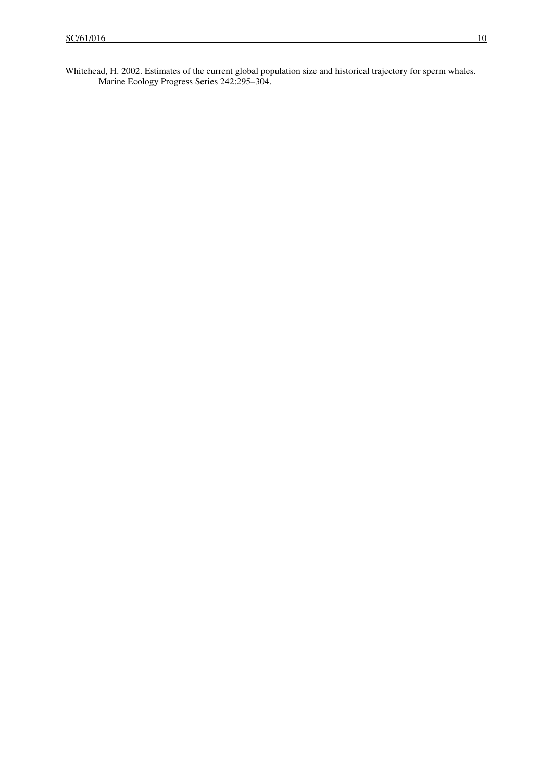Whitehead, H. 2002. Estimates of the current global population size and historical trajectory for sperm whales. Marine Ecology Progress Series 242:295–304.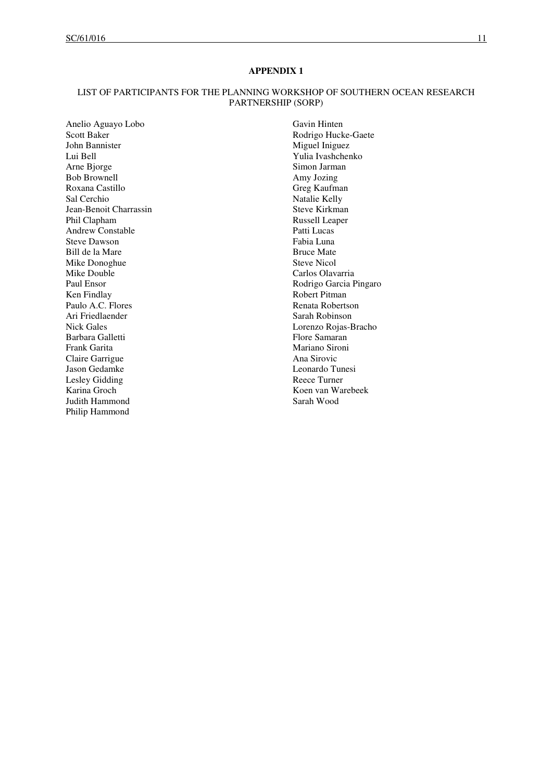# LIST OF PARTICIPANTS FOR THE PLANNING WORKSHOP OF SOUTHERN OCEAN RESEARCH PARTNERSHIP (SORP)

Anelio Aguayo Lobo Scott Baker John Bannister Lui Bell Arne Bjorge Bob Brownell Roxana Castillo Sal Cerchio Jean-Benoit Charrassin Phil Clapham Andrew Constable Steve Dawson Bill de la Mare Mike Donoghue Mike Double Paul Ensor Ken Findlay Paulo A.C. Flores Ari Friedlaender Nick Gales Barbara Galletti Frank Garita Claire Garrigue Jason Gedamke Lesley Gidding Karina Groch Judith Hammond Philip Hammond

Gavin Hinten Rodrigo Hucke-Gaete Miguel Iniguez Yulia Ivashchenko Simon Jarman Amy Jozing Greg Kaufman Natalie Kelly Steve Kirkman Russell Leaper Patti Lucas Fabia Luna Bruce Mate Steve Nicol Carlos Olavarria Rodrigo Garcia Pingaro Robert Pitman Renata Robertson Sarah Robinson Lorenzo Rojas-Bracho Flore Samaran Mariano Sironi Ana Sirovic Leonardo Tunesi Reece Turner Koen van Warebeek Sarah Wood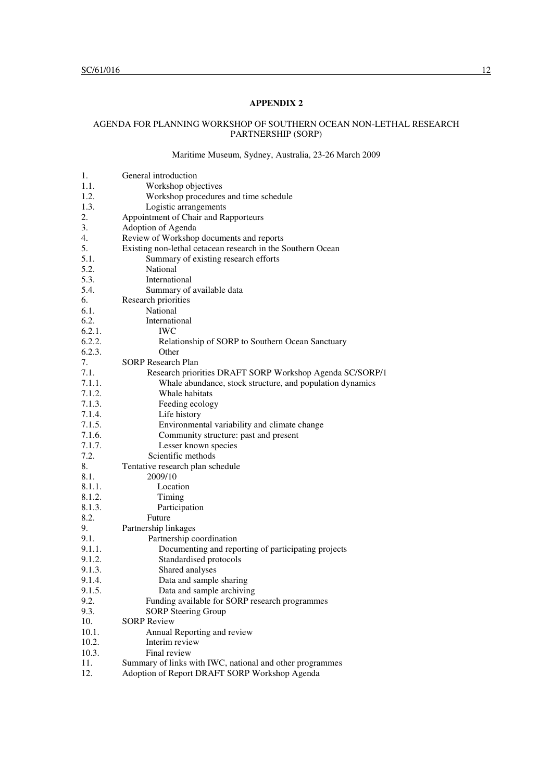## AGENDA FOR PLANNING WORKSHOP OF SOUTHERN OCEAN NON-LETHAL RESEARCH PARTNERSHIP (SORP)

# Maritime Museum, Sydney, Australia, 23-26 March 2009

| 1.     | General introduction                                        |
|--------|-------------------------------------------------------------|
| 1.1.   | Workshop objectives                                         |
| 1.2.   | Workshop procedures and time schedule                       |
| 1.3.   | Logistic arrangements                                       |
| 2.     | Appointment of Chair and Rapporteurs                        |
| 3.     | Adoption of Agenda                                          |
| 4.     | Review of Workshop documents and reports                    |
| 5.     | Existing non-lethal cetacean research in the Southern Ocean |
| 5.1.   | Summary of existing research efforts                        |
| 5.2.   | National                                                    |
| 5.3.   | International                                               |
| 5.4.   | Summary of available data                                   |
| 6.     | Research priorities                                         |
| 6.1.   | National                                                    |
| 6.2.   | International                                               |
| 6.2.1. | <b>IWC</b>                                                  |
| 6.2.2. | Relationship of SORP to Southern Ocean Sanctuary            |
| 6.2.3. | Other                                                       |
| 7.     | <b>SORP Research Plan</b>                                   |
| 7.1.   | Research priorities DRAFT SORP Workshop Agenda SC/SORP/1    |
| 7.1.1. | Whale abundance, stock structure, and population dynamics   |
| 7.1.2. | Whale habitats                                              |
| 7.1.3. | Feeding ecology                                             |
| 7.1.4. | Life history                                                |
| 7.1.5. | Environmental variability and climate change                |
| 7.1.6. | Community structure: past and present                       |
| 7.1.7. | Lesser known species                                        |
| 7.2.   | Scientific methods                                          |
| 8.     | Tentative research plan schedule                            |
| 8.1.   | 2009/10                                                     |
| 8.1.1. | Location                                                    |
| 8.1.2. | Timing                                                      |
| 8.1.3. | Participation                                               |
| 8.2.   | Future                                                      |
| 9.     | Partnership linkages                                        |
| 9.1.   | Partnership coordination                                    |
| 9.1.1. | Documenting and reporting of participating projects         |
| 9.1.2. | Standardised protocols                                      |
| 9.1.3. | Shared analyses                                             |
| 9.1.4. | Data and sample sharing                                     |
| 9.1.5. | Data and sample archiving                                   |
| 9.2.   | Funding available for SORP research programmes              |
| 9.3.   | <b>SORP Steering Group</b>                                  |
| 10.    | <b>SORP</b> Review                                          |
| 10.1.  | Annual Reporting and review                                 |
| 10.2.  | Interim review                                              |
| 10.3.  | Final review                                                |
| 11.    | Summary of links with IWC, national and other programmes    |
| 12.    | Adoption of Report DRAFT SORP Workshop Agenda               |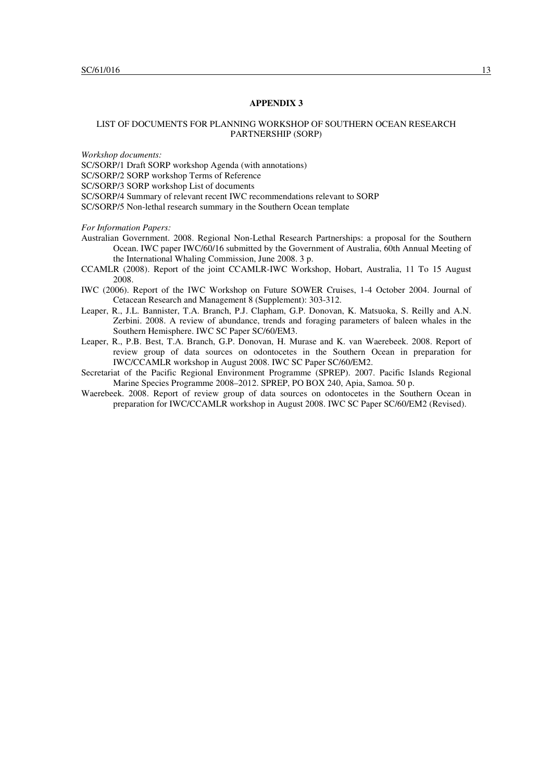## LIST OF DOCUMENTS FOR PLANNING WORKSHOP OF SOUTHERN OCEAN RESEARCH PARTNERSHIP (SORP)

*Workshop documents:* 

SC/SORP/1 Draft SORP workshop Agenda (with annotations)

SC/SORP/2 SORP workshop Terms of Reference

SC/SORP/3 SORP workshop List of documents

SC/SORP/4 Summary of relevant recent IWC recommendations relevant to SORP

SC/SORP/5 Non-lethal research summary in the Southern Ocean template

*For Information Papers:* 

- Australian Government. 2008. Regional Non-Lethal Research Partnerships: a proposal for the Southern Ocean. IWC paper IWC/60/16 submitted by the Government of Australia, 60th Annual Meeting of the International Whaling Commission, June 2008. 3 p.
- CCAMLR (2008). Report of the joint CCAMLR-IWC Workshop, Hobart, Australia, 11 To 15 August 2008.
- IWC (2006). Report of the IWC Workshop on Future SOWER Cruises, 1-4 October 2004. Journal of Cetacean Research and Management 8 (Supplement): 303-312.
- Leaper, R., J.L. Bannister, T.A. Branch, P.J. Clapham, G.P. Donovan, K. Matsuoka, S. Reilly and A.N. Zerbini. 2008. A review of abundance, trends and foraging parameters of baleen whales in the Southern Hemisphere. IWC SC Paper SC/60/EM3.
- Leaper, R., P.B. Best, T.A. Branch, G.P. Donovan, H. Murase and K. van Waerebeek. 2008. Report of review group of data sources on odontocetes in the Southern Ocean in preparation for IWC/CCAMLR workshop in August 2008. IWC SC Paper SC/60/EM2.
- Secretariat of the Pacific Regional Environment Programme (SPREP). 2007. Pacific Islands Regional Marine Species Programme 2008–2012. SPREP, PO BOX 240, Apia, Samoa. 50 p.
- Waerebeek. 2008. Report of review group of data sources on odontocetes in the Southern Ocean in preparation for IWC/CCAMLR workshop in August 2008. IWC SC Paper SC/60/EM2 (Revised).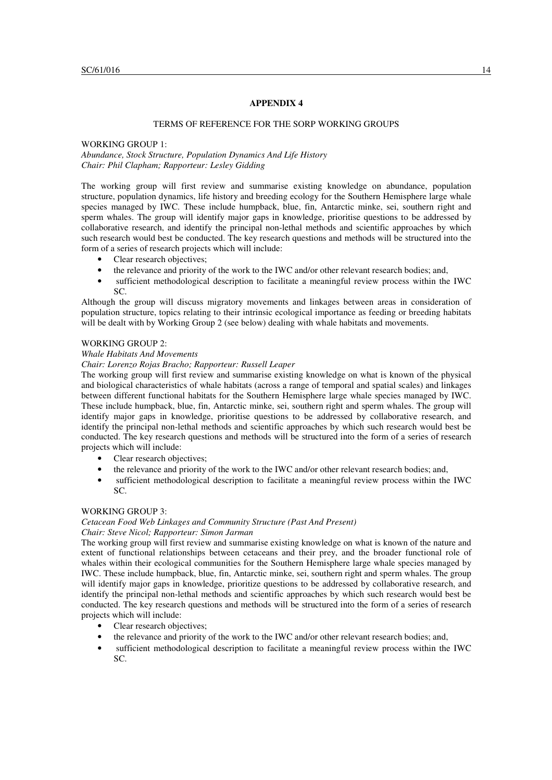#### TERMS OF REFERENCE FOR THE SORP WORKING GROUPS

WORKING GROUP 1: *Abundance, Stock Structure, Population Dynamics And Life History Chair: Phil Clapham; Rapporteur: Lesley Gidding* 

The working group will first review and summarise existing knowledge on abundance, population structure, population dynamics, life history and breeding ecology for the Southern Hemisphere large whale species managed by IWC. These include humpback, blue, fin, Antarctic minke, sei, southern right and sperm whales. The group will identify major gaps in knowledge, prioritise questions to be addressed by collaborative research, and identify the principal non-lethal methods and scientific approaches by which such research would best be conducted. The key research questions and methods will be structured into the form of a series of research projects which will include:

- Clear research objectives;
- the relevance and priority of the work to the IWC and/or other relevant research bodies; and,
- sufficient methodological description to facilitate a meaningful review process within the IWC  $SC<sub>c</sub>$

Although the group will discuss migratory movements and linkages between areas in consideration of population structure, topics relating to their intrinsic ecological importance as feeding or breeding habitats will be dealt with by Working Group 2 (see below) dealing with whale habitats and movements.

## WORKING GROUP 2:

#### *Whale Habitats And Movements*

#### *Chair: Lorenzo Rojas Bracho; Rapporteur: Russell Leaper*

The working group will first review and summarise existing knowledge on what is known of the physical and biological characteristics of whale habitats (across a range of temporal and spatial scales) and linkages between different functional habitats for the Southern Hemisphere large whale species managed by IWC. These include humpback, blue, fin, Antarctic minke, sei, southern right and sperm whales. The group will identify major gaps in knowledge, prioritise questions to be addressed by collaborative research, and identify the principal non-lethal methods and scientific approaches by which such research would best be conducted. The key research questions and methods will be structured into the form of a series of research projects which will include:

- Clear research objectives;
- the relevance and priority of the work to the IWC and/or other relevant research bodies; and,
- sufficient methodological description to facilitate a meaningful review process within the IWC SC.

## WORKING GROUP 3:

# *Cetacean Food Web Linkages and Community Structure (Past And Present)*

*Chair: Steve Nicol; Rapporteur: Simon Jarman* 

The working group will first review and summarise existing knowledge on what is known of the nature and extent of functional relationships between cetaceans and their prey, and the broader functional role of whales within their ecological communities for the Southern Hemisphere large whale species managed by IWC. These include humpback, blue, fin, Antarctic minke, sei, southern right and sperm whales. The group will identify major gaps in knowledge, prioritize questions to be addressed by collaborative research, and identify the principal non-lethal methods and scientific approaches by which such research would best be conducted. The key research questions and methods will be structured into the form of a series of research projects which will include:

- Clear research objectives;
- the relevance and priority of the work to the IWC and/or other relevant research bodies; and,
- sufficient methodological description to facilitate a meaningful review process within the IWC SC.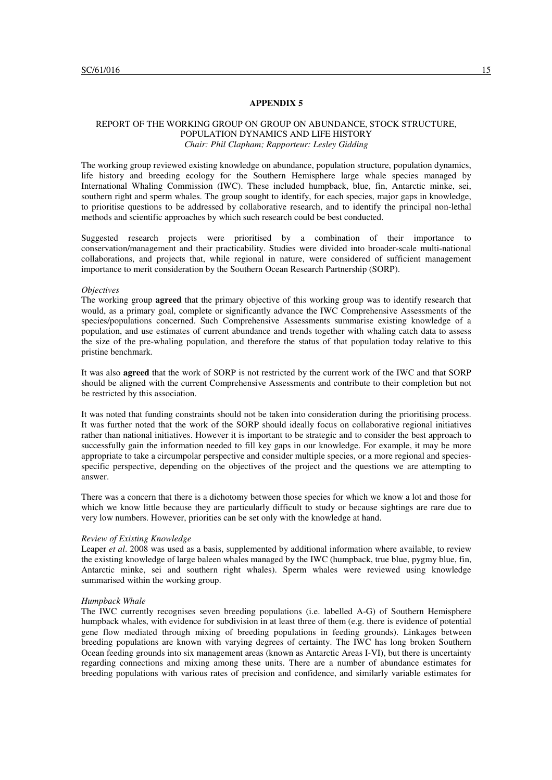## REPORT OF THE WORKING GROUP ON GROUP ON ABUNDANCE, STOCK STRUCTURE, POPULATION DYNAMICS AND LIFE HISTORY *Chair: Phil Clapham; Rapporteur: Lesley Gidding*

The working group reviewed existing knowledge on abundance, population structure, population dynamics, life history and breeding ecology for the Southern Hemisphere large whale species managed by International Whaling Commission (IWC). These included humpback, blue, fin, Antarctic minke, sei, southern right and sperm whales. The group sought to identify, for each species, major gaps in knowledge, to prioritise questions to be addressed by collaborative research, and to identify the principal non-lethal methods and scientific approaches by which such research could be best conducted.

Suggested research projects were prioritised by a combination of their importance to conservation/management and their practicability. Studies were divided into broader-scale multi-national collaborations, and projects that, while regional in nature, were considered of sufficient management importance to merit consideration by the Southern Ocean Research Partnership (SORP).

#### *Objectives*

The working group **agreed** that the primary objective of this working group was to identify research that would, as a primary goal, complete or significantly advance the IWC Comprehensive Assessments of the species/populations concerned. Such Comprehensive Assessments summarise existing knowledge of a population, and use estimates of current abundance and trends together with whaling catch data to assess the size of the pre-whaling population, and therefore the status of that population today relative to this pristine benchmark.

It was also **agreed** that the work of SORP is not restricted by the current work of the IWC and that SORP should be aligned with the current Comprehensive Assessments and contribute to their completion but not be restricted by this association.

It was noted that funding constraints should not be taken into consideration during the prioritising process. It was further noted that the work of the SORP should ideally focus on collaborative regional initiatives rather than national initiatives. However it is important to be strategic and to consider the best approach to successfully gain the information needed to fill key gaps in our knowledge. For example, it may be more appropriate to take a circumpolar perspective and consider multiple species, or a more regional and speciesspecific perspective, depending on the objectives of the project and the questions we are attempting to answer.

There was a concern that there is a dichotomy between those species for which we know a lot and those for which we know little because they are particularly difficult to study or because sightings are rare due to very low numbers. However, priorities can be set only with the knowledge at hand.

#### *Review of Existing Knowledge*

Leaper *et al*. 2008 was used as a basis, supplemented by additional information where available, to review the existing knowledge of large baleen whales managed by the IWC (humpback, true blue, pygmy blue, fin, Antarctic minke, sei and southern right whales). Sperm whales were reviewed using knowledge summarised within the working group.

#### *Humpback Whale*

The IWC currently recognises seven breeding populations (i.e. labelled A-G) of Southern Hemisphere humpback whales, with evidence for subdivision in at least three of them (e.g. there is evidence of potential gene flow mediated through mixing of breeding populations in feeding grounds). Linkages between breeding populations are known with varying degrees of certainty. The IWC has long broken Southern Ocean feeding grounds into six management areas (known as Antarctic Areas I-VI), but there is uncertainty regarding connections and mixing among these units. There are a number of abundance estimates for breeding populations with various rates of precision and confidence, and similarly variable estimates for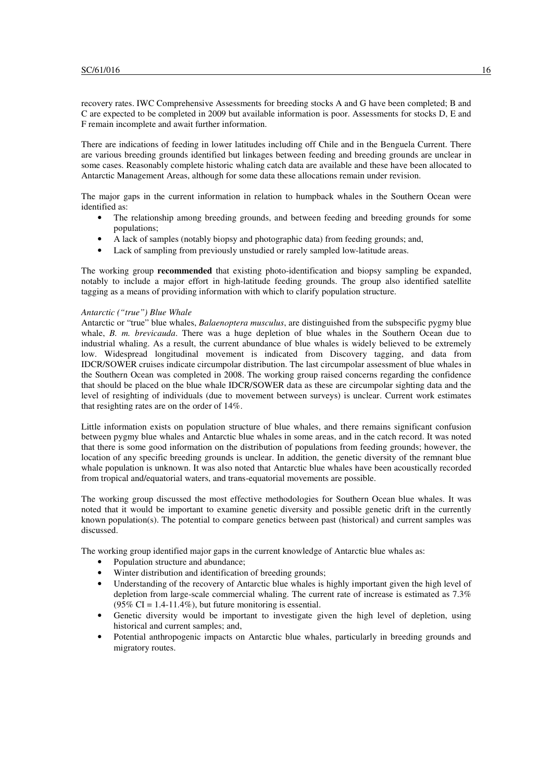recovery rates. IWC Comprehensive Assessments for breeding stocks A and G have been completed; B and C are expected to be completed in 2009 but available information is poor. Assessments for stocks D, E and F remain incomplete and await further information.

There are indications of feeding in lower latitudes including off Chile and in the Benguela Current. There are various breeding grounds identified but linkages between feeding and breeding grounds are unclear in some cases. Reasonably complete historic whaling catch data are available and these have been allocated to Antarctic Management Areas, although for some data these allocations remain under revision.

The major gaps in the current information in relation to humpback whales in the Southern Ocean were identified as:

- The relationship among breeding grounds, and between feeding and breeding grounds for some populations;
- A lack of samples (notably biopsy and photographic data) from feeding grounds; and,
- Lack of sampling from previously unstudied or rarely sampled low-latitude areas.

The working group **recommended** that existing photo-identification and biopsy sampling be expanded, notably to include a major effort in high-latitude feeding grounds. The group also identified satellite tagging as a means of providing information with which to clarify population structure.

#### *Antarctic ("true") Blue Whale*

Antarctic or "true" blue whales, *Balaenoptera musculus*, are distinguished from the subspecific pygmy blue whale, *B. m. brevicauda*. There was a huge depletion of blue whales in the Southern Ocean due to industrial whaling. As a result, the current abundance of blue whales is widely believed to be extremely low. Widespread longitudinal movement is indicated from Discovery tagging, and data from IDCR/SOWER cruises indicate circumpolar distribution. The last circumpolar assessment of blue whales in the Southern Ocean was completed in 2008. The working group raised concerns regarding the confidence that should be placed on the blue whale IDCR/SOWER data as these are circumpolar sighting data and the level of resighting of individuals (due to movement between surveys) is unclear. Current work estimates that resighting rates are on the order of 14%.

Little information exists on population structure of blue whales, and there remains significant confusion between pygmy blue whales and Antarctic blue whales in some areas, and in the catch record. It was noted that there is some good information on the distribution of populations from feeding grounds; however, the location of any specific breeding grounds is unclear. In addition, the genetic diversity of the remnant blue whale population is unknown. It was also noted that Antarctic blue whales have been acoustically recorded from tropical and/equatorial waters, and trans-equatorial movements are possible.

The working group discussed the most effective methodologies for Southern Ocean blue whales. It was noted that it would be important to examine genetic diversity and possible genetic drift in the currently known population(s). The potential to compare genetics between past (historical) and current samples was discussed.

The working group identified major gaps in the current knowledge of Antarctic blue whales as:

- Population structure and abundance:
- Winter distribution and identification of breeding grounds;
- Understanding of the recovery of Antarctic blue whales is highly important given the high level of depletion from large-scale commercial whaling. The current rate of increase is estimated as 7.3%  $(95\% \text{ CI} = 1.4 - 11.4\%)$ , but future monitoring is essential.
- Genetic diversity would be important to investigate given the high level of depletion, using historical and current samples; and,
- Potential anthropogenic impacts on Antarctic blue whales, particularly in breeding grounds and migratory routes.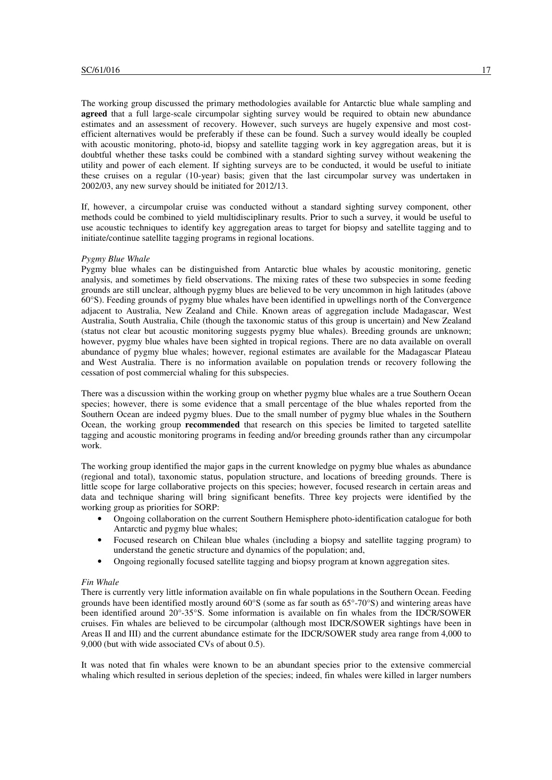The working group discussed the primary methodologies available for Antarctic blue whale sampling and **agreed** that a full large-scale circumpolar sighting survey would be required to obtain new abundance estimates and an assessment of recovery. However, such surveys are hugely expensive and most costefficient alternatives would be preferably if these can be found. Such a survey would ideally be coupled with acoustic monitoring, photo-id, biopsy and satellite tagging work in key aggregation areas, but it is doubtful whether these tasks could be combined with a standard sighting survey without weakening the utility and power of each element. If sighting surveys are to be conducted, it would be useful to initiate these cruises on a regular (10-year) basis; given that the last circumpolar survey was undertaken in 2002/03, any new survey should be initiated for 2012/13.

If, however, a circumpolar cruise was conducted without a standard sighting survey component, other methods could be combined to yield multidisciplinary results. Prior to such a survey, it would be useful to use acoustic techniques to identify key aggregation areas to target for biopsy and satellite tagging and to initiate/continue satellite tagging programs in regional locations.

## *Pygmy Blue Whale*

Pygmy blue whales can be distinguished from Antarctic blue whales by acoustic monitoring, genetic analysis, and sometimes by field observations. The mixing rates of these two subspecies in some feeding grounds are still unclear, although pygmy blues are believed to be very uncommon in high latitudes (above 60°S). Feeding grounds of pygmy blue whales have been identified in upwellings north of the Convergence adjacent to Australia, New Zealand and Chile. Known areas of aggregation include Madagascar, West Australia, South Australia, Chile (though the taxonomic status of this group is uncertain) and New Zealand (status not clear but acoustic monitoring suggests pygmy blue whales). Breeding grounds are unknown; however, pygmy blue whales have been sighted in tropical regions. There are no data available on overall abundance of pygmy blue whales; however, regional estimates are available for the Madagascar Plateau and West Australia. There is no information available on population trends or recovery following the cessation of post commercial whaling for this subspecies.

There was a discussion within the working group on whether pygmy blue whales are a true Southern Ocean species; however, there is some evidence that a small percentage of the blue whales reported from the Southern Ocean are indeed pygmy blues. Due to the small number of pygmy blue whales in the Southern Ocean, the working group **recommended** that research on this species be limited to targeted satellite tagging and acoustic monitoring programs in feeding and/or breeding grounds rather than any circumpolar work.

The working group identified the major gaps in the current knowledge on pygmy blue whales as abundance (regional and total), taxonomic status, population structure, and locations of breeding grounds. There is little scope for large collaborative projects on this species; however, focused research in certain areas and data and technique sharing will bring significant benefits. Three key projects were identified by the working group as priorities for SORP:

- Ongoing collaboration on the current Southern Hemisphere photo-identification catalogue for both Antarctic and pygmy blue whales;
- Focused research on Chilean blue whales (including a biopsy and satellite tagging program) to understand the genetic structure and dynamics of the population; and,
- Ongoing regionally focused satellite tagging and biopsy program at known aggregation sites.

#### *Fin Whale*

There is currently very little information available on fin whale populations in the Southern Ocean. Feeding grounds have been identified mostly around 60°S (some as far south as 65°-70°S) and wintering areas have been identified around 20°-35°S. Some information is available on fin whales from the IDCR/SOWER cruises. Fin whales are believed to be circumpolar (although most IDCR/SOWER sightings have been in Areas II and III) and the current abundance estimate for the IDCR/SOWER study area range from 4,000 to 9,000 (but with wide associated CVs of about 0.5).

It was noted that fin whales were known to be an abundant species prior to the extensive commercial whaling which resulted in serious depletion of the species; indeed, fin whales were killed in larger numbers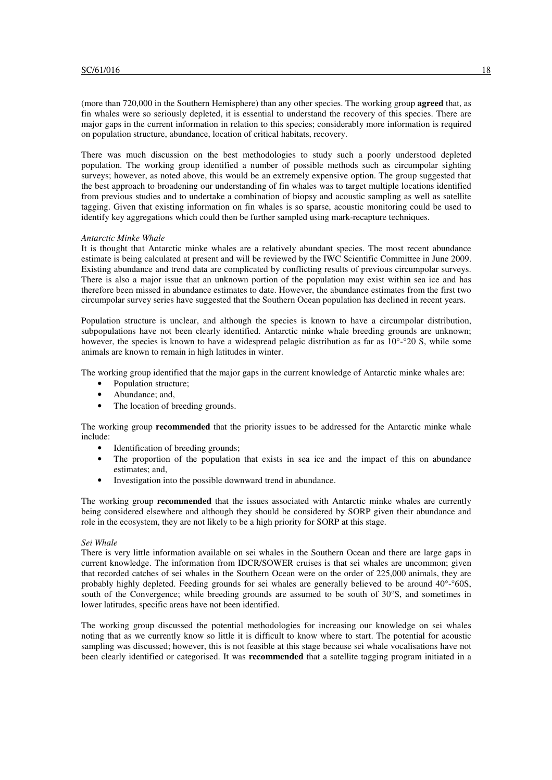(more than 720,000 in the Southern Hemisphere) than any other species. The working group **agreed** that, as fin whales were so seriously depleted, it is essential to understand the recovery of this species. There are major gaps in the current information in relation to this species; considerably more information is required on population structure, abundance, location of critical habitats, recovery.

There was much discussion on the best methodologies to study such a poorly understood depleted population. The working group identified a number of possible methods such as circumpolar sighting surveys; however, as noted above, this would be an extremely expensive option. The group suggested that the best approach to broadening our understanding of fin whales was to target multiple locations identified from previous studies and to undertake a combination of biopsy and acoustic sampling as well as satellite tagging. Given that existing information on fin whales is so sparse, acoustic monitoring could be used to identify key aggregations which could then be further sampled using mark-recapture techniques.

## *Antarctic Minke Whale*

It is thought that Antarctic minke whales are a relatively abundant species. The most recent abundance estimate is being calculated at present and will be reviewed by the IWC Scientific Committee in June 2009. Existing abundance and trend data are complicated by conflicting results of previous circumpolar surveys. There is also a major issue that an unknown portion of the population may exist within sea ice and has therefore been missed in abundance estimates to date. However, the abundance estimates from the first two circumpolar survey series have suggested that the Southern Ocean population has declined in recent years.

Population structure is unclear, and although the species is known to have a circumpolar distribution, subpopulations have not been clearly identified. Antarctic minke whale breeding grounds are unknown; however, the species is known to have a widespread pelagic distribution as far as  $10^{\circ}$ -°20 S, while some animals are known to remain in high latitudes in winter.

The working group identified that the major gaps in the current knowledge of Antarctic minke whales are:

- Population structure;
- Abundance: and,
- The location of breeding grounds.

The working group **recommended** that the priority issues to be addressed for the Antarctic minke whale include:

- Identification of breeding grounds;
- The proportion of the population that exists in sea ice and the impact of this on abundance estimates; and,
- Investigation into the possible downward trend in abundance.

The working group **recommended** that the issues associated with Antarctic minke whales are currently being considered elsewhere and although they should be considered by SORP given their abundance and role in the ecosystem, they are not likely to be a high priority for SORP at this stage.

#### *Sei Whale*

There is very little information available on sei whales in the Southern Ocean and there are large gaps in current knowledge. The information from IDCR/SOWER cruises is that sei whales are uncommon; given that recorded catches of sei whales in the Southern Ocean were on the order of 225,000 animals, they are probably highly depleted. Feeding grounds for sei whales are generally believed to be around  $40^{\circ}$ - $\degree$ 60S, south of the Convergence; while breeding grounds are assumed to be south of 30°S, and sometimes in lower latitudes, specific areas have not been identified.

The working group discussed the potential methodologies for increasing our knowledge on sei whales noting that as we currently know so little it is difficult to know where to start. The potential for acoustic sampling was discussed; however, this is not feasible at this stage because sei whale vocalisations have not been clearly identified or categorised. It was **recommended** that a satellite tagging program initiated in a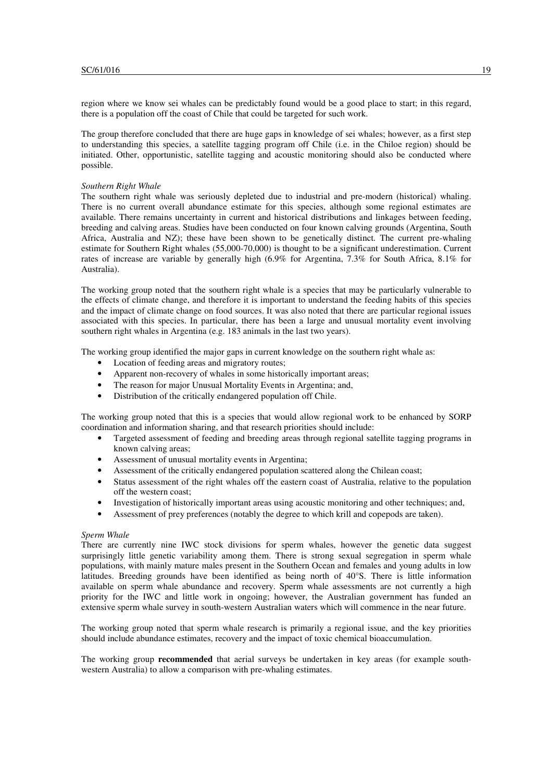region where we know sei whales can be predictably found would be a good place to start; in this regard, there is a population off the coast of Chile that could be targeted for such work.

The group therefore concluded that there are huge gaps in knowledge of sei whales; however, as a first step to understanding this species, a satellite tagging program off Chile (i.e. in the Chiloe region) should be initiated. Other, opportunistic, satellite tagging and acoustic monitoring should also be conducted where possible.

#### *Southern Right Whale*

The southern right whale was seriously depleted due to industrial and pre-modern (historical) whaling. There is no current overall abundance estimate for this species, although some regional estimates are available. There remains uncertainty in current and historical distributions and linkages between feeding, breeding and calving areas. Studies have been conducted on four known calving grounds (Argentina, South Africa, Australia and NZ); these have been shown to be genetically distinct. The current pre-whaling estimate for Southern Right whales (55,000-70,000) is thought to be a significant underestimation. Current rates of increase are variable by generally high (6.9% for Argentina, 7.3% for South Africa, 8.1% for Australia).

The working group noted that the southern right whale is a species that may be particularly vulnerable to the effects of climate change, and therefore it is important to understand the feeding habits of this species and the impact of climate change on food sources. It was also noted that there are particular regional issues associated with this species. In particular, there has been a large and unusual mortality event involving southern right whales in Argentina (e.g. 183 animals in the last two years).

The working group identified the major gaps in current knowledge on the southern right whale as:

- Location of feeding areas and migratory routes;
- Apparent non-recovery of whales in some historically important areas;
- The reason for major Unusual Mortality Events in Argentina; and,
- Distribution of the critically endangered population off Chile.

The working group noted that this is a species that would allow regional work to be enhanced by SORP coordination and information sharing, and that research priorities should include:

- Targeted assessment of feeding and breeding areas through regional satellite tagging programs in known calving areas;
- Assessment of unusual mortality events in Argentina;
- Assessment of the critically endangered population scattered along the Chilean coast;
- Status assessment of the right whales off the eastern coast of Australia, relative to the population off the western coast;
- Investigation of historically important areas using acoustic monitoring and other techniques; and,
- Assessment of prey preferences (notably the degree to which krill and copepods are taken).

#### *Sperm Whale*

There are currently nine IWC stock divisions for sperm whales, however the genetic data suggest surprisingly little genetic variability among them. There is strong sexual segregation in sperm whale populations, with mainly mature males present in the Southern Ocean and females and young adults in low latitudes. Breeding grounds have been identified as being north of  $40^{\circ}$ S. There is little information available on sperm whale abundance and recovery. Sperm whale assessments are not currently a high priority for the IWC and little work in ongoing; however, the Australian government has funded an extensive sperm whale survey in south-western Australian waters which will commence in the near future.

The working group noted that sperm whale research is primarily a regional issue, and the key priorities should include abundance estimates, recovery and the impact of toxic chemical bioaccumulation.

The working group **recommended** that aerial surveys be undertaken in key areas (for example southwestern Australia) to allow a comparison with pre-whaling estimates.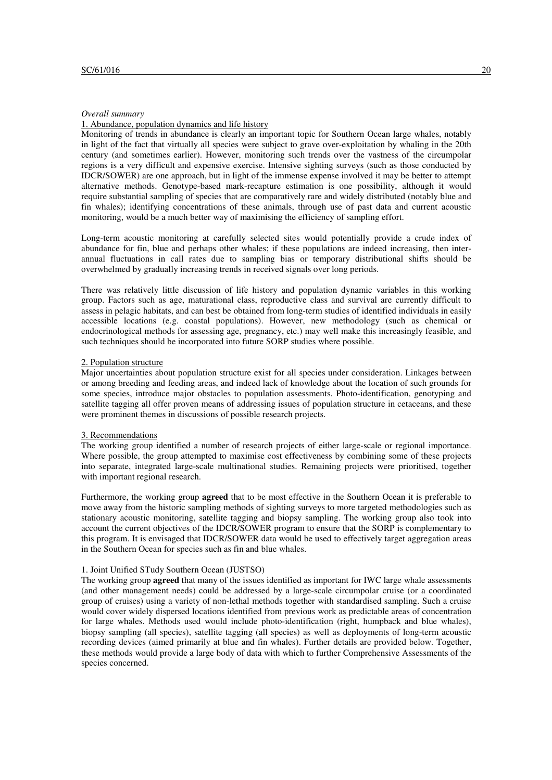#### *Overall summary*

#### 1. Abundance, population dynamics and life history

Monitoring of trends in abundance is clearly an important topic for Southern Ocean large whales, notably in light of the fact that virtually all species were subject to grave over-exploitation by whaling in the 20th century (and sometimes earlier). However, monitoring such trends over the vastness of the circumpolar regions is a very difficult and expensive exercise. Intensive sighting surveys (such as those conducted by IDCR/SOWER) are one approach, but in light of the immense expense involved it may be better to attempt alternative methods. Genotype-based mark-recapture estimation is one possibility, although it would require substantial sampling of species that are comparatively rare and widely distributed (notably blue and fin whales); identifying concentrations of these animals, through use of past data and current acoustic monitoring, would be a much better way of maximising the efficiency of sampling effort.

Long-term acoustic monitoring at carefully selected sites would potentially provide a crude index of abundance for fin, blue and perhaps other whales; if these populations are indeed increasing, then interannual fluctuations in call rates due to sampling bias or temporary distributional shifts should be overwhelmed by gradually increasing trends in received signals over long periods.

There was relatively little discussion of life history and population dynamic variables in this working group. Factors such as age, maturational class, reproductive class and survival are currently difficult to assess in pelagic habitats, and can best be obtained from long-term studies of identified individuals in easily accessible locations (e.g. coastal populations). However, new methodology (such as chemical or endocrinological methods for assessing age, pregnancy, etc.) may well make this increasingly feasible, and such techniques should be incorporated into future SORP studies where possible.

#### 2. Population structure

Major uncertainties about population structure exist for all species under consideration. Linkages between or among breeding and feeding areas, and indeed lack of knowledge about the location of such grounds for some species, introduce major obstacles to population assessments. Photo-identification, genotyping and satellite tagging all offer proven means of addressing issues of population structure in cetaceans, and these were prominent themes in discussions of possible research projects.

#### 3. Recommendations

The working group identified a number of research projects of either large-scale or regional importance. Where possible, the group attempted to maximise cost effectiveness by combining some of these projects into separate, integrated large-scale multinational studies. Remaining projects were prioritised, together with important regional research.

Furthermore, the working group **agreed** that to be most effective in the Southern Ocean it is preferable to move away from the historic sampling methods of sighting surveys to more targeted methodologies such as stationary acoustic monitoring, satellite tagging and biopsy sampling. The working group also took into account the current objectives of the IDCR/SOWER program to ensure that the SORP is complementary to this program. It is envisaged that IDCR/SOWER data would be used to effectively target aggregation areas in the Southern Ocean for species such as fin and blue whales.

#### 1. Joint Unified STudy Southern Ocean (JUSTSO)

The working group **agreed** that many of the issues identified as important for IWC large whale assessments (and other management needs) could be addressed by a large-scale circumpolar cruise (or a coordinated group of cruises) using a variety of non-lethal methods together with standardised sampling. Such a cruise would cover widely dispersed locations identified from previous work as predictable areas of concentration for large whales. Methods used would include photo-identification (right, humpback and blue whales), biopsy sampling (all species), satellite tagging (all species) as well as deployments of long-term acoustic recording devices (aimed primarily at blue and fin whales). Further details are provided below. Together, these methods would provide a large body of data with which to further Comprehensive Assessments of the species concerned.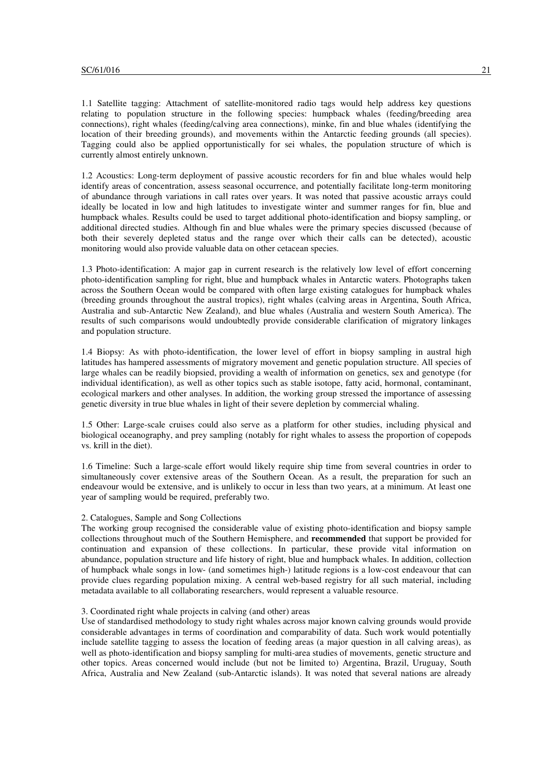1.1 Satellite tagging: Attachment of satellite-monitored radio tags would help address key questions relating to population structure in the following species: humpback whales (feeding/breeding area connections), right whales (feeding/calving area connections), minke, fin and blue whales (identifying the location of their breeding grounds), and movements within the Antarctic feeding grounds (all species). Tagging could also be applied opportunistically for sei whales, the population structure of which is currently almost entirely unknown.

1.2 Acoustics: Long-term deployment of passive acoustic recorders for fin and blue whales would help identify areas of concentration, assess seasonal occurrence, and potentially facilitate long-term monitoring of abundance through variations in call rates over years. It was noted that passive acoustic arrays could ideally be located in low and high latitudes to investigate winter and summer ranges for fin, blue and humpback whales. Results could be used to target additional photo-identification and biopsy sampling, or additional directed studies. Although fin and blue whales were the primary species discussed (because of both their severely depleted status and the range over which their calls can be detected), acoustic monitoring would also provide valuable data on other cetacean species.

1.3 Photo-identification: A major gap in current research is the relatively low level of effort concerning photo-identification sampling for right, blue and humpback whales in Antarctic waters. Photographs taken across the Southern Ocean would be compared with often large existing catalogues for humpback whales (breeding grounds throughout the austral tropics), right whales (calving areas in Argentina, South Africa, Australia and sub-Antarctic New Zealand), and blue whales (Australia and western South America). The results of such comparisons would undoubtedly provide considerable clarification of migratory linkages and population structure.

1.4 Biopsy: As with photo-identification, the lower level of effort in biopsy sampling in austral high latitudes has hampered assessments of migratory movement and genetic population structure. All species of large whales can be readily biopsied, providing a wealth of information on genetics, sex and genotype (for individual identification), as well as other topics such as stable isotope, fatty acid, hormonal, contaminant, ecological markers and other analyses. In addition, the working group stressed the importance of assessing genetic diversity in true blue whales in light of their severe depletion by commercial whaling.

1.5 Other: Large-scale cruises could also serve as a platform for other studies, including physical and biological oceanography, and prey sampling (notably for right whales to assess the proportion of copepods vs. krill in the diet).

1.6 Timeline: Such a large-scale effort would likely require ship time from several countries in order to simultaneously cover extensive areas of the Southern Ocean. As a result, the preparation for such an endeavour would be extensive, and is unlikely to occur in less than two years, at a minimum. At least one year of sampling would be required, preferably two.

#### 2. Catalogues, Sample and Song Collections

The working group recognised the considerable value of existing photo-identification and biopsy sample collections throughout much of the Southern Hemisphere, and **recommended** that support be provided for continuation and expansion of these collections. In particular, these provide vital information on abundance, population structure and life history of right, blue and humpback whales. In addition, collection of humpback whale songs in low- (and sometimes high-) latitude regions is a low-cost endeavour that can provide clues regarding population mixing. A central web-based registry for all such material, including metadata available to all collaborating researchers, would represent a valuable resource.

#### 3. Coordinated right whale projects in calving (and other) areas

Use of standardised methodology to study right whales across major known calving grounds would provide considerable advantages in terms of coordination and comparability of data. Such work would potentially include satellite tagging to assess the location of feeding areas (a major question in all calving areas), as well as photo-identification and biopsy sampling for multi-area studies of movements, genetic structure and other topics. Areas concerned would include (but not be limited to) Argentina, Brazil, Uruguay, South Africa, Australia and New Zealand (sub-Antarctic islands). It was noted that several nations are already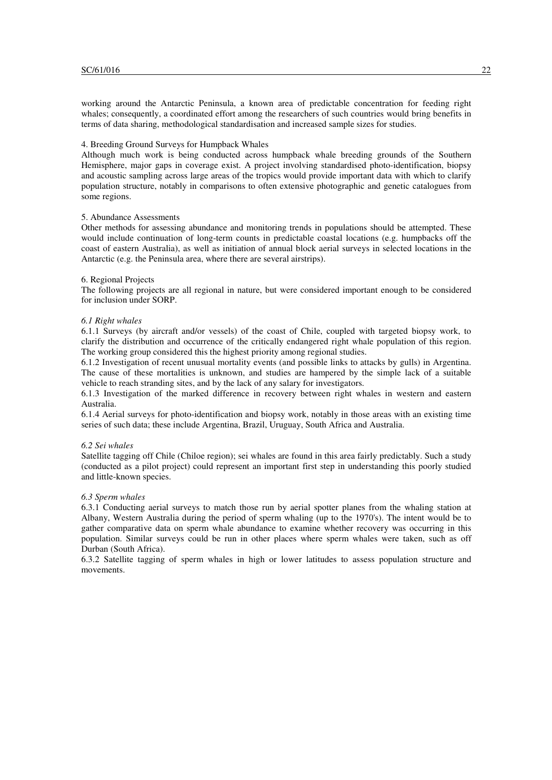working around the Antarctic Peninsula, a known area of predictable concentration for feeding right whales; consequently, a coordinated effort among the researchers of such countries would bring benefits in terms of data sharing, methodological standardisation and increased sample sizes for studies.

#### 4. Breeding Ground Surveys for Humpback Whales

Although much work is being conducted across humpback whale breeding grounds of the Southern Hemisphere, major gaps in coverage exist. A project involving standardised photo-identification, biopsy and acoustic sampling across large areas of the tropics would provide important data with which to clarify population structure, notably in comparisons to often extensive photographic and genetic catalogues from some regions.

## 5. Abundance Assessments

Other methods for assessing abundance and monitoring trends in populations should be attempted. These would include continuation of long-term counts in predictable coastal locations (e.g. humpbacks off the coast of eastern Australia), as well as initiation of annual block aerial surveys in selected locations in the Antarctic (e.g. the Peninsula area, where there are several airstrips).

#### 6. Regional Projects

The following projects are all regional in nature, but were considered important enough to be considered for inclusion under SORP.

## *6.1 Right whales*

6.1.1 Surveys (by aircraft and/or vessels) of the coast of Chile, coupled with targeted biopsy work, to clarify the distribution and occurrence of the critically endangered right whale population of this region. The working group considered this the highest priority among regional studies.

6.1.2 Investigation of recent unusual mortality events (and possible links to attacks by gulls) in Argentina. The cause of these mortalities is unknown, and studies are hampered by the simple lack of a suitable vehicle to reach stranding sites, and by the lack of any salary for investigators.

6.1.3 Investigation of the marked difference in recovery between right whales in western and eastern Australia.

6.1.4 Aerial surveys for photo-identification and biopsy work, notably in those areas with an existing time series of such data; these include Argentina, Brazil, Uruguay, South Africa and Australia.

#### *6.2 Sei whales*

Satellite tagging off Chile (Chiloe region); sei whales are found in this area fairly predictably. Such a study (conducted as a pilot project) could represent an important first step in understanding this poorly studied and little-known species.

#### *6.3 Sperm whales*

6.3.1 Conducting aerial surveys to match those run by aerial spotter planes from the whaling station at Albany, Western Australia during the period of sperm whaling (up to the 1970's). The intent would be to gather comparative data on sperm whale abundance to examine whether recovery was occurring in this population. Similar surveys could be run in other places where sperm whales were taken, such as off Durban (South Africa).

6.3.2 Satellite tagging of sperm whales in high or lower latitudes to assess population structure and movements.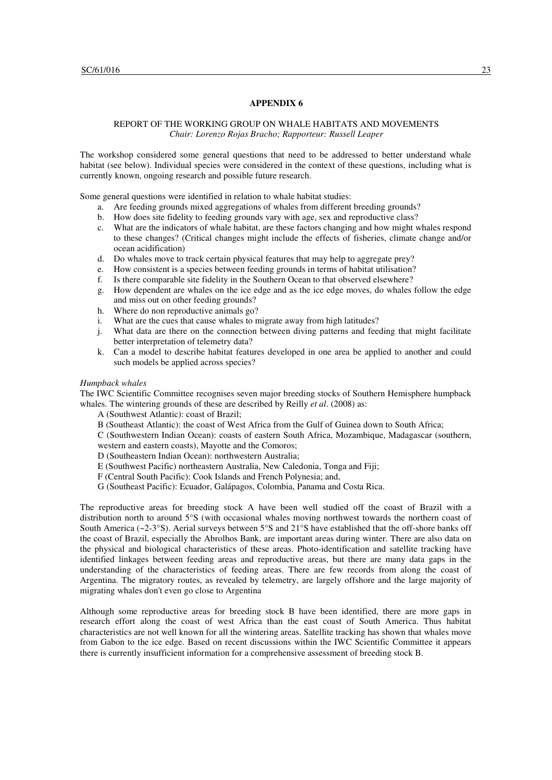## REPORT OF THE WORKING GROUP ON WHALE HABITATS AND MOVEMENTS *Chair: Lorenzo Rojas Bracho; Rapporteur: Russell Leaper*

The workshop considered some general questions that need to be addressed to better understand whale habitat (see below). Individual species were considered in the context of these questions, including what is currently known, ongoing research and possible future research.

Some general questions were identified in relation to whale habitat studies:

- a. Are feeding grounds mixed aggregations of whales from different breeding grounds?
- b. How does site fidelity to feeding grounds vary with age, sex and reproductive class?
- c. What are the indicators of whale habitat, are these factors changing and how might whales respond to these changes? (Critical changes might include the effects of fisheries, climate change and/or ocean acidification)
- d. Do whales move to track certain physical features that may help to aggregate prey?
- e. How consistent is a species between feeding grounds in terms of habitat utilisation?
- f. Is there comparable site fidelity in the Southern Ocean to that observed elsewhere?
- g. How dependent are whales on the ice edge and as the ice edge moves, do whales follow the edge and miss out on other feeding grounds?
- h. Where do non reproductive animals go?
- i. What are the cues that cause whales to migrate away from high latitudes?
- j. What data are there on the connection between diving patterns and feeding that might facilitate better interpretation of telemetry data?
- k. Can a model to describe habitat features developed in one area be applied to another and could such models be applied across species?

# *Humpback whales*

The IWC Scientific Committee recognises seven major breeding stocks of Southern Hemisphere humpback whales. The wintering grounds of these are described by Reilly *et al.* (2008) as:

A (Southwest Atlantic): coast of Brazil;

B (Southeast Atlantic): the coast of West Africa from the Gulf of Guinea down to South Africa;

C (Southwestern Indian Ocean): coasts of eastern South Africa, Mozambique, Madagascar (southern, western and eastern coasts), Mayotte and the Comoros;

D (Southeastern Indian Ocean): northwestern Australia;

- E (Southwest Pacific) northeastern Australia, New Caledonia, Tonga and Fiji;
- F (Central South Pacific): Cook Islands and French Polynesia; and,
- G (Southeast Pacific): Ecuador, Galápagos, Colombia, Panama and Costa Rica.

The reproductive areas for breeding stock A have been well studied off the coast of Brazil with a distribution north to around 5°S (with occasional whales moving northwest towards the northern coast of South America (~2-3°S). Aerial surveys between 5°S and 21°S have established that the off-shore banks off the coast of Brazil, especially the Abrolhos Bank, are important areas during winter. There are also data on the physical and biological characteristics of these areas. Photo-identification and satellite tracking have identified linkages between feeding areas and reproductive areas, but there are many data gaps in the understanding of the characteristics of feeding areas. There are few records from along the coast of Argentina. The migratory routes, as revealed by telemetry, are largely offshore and the large majority of migrating whales don't even go close to Argentina

Although some reproductive areas for breeding stock B have been identified, there are more gaps in research effort along the coast of west Africa than the east coast of South America. Thus habitat characteristics are not well known for all the wintering areas. Satellite tracking has shown that whales move from Gabon to the ice edge. Based on recent discussions within the IWC Scientific Committee it appears there is currently insufficient information for a comprehensive assessment of breeding stock B.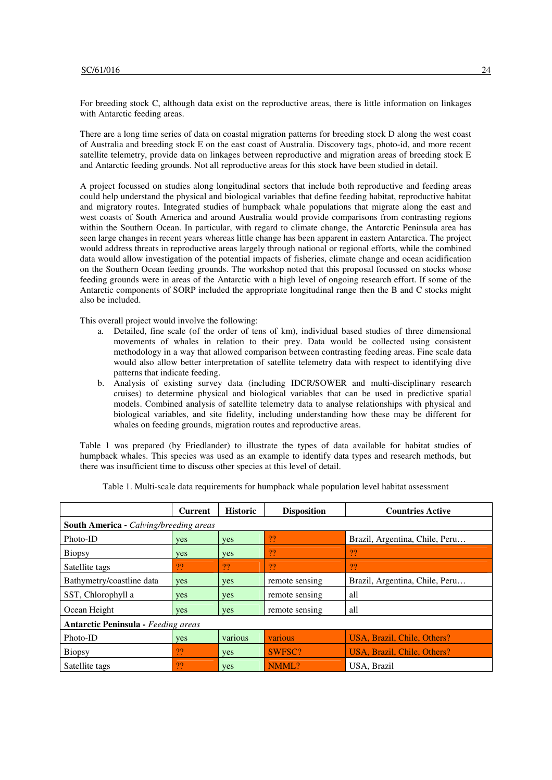For breeding stock C, although data exist on the reproductive areas, there is little information on linkages with Antarctic feeding areas.

There are a long time series of data on coastal migration patterns for breeding stock D along the west coast of Australia and breeding stock E on the east coast of Australia. Discovery tags, photo-id, and more recent satellite telemetry, provide data on linkages between reproductive and migration areas of breeding stock E and Antarctic feeding grounds. Not all reproductive areas for this stock have been studied in detail.

A project focussed on studies along longitudinal sectors that include both reproductive and feeding areas could help understand the physical and biological variables that define feeding habitat, reproductive habitat and migratory routes. Integrated studies of humpback whale populations that migrate along the east and west coasts of South America and around Australia would provide comparisons from contrasting regions within the Southern Ocean. In particular, with regard to climate change, the Antarctic Peninsula area has seen large changes in recent years whereas little change has been apparent in eastern Antarctica. The project would address threats in reproductive areas largely through national or regional efforts, while the combined data would allow investigation of the potential impacts of fisheries, climate change and ocean acidification on the Southern Ocean feeding grounds. The workshop noted that this proposal focussed on stocks whose feeding grounds were in areas of the Antarctic with a high level of ongoing research effort. If some of the Antarctic components of SORP included the appropriate longitudinal range then the B and C stocks might also be included.

This overall project would involve the following:

- a. Detailed, fine scale (of the order of tens of km), individual based studies of three dimensional movements of whales in relation to their prey. Data would be collected using consistent methodology in a way that allowed comparison between contrasting feeding areas. Fine scale data would also allow better interpretation of satellite telemetry data with respect to identifying dive patterns that indicate feeding.
- b. Analysis of existing survey data (including IDCR/SOWER and multi-disciplinary research cruises) to determine physical and biological variables that can be used in predictive spatial models. Combined analysis of satellite telemetry data to analyse relationships with physical and biological variables, and site fidelity, including understanding how these may be different for whales on feeding grounds, migration routes and reproductive areas.

Table 1 was prepared (by Friedlander) to illustrate the types of data available for habitat studies of humpback whales. This species was used as an example to identify data types and research methods, but there was insufficient time to discuss other species at this level of detail.

|                                               | <b>Current</b> | <b>Historic</b> | <b>Disposition</b> | <b>Countries Active</b>        |
|-----------------------------------------------|----------------|-----------------|--------------------|--------------------------------|
| <b>South America - Calving/breeding areas</b> |                |                 |                    |                                |
| Photo-ID                                      | yes            | <b>ves</b>      | ??                 | Brazil, Argentina, Chile, Peru |
| <b>Biopsy</b>                                 | yes            | yes             | 22                 | ??                             |
| Satellite tags                                | ??             | ??              | ??                 | ??                             |
| Bathymetry/coastline data                     | yes            | yes             | remote sensing     | Brazil, Argentina, Chile, Peru |
| SST, Chlorophyll a                            | <b>yes</b>     | yes             | remote sensing     | all                            |
| Ocean Height                                  | <b>yes</b>     | yes             | remote sensing     | all                            |
| <b>Antarctic Peninsula - Feeding areas</b>    |                |                 |                    |                                |
| Photo-ID                                      | <b>yes</b>     | various         | various            | USA, Brazil, Chile, Others?    |
| Biopsy                                        | ??             | yes             | SWFSC?             | USA, Brazil, Chile, Others?    |
| Satellite tags                                | ??             | yes             | NMML?              | USA, Brazil                    |

Table 1. Multi-scale data requirements for humpback whale population level habitat assessment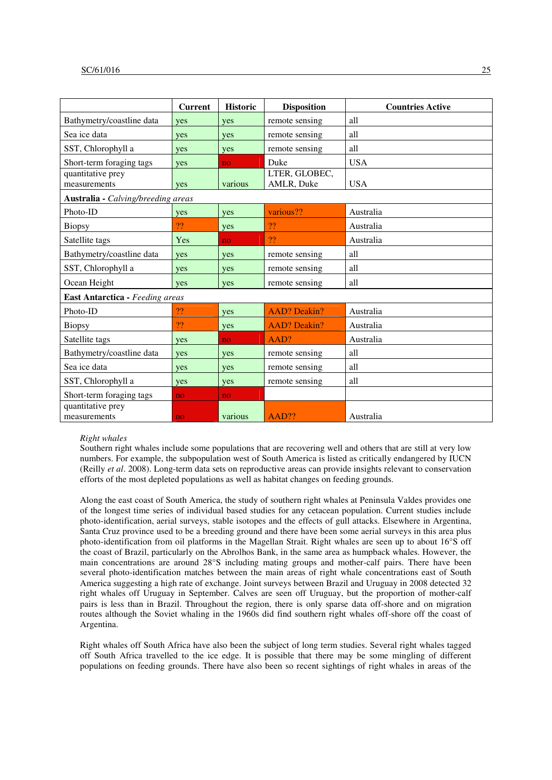|                                    | <b>Current</b> | <b>Historic</b> | <b>Disposition</b>  | <b>Countries Active</b> |  |  |  |  |  |
|------------------------------------|----------------|-----------------|---------------------|-------------------------|--|--|--|--|--|
| Bathymetry/coastline data          | yes            | yes             | remote sensing      | all                     |  |  |  |  |  |
| Sea ice data                       | yes            | yes             | remote sensing      | all                     |  |  |  |  |  |
| SST, Chlorophyll a                 | yes            | yes             | remote sensing      | all                     |  |  |  |  |  |
| Short-term foraging tags           | yes            | no              | Duke                | <b>USA</b>              |  |  |  |  |  |
| quantitative prey                  |                |                 | LTER, GLOBEC,       |                         |  |  |  |  |  |
| measurements                       | yes            | various         | AMLR, Duke          | <b>USA</b>              |  |  |  |  |  |
| Australia - Calving/breeding areas |                |                 |                     |                         |  |  |  |  |  |
| Photo-ID                           | <b>ves</b>     | yes             | various??           | Australia               |  |  |  |  |  |
| <b>Biopsy</b>                      | 22             | yes             | ??                  | Australia               |  |  |  |  |  |
| Satellite tags                     | Yes            | no.             | ??                  | Australia               |  |  |  |  |  |
| Bathymetry/coastline data          | yes            | yes             | remote sensing      | all                     |  |  |  |  |  |
| SST, Chlorophyll a                 | yes            | yes             | remote sensing      | all                     |  |  |  |  |  |
| Ocean Height                       | yes            | yes             | remote sensing      | all                     |  |  |  |  |  |
| East Antarctica - Feeding areas    |                |                 |                     |                         |  |  |  |  |  |
| Photo-ID                           | ??             | yes             | <b>AAD?</b> Deakin? | Australia               |  |  |  |  |  |
| <b>Biopsy</b>                      | ??             | yes             | <b>AAD?</b> Deakin? | Australia               |  |  |  |  |  |
| Satellite tags                     | yes            | no.             | AAD?                | Australia               |  |  |  |  |  |
| Bathymetry/coastline data          | yes            | yes             | remote sensing      | all                     |  |  |  |  |  |
| Sea ice data                       | yes            | yes             | remote sensing      | all                     |  |  |  |  |  |
| SST, Chlorophyll a                 | yes            | yes             | remote sensing      | all                     |  |  |  |  |  |
| Short-term foraging tags           | no             | no              |                     |                         |  |  |  |  |  |
| quantitative prey                  |                |                 |                     |                         |  |  |  |  |  |
| measurements                       | no.            | various         | AAD??               | Australia               |  |  |  |  |  |

#### *Right whales*

Southern right whales include some populations that are recovering well and others that are still at very low numbers. For example, the subpopulation west of South America is listed as critically endangered by IUCN (Reilly *et al*. 2008). Long-term data sets on reproductive areas can provide insights relevant to conservation efforts of the most depleted populations as well as habitat changes on feeding grounds.

Along the east coast of South America, the study of southern right whales at Peninsula Valdes provides one of the longest time series of individual based studies for any cetacean population. Current studies include photo-identification, aerial surveys, stable isotopes and the effects of gull attacks. Elsewhere in Argentina, Santa Cruz province used to be a breeding ground and there have been some aerial surveys in this area plus photo-identification from oil platforms in the Magellan Strait. Right whales are seen up to about 16°S off the coast of Brazil, particularly on the Abrolhos Bank, in the same area as humpback whales. However, the main concentrations are around 28°S including mating groups and mother-calf pairs. There have been several photo-identification matches between the main areas of right whale concentrations east of South America suggesting a high rate of exchange. Joint surveys between Brazil and Uruguay in 2008 detected 32 right whales off Uruguay in September. Calves are seen off Uruguay, but the proportion of mother-calf pairs is less than in Brazil. Throughout the region, there is only sparse data off-shore and on migration routes although the Soviet whaling in the 1960s did find southern right whales off-shore off the coast of Argentina.

Right whales off South Africa have also been the subject of long term studies. Several right whales tagged off South Africa travelled to the ice edge. It is possible that there may be some mingling of different populations on feeding grounds. There have also been so recent sightings of right whales in areas of the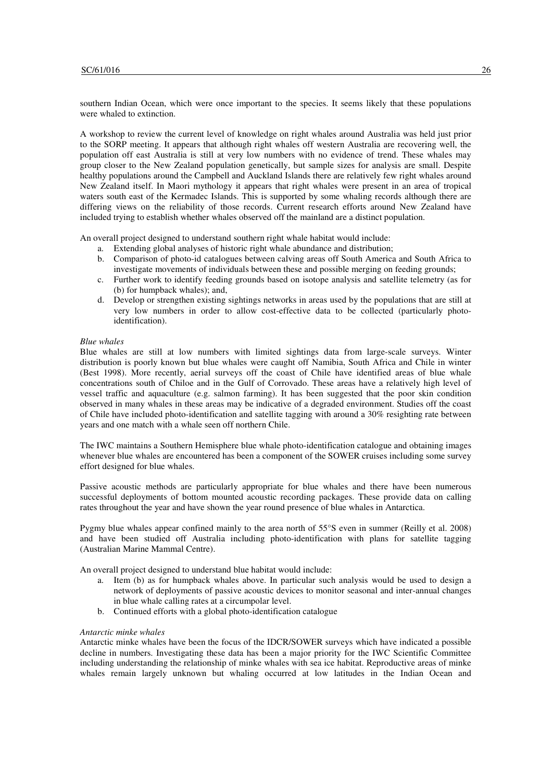southern Indian Ocean, which were once important to the species. It seems likely that these populations were whaled to extinction.

A workshop to review the current level of knowledge on right whales around Australia was held just prior to the SORP meeting. It appears that although right whales off western Australia are recovering well, the population off east Australia is still at very low numbers with no evidence of trend. These whales may group closer to the New Zealand population genetically, but sample sizes for analysis are small. Despite healthy populations around the Campbell and Auckland Islands there are relatively few right whales around New Zealand itself. In Maori mythology it appears that right whales were present in an area of tropical waters south east of the Kermadec Islands. This is supported by some whaling records although there are differing views on the reliability of those records. Current research efforts around New Zealand have included trying to establish whether whales observed off the mainland are a distinct population.

An overall project designed to understand southern right whale habitat would include:

- a. Extending global analyses of historic right whale abundance and distribution;
- b. Comparison of photo-id catalogues between calving areas off South America and South Africa to investigate movements of individuals between these and possible merging on feeding grounds;
- c. Further work to identify feeding grounds based on isotope analysis and satellite telemetry (as for (b) for humpback whales); and,
- d. Develop or strengthen existing sightings networks in areas used by the populations that are still at very low numbers in order to allow cost-effective data to be collected (particularly photoidentification).

## *Blue whales*

Blue whales are still at low numbers with limited sightings data from large-scale surveys. Winter distribution is poorly known but blue whales were caught off Namibia, South Africa and Chile in winter (Best 1998). More recently, aerial surveys off the coast of Chile have identified areas of blue whale concentrations south of Chiloe and in the Gulf of Corrovado. These areas have a relatively high level of vessel traffic and aquaculture (e.g. salmon farming). It has been suggested that the poor skin condition observed in many whales in these areas may be indicative of a degraded environment. Studies off the coast of Chile have included photo-identification and satellite tagging with around a 30% resighting rate between years and one match with a whale seen off northern Chile.

The IWC maintains a Southern Hemisphere blue whale photo-identification catalogue and obtaining images whenever blue whales are encountered has been a component of the SOWER cruises including some survey effort designed for blue whales.

Passive acoustic methods are particularly appropriate for blue whales and there have been numerous successful deployments of bottom mounted acoustic recording packages. These provide data on calling rates throughout the year and have shown the year round presence of blue whales in Antarctica.

Pygmy blue whales appear confined mainly to the area north of 55°S even in summer (Reilly et al. 2008) and have been studied off Australia including photo-identification with plans for satellite tagging (Australian Marine Mammal Centre).

An overall project designed to understand blue habitat would include:

- a. Item (b) as for humpback whales above. In particular such analysis would be used to design a network of deployments of passive acoustic devices to monitor seasonal and inter-annual changes in blue whale calling rates at a circumpolar level.
- b. Continued efforts with a global photo-identification catalogue

## *Antarctic minke whales*

Antarctic minke whales have been the focus of the IDCR/SOWER surveys which have indicated a possible decline in numbers. Investigating these data has been a major priority for the IWC Scientific Committee including understanding the relationship of minke whales with sea ice habitat. Reproductive areas of minke whales remain largely unknown but whaling occurred at low latitudes in the Indian Ocean and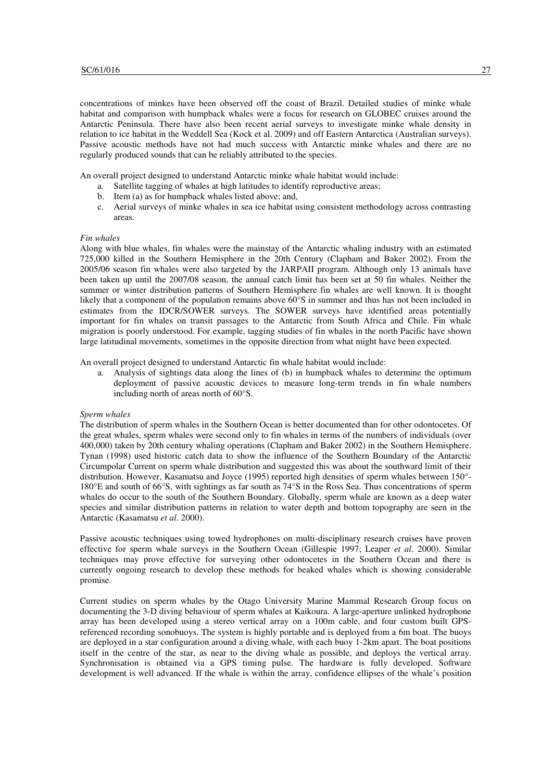concentrations of minkes have been observed off the coast of Brazil. Detailed studies of minke whale habitat and comparison with humpback whales were a focus for research on GLOBEC cruises around the Antarctic Peninsula. There have also been recent aerial surveys to investigate minke whale density in relation to ice habitat in the Weddell Sea (Kock et al. 2009) and off Eastern Antarctica (Australian surveys). Passive acoustic methods have not had much success with Antarctic minke whales and there are no regularly produced sounds that can be reliably attributed to the species.

An overall project designed to understand Antarctic minke whale habitat would include:

- a. Satellite tagging of whales at high latitudes to identify reproductive areas;
- b. Item (a) as for humpback whales listed above; and,
- c. Aerial surveys of minke whales in sea ice habitat using consistent methodology across contrasting areas.

#### *Fin whales*

Along with blue whales, fin whales were the mainstay of the Antarctic whaling industry with an estimated 725,000 killed in the Southern Hemisphere in the 20th Century (Clapham and Baker 2002). From the 2005/06 season fin whales were also targeted by the JARPAII program. Although only 13 animals have been taken up until the 2007/08 season, the annual catch limit has been set at 50 fin whales. Neither the summer or winter distribution patterns of Southern Hemisphere fin whales are well known. It is thought likely that a component of the population remains above  $60^{\circ}$ S in summer and thus has not been included in estimates from the IDCR/SOWER surveys. The SOWER surveys have identified areas potentially important for fin whales on transit passages to the Antarctic from South Africa and Chile. Fin whale migration is poorly understood. For example, tagging studies of fin whales in the north Pacific have shown large latitudinal movements, sometimes in the opposite direction from what might have been expected.

An overall project designed to understand Antarctic fin whale habitat would include:

a. Analysis of sightings data along the lines of (b) in humpback whales to determine the optimum deployment of passive acoustic devices to measure long-term trends in fin whale numbers including north of areas north of 60°S.

#### *Sperm whales*

The distribution of sperm whales in the Southern Ocean is better documented than for other odontocetes. Of the great whales, sperm whales were second only to fin whales in terms of the numbers of individuals (over 400,000) taken by 20th century whaling operations (Clapham and Baker 2002) in the Southern Hemisphere. Tynan (1998) used historic catch data to show the influence of the Southern Boundary of the Antarctic Circumpolar Current on sperm whale distribution and suggested this was about the southward limit of their distribution. However, Kasamatsu and Joyce (1995) reported high densities of sperm whales between 150°- 180°E and south of 66°S, with sightings as far south as 74°S in the Ross Sea. Thus concentrations of sperm whales do occur to the south of the Southern Boundary. Globally, sperm whale are known as a deep water species and similar distribution patterns in relation to water depth and bottom topography are seen in the Antarctic (Kasamatsu *et al*. 2000).

Passive acoustic techniques using towed hydrophones on multi-disciplinary research cruises have proven effective for sperm whale surveys in the Southern Ocean (Gillespie 1997; Leaper *et al*. 2000). Similar techniques may prove effective for surveying other odontocetes in the Southern Ocean and there is currently ongoing research to develop these methods for beaked whales which is showing considerable promise.

Current studies on sperm whales by the Otago University Marine Mammal Research Group focus on documenting the 3-D diving behaviour of sperm whales at Kaikoura. A large-aperture unlinked hydrophone array has been developed using a stereo vertical array on a 100m cable, and four custom built GPSreferenced recording sonobuoys. The system is highly portable and is deployed from a 6m boat. The buoys are deployed in a star configuration around a diving whale, with each buoy 1-2km apart. The boat positions itself in the centre of the star, as near to the diving whale as possible, and deploys the vertical array. Synchronisation is obtained via a GPS timing pulse. The hardware is fully developed. Software development is well advanced. If the whale is within the array, confidence ellipses of the whale's position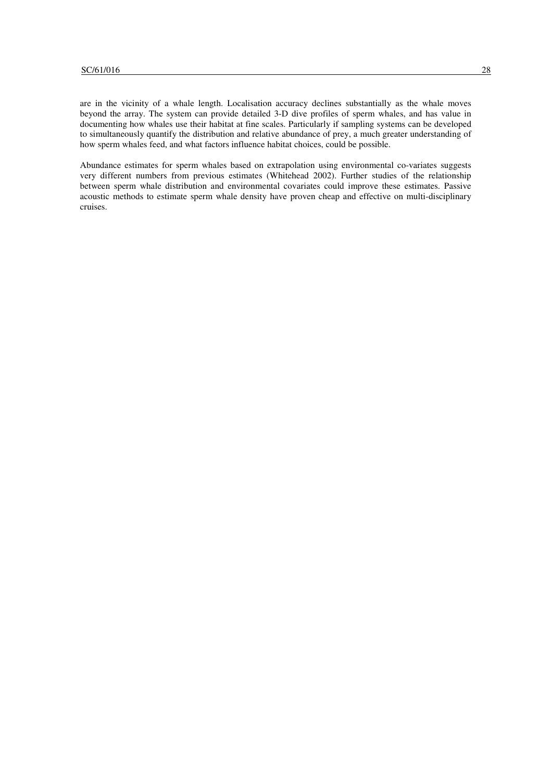are in the vicinity of a whale length. Localisation accuracy declines substantially as the whale moves beyond the array. The system can provide detailed 3-D dive profiles of sperm whales, and has value in documenting how whales use their habitat at fine scales. Particularly if sampling systems can be developed to simultaneously quantify the distribution and relative abundance of prey, a much greater understanding of how sperm whales feed, and what factors influence habitat choices, could be possible.

Abundance estimates for sperm whales based on extrapolation using environmental co-variates suggests very different numbers from previous estimates (Whitehead 2002). Further studies of the relationship between sperm whale distribution and environmental covariates could improve these estimates. Passive acoustic methods to estimate sperm whale density have proven cheap and effective on multi-disciplinary cruises.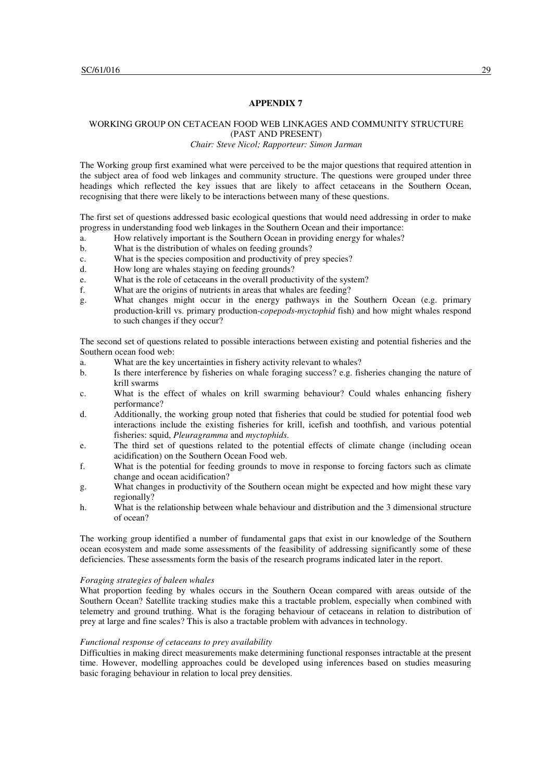## WORKING GROUP ON CETACEAN FOOD WEB LINKAGES AND COMMUNITY STRUCTURE (PAST AND PRESENT)

#### *Chair: Steve Nicol; Rapporteur: Simon Jarman*

The Working group first examined what were perceived to be the major questions that required attention in the subject area of food web linkages and community structure. The questions were grouped under three headings which reflected the key issues that are likely to affect cetaceans in the Southern Ocean, recognising that there were likely to be interactions between many of these questions.

The first set of questions addressed basic ecological questions that would need addressing in order to make progress in understanding food web linkages in the Southern Ocean and their importance:

- a. How relatively important is the Southern Ocean in providing energy for whales?
- b. What is the distribution of whales on feeding grounds?
- c. What is the species composition and productivity of prey species?
- d. How long are whales staying on feeding grounds?
- e. What is the role of cetaceans in the overall productivity of the system?
- f. What are the origins of nutrients in areas that whales are feeding?
- g. What changes might occur in the energy pathways in the Southern Ocean (e.g. primary production-krill vs. primary production-*copepods*-*myctophid* fish) and how might whales respond to such changes if they occur?

The second set of questions related to possible interactions between existing and potential fisheries and the Southern ocean food web:

- a. What are the key uncertainties in fishery activity relevant to whales?
- b. Is there interference by fisheries on whale foraging success? e.g. fisheries changing the nature of krill swarms
- c. What is the effect of whales on krill swarming behaviour? Could whales enhancing fishery performance?
- d. Additionally, the working group noted that fisheries that could be studied for potential food web interactions include the existing fisheries for krill, icefish and toothfish, and various potential fisheries: squid, *Pleuragramma* and *myctophids*.
- e. The third set of questions related to the potential effects of climate change (including ocean acidification) on the Southern Ocean Food web.
- f. What is the potential for feeding grounds to move in response to forcing factors such as climate change and ocean acidification?
- g. What changes in productivity of the Southern ocean might be expected and how might these vary regionally?
- h. What is the relationship between whale behaviour and distribution and the 3 dimensional structure of ocean?

The working group identified a number of fundamental gaps that exist in our knowledge of the Southern ocean ecosystem and made some assessments of the feasibility of addressing significantly some of these deficiencies. These assessments form the basis of the research programs indicated later in the report.

## *Foraging strategies of baleen whales*

What proportion feeding by whales occurs in the Southern Ocean compared with areas outside of the Southern Ocean? Satellite tracking studies make this a tractable problem, especially when combined with telemetry and ground truthing. What is the foraging behaviour of cetaceans in relation to distribution of prey at large and fine scales? This is also a tractable problem with advances in technology.

## *Functional response of cetaceans to prey availability*

Difficulties in making direct measurements make determining functional responses intractable at the present time. However, modelling approaches could be developed using inferences based on studies measuring basic foraging behaviour in relation to local prey densities.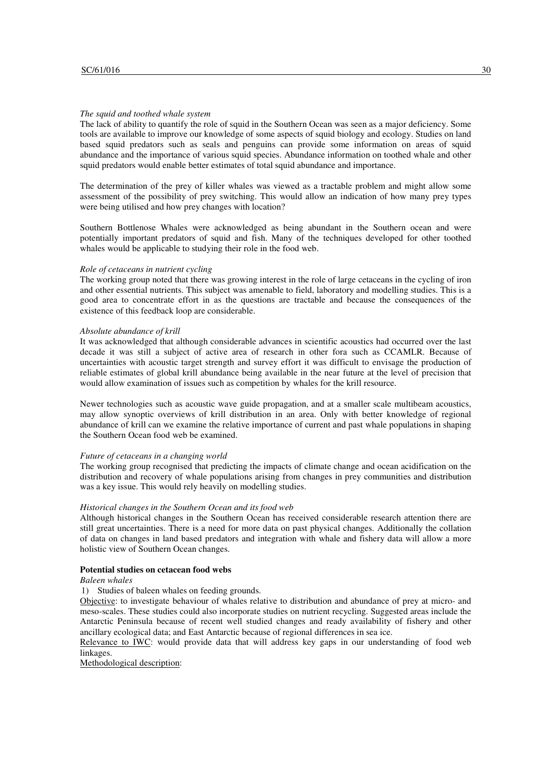#### *The squid and toothed whale system*

The lack of ability to quantify the role of squid in the Southern Ocean was seen as a major deficiency. Some tools are available to improve our knowledge of some aspects of squid biology and ecology. Studies on land based squid predators such as seals and penguins can provide some information on areas of squid abundance and the importance of various squid species. Abundance information on toothed whale and other squid predators would enable better estimates of total squid abundance and importance.

The determination of the prey of killer whales was viewed as a tractable problem and might allow some assessment of the possibility of prey switching. This would allow an indication of how many prey types were being utilised and how prey changes with location?

Southern Bottlenose Whales were acknowledged as being abundant in the Southern ocean and were potentially important predators of squid and fish. Many of the techniques developed for other toothed whales would be applicable to studying their role in the food web.

#### *Role of cetaceans in nutrient cycling*

The working group noted that there was growing interest in the role of large cetaceans in the cycling of iron and other essential nutrients. This subject was amenable to field, laboratory and modelling studies. This is a good area to concentrate effort in as the questions are tractable and because the consequences of the existence of this feedback loop are considerable.

## *Absolute abundance of krill*

It was acknowledged that although considerable advances in scientific acoustics had occurred over the last decade it was still a subject of active area of research in other fora such as CCAMLR. Because of uncertainties with acoustic target strength and survey effort it was difficult to envisage the production of reliable estimates of global krill abundance being available in the near future at the level of precision that would allow examination of issues such as competition by whales for the krill resource.

Newer technologies such as acoustic wave guide propagation, and at a smaller scale multibeam acoustics, may allow synoptic overviews of krill distribution in an area. Only with better knowledge of regional abundance of krill can we examine the relative importance of current and past whale populations in shaping the Southern Ocean food web be examined.

## *Future of cetaceans in a changing world*

The working group recognised that predicting the impacts of climate change and ocean acidification on the distribution and recovery of whale populations arising from changes in prey communities and distribution was a key issue. This would rely heavily on modelling studies.

## *Historical changes in the Southern Ocean and its food web*

Although historical changes in the Southern Ocean has received considerable research attention there are still great uncertainties. There is a need for more data on past physical changes. Additionally the collation of data on changes in land based predators and integration with whale and fishery data will allow a more holistic view of Southern Ocean changes.

## **Potential studies on cetacean food webs**

#### *Baleen whales*

1) Studies of baleen whales on feeding grounds.

Objective: to investigate behaviour of whales relative to distribution and abundance of prey at micro- and meso-scales. These studies could also incorporate studies on nutrient recycling. Suggested areas include the Antarctic Peninsula because of recent well studied changes and ready availability of fishery and other ancillary ecological data; and East Antarctic because of regional differences in sea ice.

Relevance to IWC: would provide data that will address key gaps in our understanding of food web linkages.

Methodological description: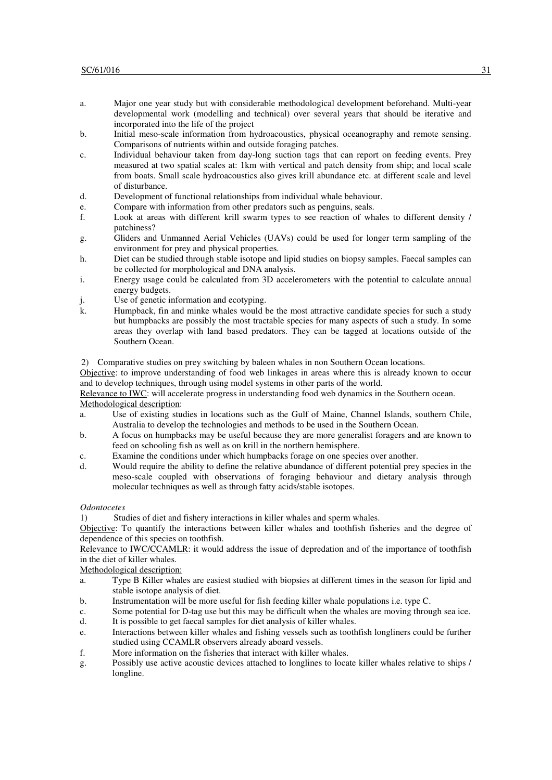- a. Major one year study but with considerable methodological development beforehand. Multi-year developmental work (modelling and technical) over several years that should be iterative and incorporated into the life of the project
- b. Initial meso-scale information from hydroacoustics, physical oceanography and remote sensing. Comparisons of nutrients within and outside foraging patches.
- c. Individual behaviour taken from day-long suction tags that can report on feeding events. Prey measured at two spatial scales at: 1km with vertical and patch density from ship; and local scale from boats. Small scale hydroacoustics also gives krill abundance etc. at different scale and level of disturbance.
- d. Development of functional relationships from individual whale behaviour.
- e. Compare with information from other predators such as penguins, seals.
- f. Look at areas with different krill swarm types to see reaction of whales to different density / patchiness?
- g. Gliders and Unmanned Aerial Vehicles (UAVs) could be used for longer term sampling of the environment for prey and physical properties.
- h. Diet can be studied through stable isotope and lipid studies on biopsy samples. Faecal samples can be collected for morphological and DNA analysis.
- i. Energy usage could be calculated from 3D accelerometers with the potential to calculate annual energy budgets.
- j. Use of genetic information and ecotyping.<br>
k. Humpback, fin and minke whales would b
- Humpback, fin and minke whales would be the most attractive candidate species for such a study but humpbacks are possibly the most tractable species for many aspects of such a study. In some areas they overlap with land based predators. They can be tagged at locations outside of the Southern Ocean.

2) Comparative studies on prey switching by baleen whales in non Southern Ocean locations.

Objective: to improve understanding of food web linkages in areas where this is already known to occur and to develop techniques, through using model systems in other parts of the world.

Relevance to IWC: will accelerate progress in understanding food web dynamics in the Southern ocean. Methodological description:

- a. Use of existing studies in locations such as the Gulf of Maine, Channel Islands, southern Chile, Australia to develop the technologies and methods to be used in the Southern Ocean.
- b. A focus on humpbacks may be useful because they are more generalist foragers and are known to feed on schooling fish as well as on krill in the northern hemisphere.
- c. Examine the conditions under which humpbacks forage on one species over another.
- d. Would require the ability to define the relative abundance of different potential prey species in the meso-scale coupled with observations of foraging behaviour and dietary analysis through molecular techniques as well as through fatty acids/stable isotopes.

#### *Odontocetes*

1) Studies of diet and fishery interactions in killer whales and sperm whales.

Objective: To quantify the interactions between killer whales and toothfish fisheries and the degree of dependence of this species on toothfish.

Relevance to **IWC/CCAMLR**: it would address the issue of depredation and of the importance of toothfish in the diet of killer whales.

Methodological description:

- a. Type B Killer whales are easiest studied with biopsies at different times in the season for lipid and stable isotope analysis of diet.
- b. Instrumentation will be more useful for fish feeding killer whale populations i.e. type C.
- c. Some potential for D-tag use but this may be difficult when the whales are moving through sea ice. d. It is possible to get faecal samples for diet analysis of killer whales.
- e. Interactions between killer whales and fishing vessels such as toothfish longliners could be further studied using CCAMLR observers already aboard vessels.
- f. More information on the fisheries that interact with killer whales.
- g. Possibly use active acoustic devices attached to longlines to locate killer whales relative to ships / longline.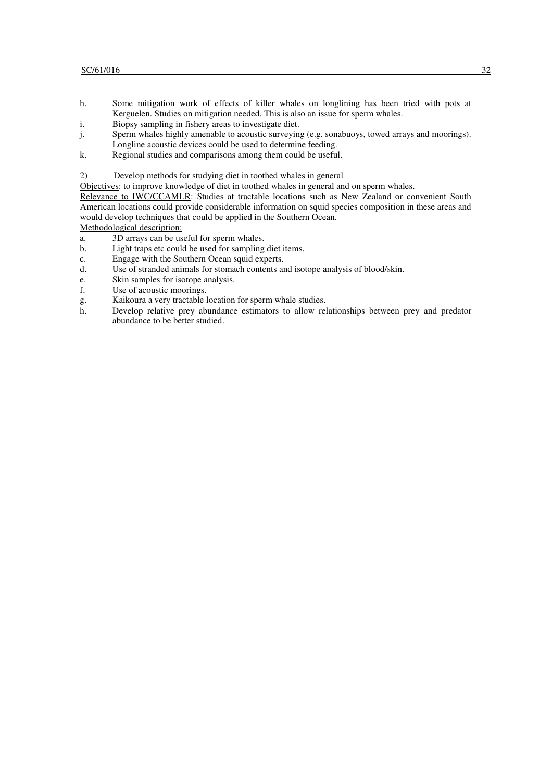- h. Some mitigation work of effects of killer whales on longlining has been tried with pots at Kerguelen. Studies on mitigation needed. This is also an issue for sperm whales.
- i. Biopsy sampling in fishery areas to investigate diet.
- j. Sperm whales highly amenable to acoustic surveying (e.g. sonabuoys, towed arrays and moorings).
- Longline acoustic devices could be used to determine feeding.
- k. Regional studies and comparisons among them could be useful.

2) Develop methods for studying diet in toothed whales in general

Objectives: to improve knowledge of diet in toothed whales in general and on sperm whales.

Relevance to IWC/CCAMLR: Studies at tractable locations such as New Zealand or convenient South American locations could provide considerable information on squid species composition in these areas and would develop techniques that could be applied in the Southern Ocean.

Methodological description:

- a. 3D arrays can be useful for sperm whales.
- b. Light traps etc could be used for sampling diet items.
- c. Engage with the Southern Ocean squid experts.
- d. Use of stranded animals for stomach contents and isotope analysis of blood/skin.
- e. Skin samples for isotope analysis.
- f. Use of acoustic moorings.
- g. Kaikoura a very tractable location for sperm whale studies.
- Develop relative prey abundance estimators to allow relationships between prey and predator abundance to be better studied.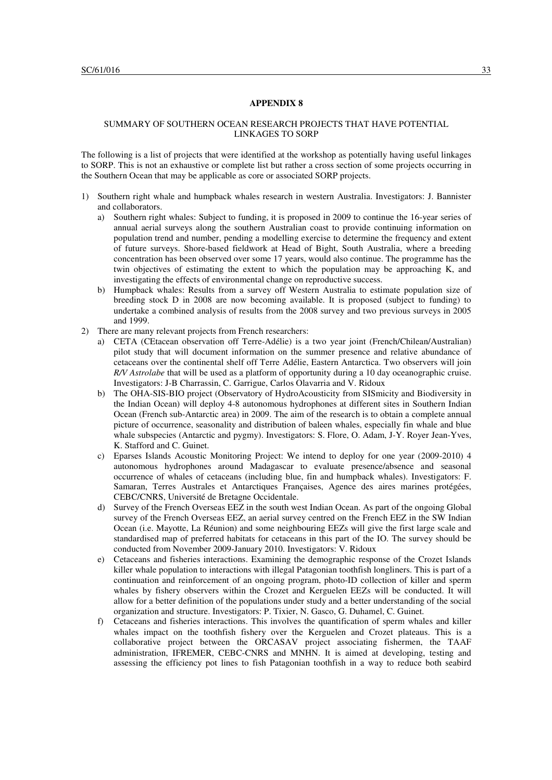## SUMMARY OF SOUTHERN OCEAN RESEARCH PROJECTS THAT HAVE POTENTIAL LINKAGES TO SORP

The following is a list of projects that were identified at the workshop as potentially having useful linkages to SORP. This is not an exhaustive or complete list but rather a cross section of some projects occurring in the Southern Ocean that may be applicable as core or associated SORP projects.

- 1) Southern right whale and humpback whales research in western Australia. Investigators: J. Bannister and collaborators.
	- a) Southern right whales: Subject to funding, it is proposed in 2009 to continue the 16-year series of annual aerial surveys along the southern Australian coast to provide continuing information on population trend and number, pending a modelling exercise to determine the frequency and extent of future surveys. Shore-based fieldwork at Head of Bight, South Australia, where a breeding concentration has been observed over some 17 years, would also continue. The programme has the twin objectives of estimating the extent to which the population may be approaching K, and investigating the effects of environmental change on reproductive success.
	- b) Humpback whales: Results from a survey off Western Australia to estimate population size of breeding stock D in 2008 are now becoming available. It is proposed (subject to funding) to undertake a combined analysis of results from the 2008 survey and two previous surveys in 2005 and 1999.
- 2) There are many relevant projects from French researchers:
	- a) CETA (CEtacean observation off Terre-Adélie) is a two year joint (French/Chilean/Australian) pilot study that will document information on the summer presence and relative abundance of cetaceans over the continental shelf off Terre Adélie, Eastern Antarctica. Two observers will join *R/V Astrolabe* that will be used as a platform of opportunity during a 10 day oceanographic cruise. Investigators: J-B Charrassin, C. Garrigue, Carlos Olavarria and V. Ridoux
	- b) The OHA-SIS-BIO project (Observatory of HydroAcousticity from SISmicity and Biodiversity in the Indian Ocean) will deploy 4-8 autonomous hydrophones at different sites in Southern Indian Ocean (French sub-Antarctic area) in 2009. The aim of the research is to obtain a complete annual picture of occurrence, seasonality and distribution of baleen whales, especially fin whale and blue whale subspecies (Antarctic and pygmy). Investigators: S. Flore, O. Adam, J-Y. Royer Jean-Yves, K. Stafford and C. Guinet.
	- c) Eparses Islands Acoustic Monitoring Project: We intend to deploy for one year (2009-2010) 4 autonomous hydrophones around Madagascar to evaluate presence/absence and seasonal occurrence of whales of cetaceans (including blue, fin and humpback whales). Investigators: F. Samaran, Terres Australes et Antarctiques Françaises, Agence des aires marines protégées, CEBC/CNRS, Université de Bretagne Occidentale.
	- d) Survey of the French Overseas EEZ in the south west Indian Ocean. As part of the ongoing Global survey of the French Overseas EEZ, an aerial survey centred on the French EEZ in the SW Indian Ocean (i.e. Mayotte, La Réunion) and some neighbouring EEZs will give the first large scale and standardised map of preferred habitats for cetaceans in this part of the IO. The survey should be conducted from November 2009-January 2010. Investigators: V. Ridoux
	- e) Cetaceans and fisheries interactions. Examining the demographic response of the Crozet Islands killer whale population to interactions with illegal Patagonian toothfish longliners. This is part of a continuation and reinforcement of an ongoing program, photo-ID collection of killer and sperm whales by fishery observers within the Crozet and Kerguelen EEZs will be conducted. It will allow for a better definition of the populations under study and a better understanding of the social organization and structure. Investigators: P. Tixier, N. Gasco, G. Duhamel, C. Guinet.
	- f) Cetaceans and fisheries interactions. This involves the quantification of sperm whales and killer whales impact on the toothfish fishery over the Kerguelen and Crozet plateaus. This is a collaborative project between the ORCASAV project associating fishermen, the TAAF administration, IFREMER, CEBC-CNRS and MNHN. It is aimed at developing, testing and assessing the efficiency pot lines to fish Patagonian toothfish in a way to reduce both seabird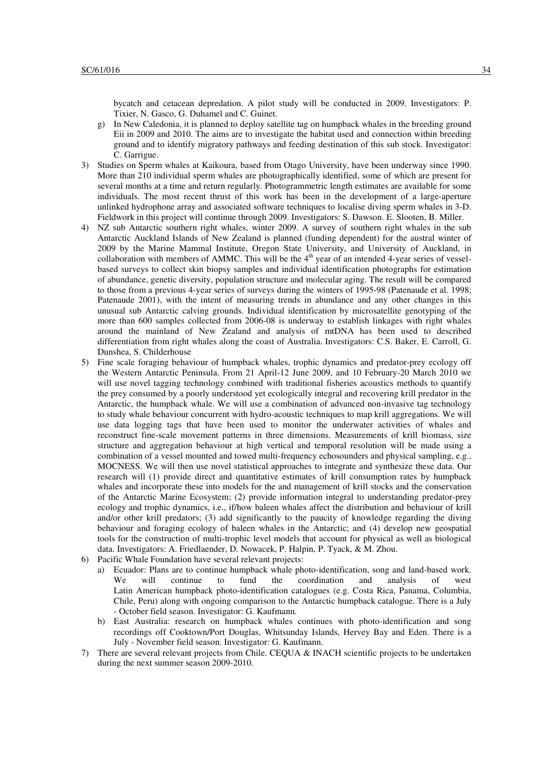bycatch and cetacean depredation. A pilot study will be conducted in 2009. Investigators: P. Tixier, N. Gasco, G. Duhamel and C. Guinet.

- g) In New Caledonia, it is planned to deploy satellite tag on humpback whales in the breeding ground Eii in 2009 and 2010. The aims are to investigate the habitat used and connection within breeding ground and to identify migratory pathways and feeding destination of this sub stock. Investigator: C. Garrigue.
- 3) Studies on Sperm whales at Kaikoura, based from Otago University, have been underway since 1990. More than 210 individual sperm whales are photographically identified, some of which are present for several months at a time and return regularly. Photogrammetric length estimates are available for some individuals. The most recent thrust of this work has been in the development of a large-aperture unlinked hydrophone array and associated software techniques to localise diving sperm whales in 3-D. Fieldwork in this project will continue through 2009. Investigators: S. Dawson. E. Slooten, B. Miller.
- 4) NZ sub Antarctic southern right whales, winter 2009. A survey of southern right whales in the sub Antarctic Auckland Islands of New Zealand is planned (funding dependent) for the austral winter of 2009 by the Marine Mammal Institute, Oregon State University, and University of Auckland, in collaboration with members of AMMC. This will be the 4<sup>th</sup> year of an intended 4-year series of vesselbased surveys to collect skin biopsy samples and individual identification photographs for estimation of abundance, genetic diversity, population structure and molecular aging. The result will be compared to those from a previous 4-year series of surveys during the winters of 1995-98 (Patenaude et al. 1998; Patenaude 2001), with the intent of measuring trends in abundance and any other changes in this unusual sub Antarctic calving grounds. Individual identification by microsatellite genotyping of the more than 600 samples collected from 2006-08 is underway to establish linkages with right whales around the mainland of New Zealand and analysis of mtDNA has been used to described differentiation from right whales along the coast of Australia. Investigators: C.S. Baker, E. Carroll, G. Dunshea, S. Childerhouse
- 5) Fine scale foraging behaviour of humpback whales, trophic dynamics and predator-prey ecology off the Western Antarctic Peninsula. From 21 April-12 June 2009, and 10 February-20 March 2010 we will use novel tagging technology combined with traditional fisheries acoustics methods to quantify the prey consumed by a poorly understood yet ecologically integral and recovering krill predator in the Antarctic, the humpback whale. We will use a combination of advanced non-invasive tag technology to study whale behaviour concurrent with hydro-acoustic techniques to map krill aggregations. We will use data logging tags that have been used to monitor the underwater activities of whales and reconstruct fine-scale movement patterns in three dimensions. Measurements of krill biomass, size structure and aggregation behaviour at high vertical and temporal resolution will be made using a combination of a vessel mounted and towed multi-frequency echosounders and physical sampling, e.g., MOCNESS. We will then use novel statistical approaches to integrate and synthesize these data. Our research will (1) provide direct and quantitative estimates of krill consumption rates by humpback whales and incorporate these into models for the and management of krill stocks and the conservation of the Antarctic Marine Ecosystem; (2) provide information integral to understanding predator-prey ecology and trophic dynamics, i.e., if/how baleen whales affect the distribution and behaviour of krill and/or other krill predators; (3) add significantly to the paucity of knowledge regarding the diving behaviour and foraging ecology of baleen whales in the Antarctic; and (4) develop new geospatial tools for the construction of multi-trophic level models that account for physical as well as biological data. Investigators: A. Friedlaender, D. Nowacek, P. Halpin, P. Tyack, & M. Zhou.
- 6) Pacific Whale Foundation have several relevant projects:
	- a) Ecuador: Plans are to continue humpback whale photo-identification, song and land-based work. We will continue to fund the coordination and analysis of west Latin American humpback photo-identification catalogues (e.g. Costa Rica, Panama, Columbia, Chile, Peru) along with ongoing comparison to the Antarctic humpback catalogue. There is a July - October field season. Investigator: G. Kaufmann.
	- b) East Australia: research on humpback whales continues with photo-identification and song recordings off Cooktown/Port Douglas, Whitsunday Islands, Hervey Bay and Eden. There is a July - November field season. Investigator: G. Kaufmann.
- 7) There are several relevant projects from Chile. CEQUA & INACH scientific projects to be undertaken during the next summer season 2009-2010.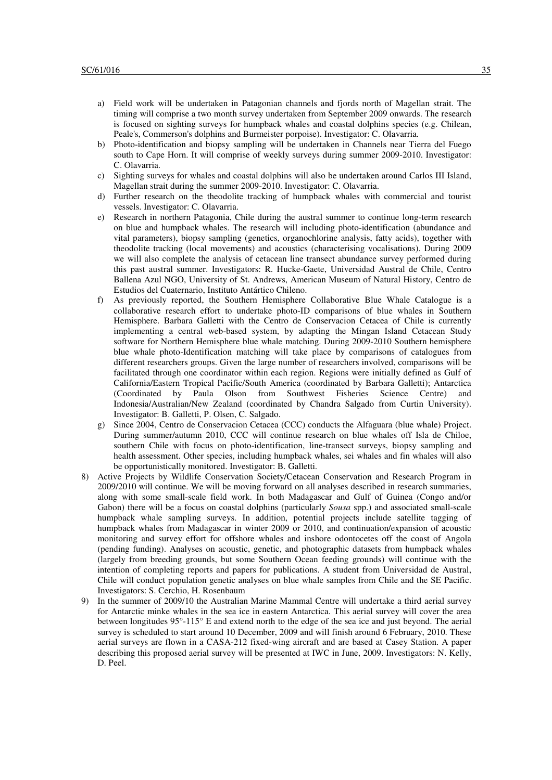- a) Field work will be undertaken in Patagonian channels and fjords north of Magellan strait. The timing will comprise a two month survey undertaken from September 2009 onwards. The research is focused on sighting surveys for humpback whales and coastal dolphins species (e.g. Chilean, Peale's, Commerson's dolphins and Burmeister porpoise). Investigator: C. Olavarria.
- b) Photo-identification and biopsy sampling will be undertaken in Channels near Tierra del Fuego south to Cape Horn. It will comprise of weekly surveys during summer 2009-2010. Investigator: C. Olavarria.
- c) Sighting surveys for whales and coastal dolphins will also be undertaken around Carlos III Island, Magellan strait during the summer 2009-2010. Investigator: C. Olavarria.
- d) Further research on the theodolite tracking of humpback whales with commercial and tourist vessels. Investigator: C. Olavarria.
- e) Research in northern Patagonia, Chile during the austral summer to continue long-term research on blue and humpback whales. The research will including photo-identification (abundance and vital parameters), biopsy sampling (genetics, organochlorine analysis, fatty acids), together with theodolite tracking (local movements) and acoustics (characterising vocalisations). During 2009 we will also complete the analysis of cetacean line transect abundance survey performed during this past austral summer. Investigators: R. Hucke-Gaete, Universidad Austral de Chile, Centro Ballena Azul NGO, University of St. Andrews, American Museum of Natural History, Centro de Estudios del Cuaternario, Instituto Antártico Chileno.
- f) As previously reported, the Southern Hemisphere Collaborative Blue Whale Catalogue is a collaborative research effort to undertake photo-ID comparisons of blue whales in Southern Hemisphere. Barbara Galletti with the Centro de Conservacion Cetacea of Chile is currently implementing a central web-based system, by adapting the Mingan Island Cetacean Study software for Northern Hemisphere blue whale matching. During 2009-2010 Southern hemisphere blue whale photo-Identification matching will take place by comparisons of catalogues from different researchers groups. Given the large number of researchers involved, comparisons will be facilitated through one coordinator within each region. Regions were initially defined as Gulf of California/Eastern Tropical Pacific/South America (coordinated by Barbara Galletti); Antarctica (Coordinated by Paula Olson from Southwest Fisheries Science Centre) and Indonesia/Australian/New Zealand (coordinated by Chandra Salgado from Curtin University). Investigator: B. Galletti, P. Olsen, C. Salgado.
- g) Since 2004, Centro de Conservacion Cetacea (CCC) conducts the Alfaguara (blue whale) Project. During summer/autumn 2010, CCC will continue research on blue whales off Isla de Chiloe, southern Chile with focus on photo-identification, line-transect surveys, biopsy sampling and health assessment. Other species, including humpback whales, sei whales and fin whales will also be opportunistically monitored. Investigator: B. Galletti.
- 8) Active Projects by Wildlife Conservation Society/Cetacean Conservation and Research Program in 2009/2010 will continue. We will be moving forward on all analyses described in research summaries, along with some small-scale field work. In both Madagascar and Gulf of Guinea (Congo and/or Gabon) there will be a focus on coastal dolphins (particularly *Sousa* spp.) and associated small-scale humpback whale sampling surveys. In addition, potential projects include satellite tagging of humpback whales from Madagascar in winter 2009 or 2010, and continuation/expansion of acoustic monitoring and survey effort for offshore whales and inshore odontocetes off the coast of Angola (pending funding). Analyses on acoustic, genetic, and photographic datasets from humpback whales (largely from breeding grounds, but some Southern Ocean feeding grounds) will continue with the intention of completing reports and papers for publications. A student from Universidad de Austral, Chile will conduct population genetic analyses on blue whale samples from Chile and the SE Pacific. Investigators: S. Cerchio, H. Rosenbaum
- 9) In the summer of 2009/10 the Australian Marine Mammal Centre will undertake a third aerial survey for Antarctic minke whales in the sea ice in eastern Antarctica. This aerial survey will cover the area between longitudes 95°-115° E and extend north to the edge of the sea ice and just beyond. The aerial survey is scheduled to start around 10 December, 2009 and will finish around 6 February, 2010. These aerial surveys are flown in a CASA-212 fixed-wing aircraft and are based at Casey Station. A paper describing this proposed aerial survey will be presented at IWC in June, 2009. Investigators: N. Kelly, D. Peel.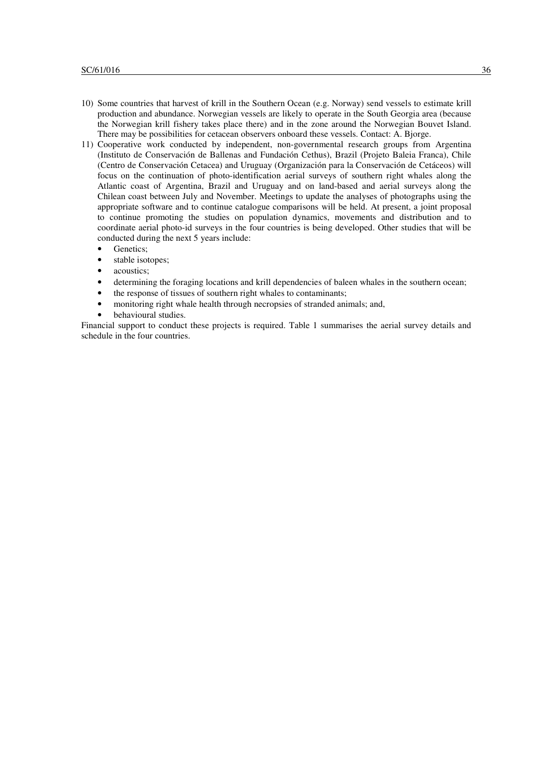- 10) Some countries that harvest of krill in the Southern Ocean (e.g. Norway) send vessels to estimate krill production and abundance. Norwegian vessels are likely to operate in the South Georgia area (because the Norwegian krill fishery takes place there) and in the zone around the Norwegian Bouvet Island. There may be possibilities for cetacean observers onboard these vessels. Contact: A. Bjorge.
- 11) Cooperative work conducted by independent, non-governmental research groups from Argentina (Instituto de Conservación de Ballenas and Fundación Cethus), Brazil (Projeto Baleia Franca), Chile (Centro de Conservación Cetacea) and Uruguay (Organización para la Conservación de Cetáceos) will focus on the continuation of photo-identification aerial surveys of southern right whales along the Atlantic coast of Argentina, Brazil and Uruguay and on land-based and aerial surveys along the Chilean coast between July and November. Meetings to update the analyses of photographs using the appropriate software and to continue catalogue comparisons will be held. At present, a joint proposal to continue promoting the studies on population dynamics, movements and distribution and to coordinate aerial photo-id surveys in the four countries is being developed. Other studies that will be conducted during the next 5 years include:
	- Genetics:
	- stable isotopes:
	- acoustics:
	- determining the foraging locations and krill dependencies of baleen whales in the southern ocean;
	- the response of tissues of southern right whales to contaminants;
	- monitoring right whale health through necropsies of stranded animals; and,
	- behavioural studies.

Financial support to conduct these projects is required. Table 1 summarises the aerial survey details and schedule in the four countries.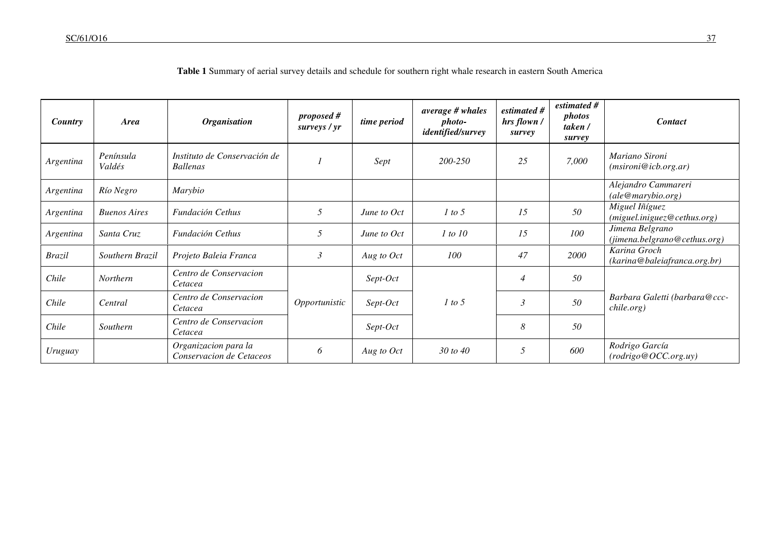| <b>Country</b> | <b>Area</b>         | <b>Organisation</b>                              | proposed#<br>surveys / yr | time period | average # whales<br>photo-<br><i>identified/survey</i> | estimated #<br>hrs flown /<br>survey | estimated #<br><i>photos</i><br>taken /<br>survey | <b>Contact</b>                                  |
|----------------|---------------------|--------------------------------------------------|---------------------------|-------------|--------------------------------------------------------|--------------------------------------|---------------------------------------------------|-------------------------------------------------|
| Argentina      | Península<br>Valdés | Instituto de Conservación de<br><b>Ballenas</b>  |                           | Sept        | 200-250                                                | 25                                   | 7,000                                             | Mariano Sironi<br>(msironi@icb.org.ar)          |
| Argentina      | Río Negro           | Marybio                                          |                           |             |                                                        |                                      |                                                   | Alejandro Cammareri<br>ale@marvbio.org)         |
| Argentina      | <b>Buenos Aires</b> | Fundación Cethus                                 | 5                         | June to Oct | 1 to 5                                                 | 15                                   | 50                                                | Miguel Iñíguez<br>(miquel.iniguez@cethus.org)   |
| Argentina      | Santa Cruz          | Fundación Cethus                                 | 5                         | June to Oct | 1 to 10                                                | 15                                   | 100                                               | Jimena Belgrano<br>(jimena.belgrano@cethus.org) |
| <b>Brazil</b>  | Southern Brazil     | Projeto Baleia Franca                            | $\mathfrak{Z}$            | Aug to Oct  | 100                                                    | 47                                   | 2000                                              | Karina Groch<br>(karina@baleiafranca.org.br)    |
| Chile          | <b>Northern</b>     | Centro de Conservacion<br>Cetacea                |                           | Sept-Oct    |                                                        | $\overline{4}$                       | 50                                                |                                                 |
| Chile          | Central             | Centro de Conservacion<br>Cetacea                | Opportunistic             | Sept-Oct    | 1 to 5                                                 | 3                                    | 50                                                | Barbara Galetti (barbara@ccc-<br>chile.org)     |
| Chile          | Southern            | Centro de Conservacion<br>Cetacea                |                           | Sept-Oct    |                                                        | 8                                    | 50                                                |                                                 |
| Uruguay        |                     | Organizacion para la<br>Conservacion de Cetaceos | 6                         | Aug to Oct  | 30 to 40                                               | 5                                    | 600                                               | Rodrigo García<br>(rodrigo@OCC.org.uy)          |

**Table 1** Summary of aerial survey details and schedule for southern right whale research in eastern South America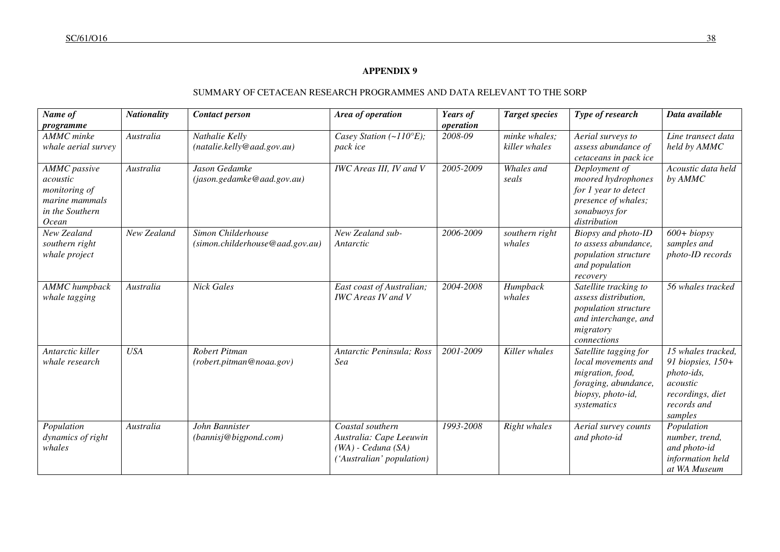# SUMMARY OF CETACEAN RESEARCH PROGRAMMES AND DATA RELEVANT TO THE SORP

| Name of<br>programme                                                                                  | <b>Nationality</b> | <b>Contact person</b>                                 | Area of operation                                                                                  | Years of<br>operation | <b>Target species</b>          | Type of research                                                                                                             | Data available                                                                                                  |
|-------------------------------------------------------------------------------------------------------|--------------------|-------------------------------------------------------|----------------------------------------------------------------------------------------------------|-----------------------|--------------------------------|------------------------------------------------------------------------------------------------------------------------------|-----------------------------------------------------------------------------------------------------------------|
| <b>AMMC</b> minke<br>whale aerial survey                                                              | Australia          | Nathalie Kelly<br>(natalie.kelly@aad.gov.au)          | Casey Station (~110°E);<br>pack ice                                                                | 2008-09               | minke whales:<br>killer whales | Aerial surveys to<br>assess abundance of<br>cetaceans in pack ice                                                            | Line transect data<br>held by AMMC                                                                              |
| <b>AMMC</b> passive<br>acoustic<br>monitoring of<br>marine mammals<br>in the Southern<br><i>Ocean</i> | Australia          | Jason Gedamke<br>(jason.gedamke@aad.gov.au)           | <b>IWC</b> Areas III, IV and V                                                                     | 2005-2009             | Whales and<br>seals            | Deployment of<br>moored hydrophones<br>for 1 year to detect<br>presence of whales;<br>sonabuoys for<br>distribution          | Acoustic data held<br>by AMMC                                                                                   |
| New Zealand<br>southern right<br>whale project                                                        | New Zealand        | Simon Childerhouse<br>(simon.childerhouse@aad.gov.au) | New Zealand sub-<br>Antarctic                                                                      | 2006-2009             | southern right<br>whales       | Biopsy and photo-ID<br>to assess abundance,<br>population structure<br>and population<br>recovery                            | $600 + biopsy$<br>samples and<br>photo-ID records                                                               |
| <b>AMMC</b> humpback<br>whale tagging                                                                 | Australia          | <b>Nick Gales</b>                                     | East coast of Australian;<br><b>IWC</b> Areas <b>IV</b> and <b>V</b>                               | 2004-2008             | Humpback<br>whales             | Satellite tracking to<br>assess distribution,<br>population structure<br>and interchange, and<br>migratory<br>connections    | 56 whales tracked                                                                                               |
| Antarctic killer<br>whale research                                                                    | <b>USA</b>         | Robert Pitman<br>(robert.pitman@noaa.gov)             | Antarctic Peninsula; Ross<br>Sea                                                                   | 2001-2009             | Killer whales                  | Satellite tagging for<br>local movements and<br>migration, food,<br>foraging, abundance,<br>biopsy, photo-id,<br>systematics | 15 whales tracked,<br>91 biopsies, 150+<br>photo-ids,<br>acoustic<br>recordings, diet<br>records and<br>samples |
| Population<br>dynamics of right<br>whales                                                             | Australia          | John Bannister<br>(bannisj@bigpond.com)               | Coastal southern<br>Australia: Cape Leeuwin<br>$(WA)$ - Ceduna $(SA)$<br>('Australian' population) | 1993-2008             | Right whales                   | Aerial survey counts<br>and photo-id                                                                                         | Population<br>number, trend,<br>and photo-id<br>information held<br>at WA Museum                                |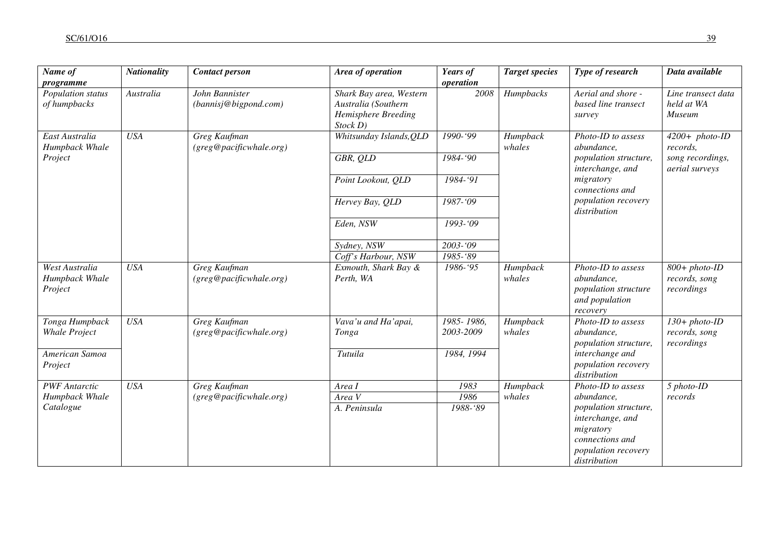| $\overline{Name}$ of<br>programme           | <b>Nationality</b> | <b>Contact person</b>                   | Area of operation                                                                 | Years of<br>operation   | <b>Target species</b>               | Type of research                                                                       | Data available                                   |
|---------------------------------------------|--------------------|-----------------------------------------|-----------------------------------------------------------------------------------|-------------------------|-------------------------------------|----------------------------------------------------------------------------------------|--------------------------------------------------|
| Population status<br>of humpbacks           | Australia          | John Bannister<br>(bannisj@bigpond.com) | Shark Bay area, Western<br>Australia (Southern<br>Hemisphere Breeding<br>Stock D) | 2008                    | Humpbacks                           | Aerial and shore -<br>based line transect<br>survey                                    | Line transect data<br>held at WA<br>Museum       |
| East Australia<br>Humpback Whale            | <b>USA</b>         | Greg Kaufman<br>(greg@pacificwhale.org) | Whitsunday Islands, OLD<br>1990-'99<br>whales                                     | Humpback                | Photo-ID to assess<br>abundance,    | $4200+$ photo-ID<br>records,                                                           |                                                  |
| Project                                     |                    |                                         | GBR, QLD                                                                          | 1984-'90                |                                     | population structure,<br>interchange, and<br>migratory<br>connections and              | song recordings,<br>aerial surveys               |
|                                             |                    |                                         | Point Lookout, QLD                                                                | 1984-'91                |                                     |                                                                                        |                                                  |
|                                             |                    | Hervey Bay, QLD                         | 1987-'09                                                                          |                         | population recovery<br>distribution |                                                                                        |                                                  |
|                                             |                    |                                         | Eden, NSW                                                                         | 1993-'09                |                                     |                                                                                        |                                                  |
|                                             |                    |                                         | Sydney, NSW                                                                       | $2003 - 09$             |                                     |                                                                                        |                                                  |
|                                             |                    |                                         | Coff's Harbour, NSW                                                               | 1985-'89                |                                     |                                                                                        |                                                  |
| West Australia<br>Humpback Whale<br>Project | <b>USA</b>         | Greg Kaufman<br>(greg@pacificwhale.org) | Exmouth, Shark Bay &<br>Perth, WA                                                 | 1986-'95                | Humpback<br>whales                  | Photo-ID to assess<br>abundance,<br>population structure<br>and population<br>recovery | $800 + photo$ -ID<br>records, song<br>recordings |
| Tonga Humpback<br><b>Whale Project</b>      | <b>USA</b>         | Greg Kaufman<br>(greg@pacificwhale.org) | Vava'u and Ha'apai,<br>Tonga                                                      | 1985-1986,<br>2003-2009 | Humpback<br>whales                  | Photo-ID to assess<br>abundance,<br>population structure,                              | $130+ photo-ID$<br>records, song<br>recordings   |
| American Samoa<br>Project                   |                    |                                         | Tutuila                                                                           | 1984, 1994              |                                     | interchange and<br>population recovery<br>distribution                                 |                                                  |
| <b>PWF</b> Antarctic                        | <b>USA</b>         | Greg Kaufman                            | Area I                                                                            | 1983                    | Humpback                            | Photo-ID to assess                                                                     | $5$ photo-ID                                     |
| Humpback Whale                              |                    | (greg@pacificwhale.org)                 | Area V                                                                            | 1986                    | whales                              | abundance,                                                                             | records                                          |
| Catalogue                                   |                    |                                         | A. Peninsula                                                                      | 1988-'89                |                                     | population structure,<br>interchange, and<br>migratory                                 |                                                  |
|                                             |                    |                                         |                                                                                   |                         |                                     | connections and<br>population recovery<br>distribution                                 |                                                  |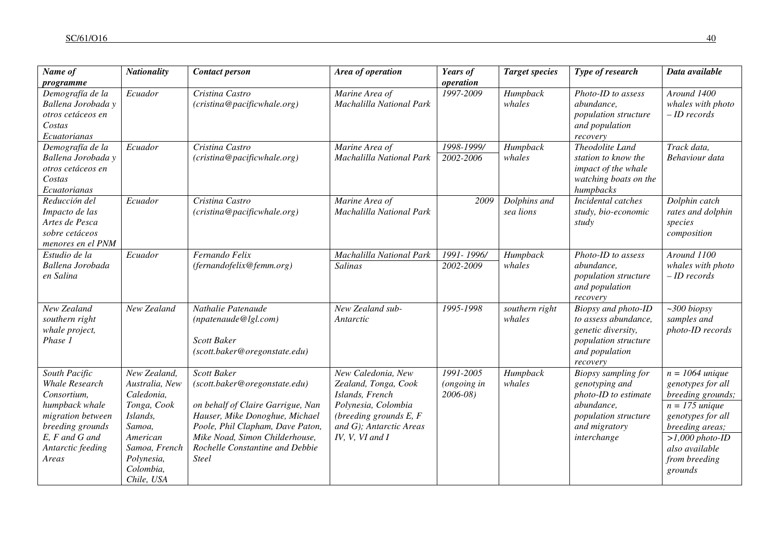| Name of<br>programme                                                                                                                                      | <b>Nationality</b>                                                                                                                                      | <b>Contact person</b>                                                                                                                                                                                                                               | Area of operation                                                                                                                                              | Years of<br>operation                   | <b>Target species</b>     | Type of research                                                                                                                    | Data available                                                                                                                                                                             |
|-----------------------------------------------------------------------------------------------------------------------------------------------------------|---------------------------------------------------------------------------------------------------------------------------------------------------------|-----------------------------------------------------------------------------------------------------------------------------------------------------------------------------------------------------------------------------------------------------|----------------------------------------------------------------------------------------------------------------------------------------------------------------|-----------------------------------------|---------------------------|-------------------------------------------------------------------------------------------------------------------------------------|--------------------------------------------------------------------------------------------------------------------------------------------------------------------------------------------|
| Demografía de la<br>Ballena Jorobada y<br>otros cetáceos en<br>Costas<br>Ecuatorianas                                                                     | Ecuador                                                                                                                                                 | Cristina Castro<br>(cristina@pacificwhale.org)                                                                                                                                                                                                      | Marine Area of<br>Machalilla National Park                                                                                                                     | 1997-2009                               | Humpback<br>whales        | Photo-ID to assess<br>abundance,<br>population structure<br>and population<br>recovery                                              | Around 1400<br>whales with photo<br>$-ID$ records                                                                                                                                          |
| Demografía de la<br>Ballena Jorobada y<br>otros cetáceos en<br>Costas<br>Ecuatorianas                                                                     | Ecuador                                                                                                                                                 | Cristina Castro<br>(cristina@pacificwhale.org)                                                                                                                                                                                                      | Marine Area of<br>Machalilla National Park                                                                                                                     | 1998-1999/<br>2002-2006                 | Humpback<br>whales        | Theodolite Land<br>station to know the<br>impact of the whale<br>watching boats on the<br>humpbacks                                 | Track data,<br>Behaviour data                                                                                                                                                              |
| Reducción del<br>Impacto de las<br>Artes de Pesca<br>sobre cetáceos<br>menores en el PNM                                                                  | Ecuador                                                                                                                                                 | Cristina Castro<br>(cristina@pacificwhale.org)                                                                                                                                                                                                      | Marine Area of<br>Machalilla National Park                                                                                                                     | 2009                                    | Dolphins and<br>sea lions | Incidental catches<br>study, bio-economic<br>study                                                                                  | Dolphin catch<br>rates and dolphin<br>species<br>composition                                                                                                                               |
| Estudio de la<br>Ballena Jorobada<br>en Salina                                                                                                            | Ecuador                                                                                                                                                 | Fernando Felix<br>(fernandofelix@femm.org)                                                                                                                                                                                                          | Machalilla National Park<br>Salinas                                                                                                                            | 1991-1996/<br>2002-2009                 | Humpback<br>whales        | Photo-ID to assess<br>abundance,<br>population structure<br>and population<br>recovery                                              | Around 1100<br>whales with photo<br>$-ID$ records                                                                                                                                          |
| New Zealand<br>southern right<br>whale project,<br>Phase 1                                                                                                | New Zealand                                                                                                                                             | Nathalie Patenaude<br>(npatenaude@lgl.com)<br><b>Scott Baker</b><br>(scott.baker@oregonstate.edu)                                                                                                                                                   | New Zealand sub-<br>Antarctic                                                                                                                                  | 1995-1998                               | southern right<br>whales  | Biopsy and photo-ID<br>to assess abundance,<br>genetic diversity,<br>population structure<br>and population<br>recovery             | $~500$ biopsy<br>samples and<br>photo-ID records                                                                                                                                           |
| South Pacific<br>Whale Research<br>Consortium,<br>humpback whale<br>migration between<br>breeding grounds<br>E, F and G and<br>Antarctic feeding<br>Areas | New Zealand,<br>Australia, New<br>Caledonia,<br>Tonga, Cook<br>Islands,<br>Samoa,<br>American<br>Samoa, French<br>Polynesia,<br>Colombia,<br>Chile, USA | <b>Scott Baker</b><br>(scott.baker@oregonstate.edu)<br>on behalf of Claire Garrigue, Nan<br>Hauser, Mike Donoghue, Michael<br>Poole, Phil Clapham, Dave Paton,<br>Mike Noad, Simon Childerhouse,<br>Rochelle Constantine and Debbie<br><b>Steel</b> | New Caledonia, New<br>Zealand, Tonga, Cook<br>Islands, French<br>Polynesia, Colombia<br>(breeding grounds $E, F$<br>and G); Antarctic Areas<br>IV, V, VI and I | 1991-2005<br>(ongoing in<br>$2006 - 08$ | Humpback<br>whales        | Biopsy sampling for<br>genotyping and<br>photo-ID to estimate<br>abundance,<br>population structure<br>and migratory<br>interchange | $n = 1064$ unique<br>genotypes for all<br>breeding grounds;<br>$n = 175$ unique<br>genotypes for all<br>breeding areas;<br>$>1,000$ photo-ID<br>also available<br>from breeding<br>grounds |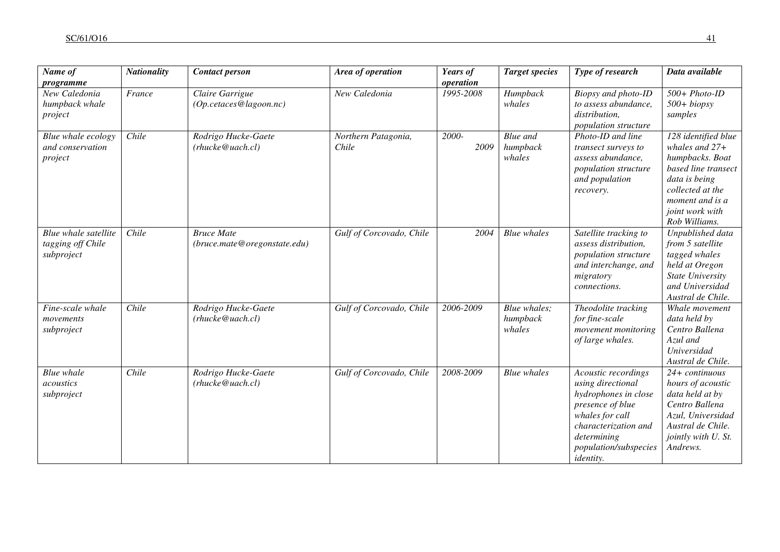| Name of<br>programme                                    | <b>Nationality</b> | <b>Contact person</b>                             | Area of operation            | Years of<br>operation | <b>Target species</b>                 | Type of research                                                                                                                                                                            | Data available                                                                                                                                                                |
|---------------------------------------------------------|--------------------|---------------------------------------------------|------------------------------|-----------------------|---------------------------------------|---------------------------------------------------------------------------------------------------------------------------------------------------------------------------------------------|-------------------------------------------------------------------------------------------------------------------------------------------------------------------------------|
| New Caledonia<br>humpback whale<br>project              | France             | Claire Garrigue<br>(Op.cetaces@lagoon.nc)         | New Caledonia                | 1995-2008             | Humpback<br>whales                    | Biopsy and photo-ID<br>to assess abundance,<br>distribution,<br>population structure                                                                                                        | $500 + Photo-ID$<br>$500 + biopy$<br>samples                                                                                                                                  |
| Blue whale ecology<br>and conservation<br>project       | Chile              | Rodrigo Hucke-Gaete<br>(rhucke@uach.cl)           | Northern Patagonia,<br>Chile | 2000-<br>2009         | <b>Blue</b> and<br>humpback<br>whales | Photo-ID and line<br>transect surveys to<br>assess abundance,<br>population structure<br>and population<br>recovery.                                                                        | 128 identified blue<br>whales and $27+$<br>humpbacks. Boat<br>based line transect<br>data is being<br>collected at the<br>moment and is a<br>joint work with<br>Rob Williams. |
| Blue whale satellite<br>tagging off Chile<br>subproject | Chile              | <b>Bruce Mate</b><br>(bruce.mate@oregonstate.edu) | Gulf of Corcovado, Chile     | 2004                  | <b>Blue</b> whales                    | Satellite tracking to<br>assess distribution,<br>population structure<br>and interchange, and<br>migratory<br>connections.                                                                  | Unpublished data<br>from 5 satellite<br>tagged whales<br>held at Oregon<br>State University<br>and Universidad<br>Austral de Chile.                                           |
| Fine-scale whale<br>movements<br>subproject             | Chile              | Rodrigo Hucke-Gaete<br>(rhucke@uach.cl)           | Gulf of Corcovado, Chile     | 2006-2009             | Blue whales;<br>humpback<br>whales    | Theodolite tracking<br>for fine-scale<br>movement monitoring<br>of large whales.                                                                                                            | Whale movement<br>data held by<br>Centro Ballena<br>Azul and<br>Universidad<br>Austral de Chile.                                                                              |
| <b>Blue</b> whale<br>acoustics<br>subproject            | Chile              | Rodrigo Hucke-Gaete<br>(rhucke@uach.cl)           | Gulf of Corcovado, Chile     | 2008-2009             | <b>Blue</b> whales                    | Acoustic recordings<br>using directional<br>hydrophones in close<br>presence of blue<br>whales for call<br>characterization and<br>determining<br>population/subspecies<br><i>identity.</i> | 24+ continuous<br>hours of acoustic<br>data held at by<br>Centro Ballena<br>Azul, Universidad<br>Austral de Chile.<br>jointly with U. St.<br>Andrews.                         |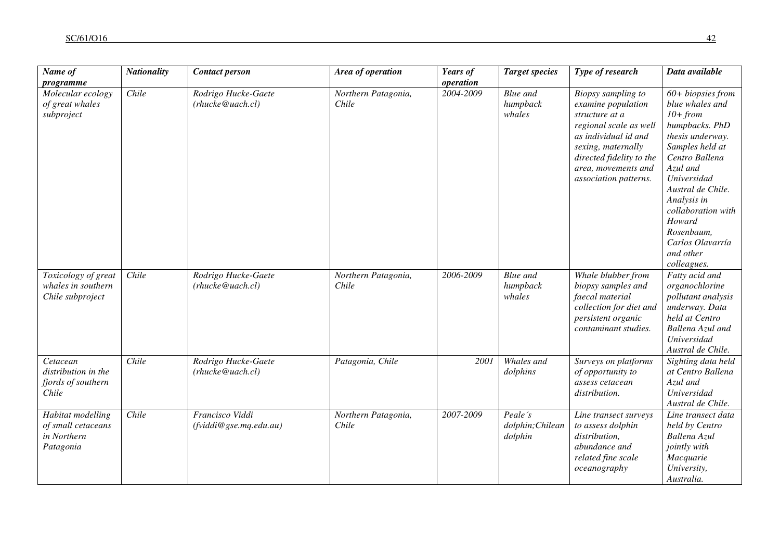| Name of<br>programme                                                | <b>Nationality</b> | <b>Contact person</b>                     | Area of operation            | Years of<br>operation | <b>Target species</b>                  | Type of research                                                                                                                                                                                               | Data available                                                                                                                                                                                                                                                                               |
|---------------------------------------------------------------------|--------------------|-------------------------------------------|------------------------------|-----------------------|----------------------------------------|----------------------------------------------------------------------------------------------------------------------------------------------------------------------------------------------------------------|----------------------------------------------------------------------------------------------------------------------------------------------------------------------------------------------------------------------------------------------------------------------------------------------|
| Molecular ecology<br>of great whales<br>subproject                  | Chile              | Rodrigo Hucke-Gaete<br>(rhucke@uach.cl)   | Northern Patagonia,<br>Chile | 2004-2009             | Blue and<br>humpback<br>whales         | Biopsy sampling to<br>examine population<br>structure at a<br>regional scale as well<br>as individual id and<br>sexing, maternally<br>directed fidelity to the<br>area, movements and<br>association patterns. | $60+ biopsies from$<br>blue whales and<br>$10+ from$<br>humpbacks. PhD<br>thesis underway.<br>Samples held at<br>Centro Ballena<br>Azul and<br>Universidad<br>Austral de Chile.<br>Analysis in<br>collaboration with<br>Howard<br>Rosenbaum,<br>Carlos Olavarría<br>and other<br>colleagues. |
| Toxicology of great<br>whales in southern<br>Chile subproject       | Chile              | Rodrigo Hucke-Gaete<br>(rhucke@uach. cl)  | Northern Patagonia,<br>Chile | 2006-2009             | Blue and<br>humpback<br>whales         | Whale blubber from<br>biopsy samples and<br>faecal material<br>collection for diet and<br>persistent organic<br>contaminant studies.                                                                           | Fatty acid and<br>organochlorine<br>pollutant analysis<br>underway. Data<br>held at Centro<br>Ballena Azul and<br>Universidad<br>Austral de Chile.                                                                                                                                           |
| Cetacean<br>distribution in the<br>fjords of southern<br>Chile      | Chile              | Rodrigo Hucke-Gaete<br>(rhucke@uach.cl)   | Patagonia, Chile             | 2001                  | Whales and<br>dolphins                 | Surveys on platforms<br>of opportunity to<br>assess cetacean<br>distribution.                                                                                                                                  | Sighting data held<br>at Centro Ballena<br>Azul and<br>Universidad<br>Austral de Chile.                                                                                                                                                                                                      |
| Habitat modelling<br>of small cetaceans<br>in Northern<br>Patagonia | Chile              | Francisco Viddi<br>(fviddi@gse.mq.edu.au) | Northern Patagonia,<br>Chile | 2007-2009             | Peale's<br>dolphin; Chilean<br>dolphin | Line transect surveys<br>to assess dolphin<br>distribution,<br>abundance and<br>related fine scale<br>oceanography                                                                                             | Line transect data<br>held by Centro<br>Ballena Azul<br>jointly with<br>Macquarie<br>University,<br>Australia.                                                                                                                                                                               |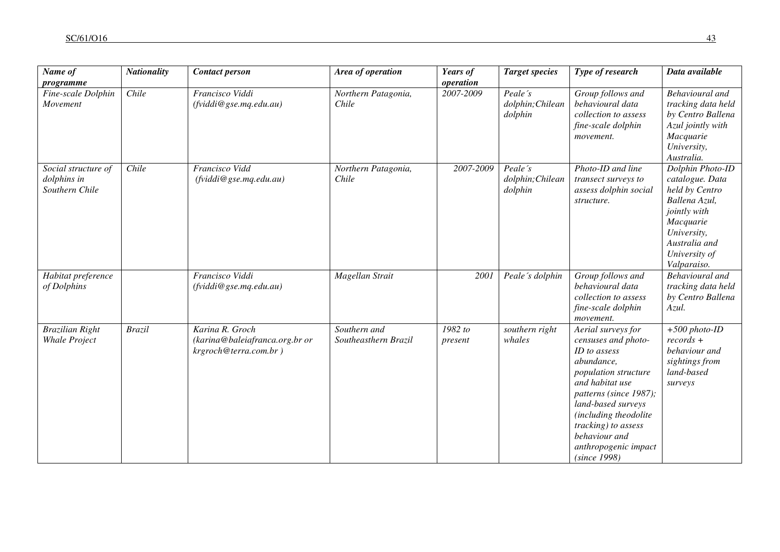| Name of                                              | <b>Nationality</b> | <b>Contact person</b>                                                      | Area of operation                    | Years of<br>operation | <b>Target species</b>                  | Type of research                                                                                                                                                                                                                                                                   | Data available                                                                                                                                                      |
|------------------------------------------------------|--------------------|----------------------------------------------------------------------------|--------------------------------------|-----------------------|----------------------------------------|------------------------------------------------------------------------------------------------------------------------------------------------------------------------------------------------------------------------------------------------------------------------------------|---------------------------------------------------------------------------------------------------------------------------------------------------------------------|
| programme<br>Fine-scale Dolphin<br>Movement          | Chile              | Francisco Viddi<br>(fviddi@gse.mq.edu.au)                                  | Northern Patagonia,<br>Chile         | 2007-2009             | Peale's<br>dolphin; Chilean<br>dolphin | Group follows and<br>behavioural data<br>collection to assess<br>fine-scale dolphin<br>movement.                                                                                                                                                                                   | Behavioural and<br>tracking data held<br>by Centro Ballena<br>Azul jointly with<br>Macquarie<br>University,<br>Australia.                                           |
| Social structure of<br>dolphins in<br>Southern Chile | Chile              | <b>Francisco Vidd</b><br>(fviddi@gse.mq.edu.au)                            | Northern Patagonia,<br>Chile         | 2007-2009             | Peale's<br>dolphin; Chilean<br>dolphin | Photo-ID and line<br>transect surveys to<br>assess dolphin social<br>structure.                                                                                                                                                                                                    | Dolphin Photo-ID<br>catalogue. Data<br>held by Centro<br>Ballena Azul,<br>jointly with<br>Macquarie<br>University,<br>Australia and<br>University of<br>Valparaiso. |
| Habitat preference<br>of Dolphins                    |                    | Francisco Viddi<br>(fviddi@gse.mq.edu.au)                                  | Magellan Strait                      | 200 <sub>1</sub>      | Peale's dolphin                        | Group follows and<br>behavioural data<br>collection to assess<br>fine-scale dolphin<br>movement.                                                                                                                                                                                   | <b>Behavioural</b> and<br>tracking data held<br>by Centro Ballena<br>Azul.                                                                                          |
| <b>Brazilian Right</b><br><b>Whale Project</b>       | <b>Brazil</b>      | Karina R. Groch<br>(karina@baleiafranca.org.br or<br>krgroch@terra.com.br) | Southern and<br>Southeasthern Brazil | 1982 to<br>present    | southern right<br>whales               | Aerial surveys for<br>censuses and photo-<br>ID to assess<br>abundance,<br>population structure<br>and habitat use<br>patterns (since 1987);<br>land-based surveys<br>(including theodolite<br>tracking) to assess<br>behaviour and<br>anthropogenic impact<br><i>(since 1998)</i> | $+500$ photo-ID<br>$records +$<br>behaviour and<br>sightings from<br>land-based<br>surveys                                                                          |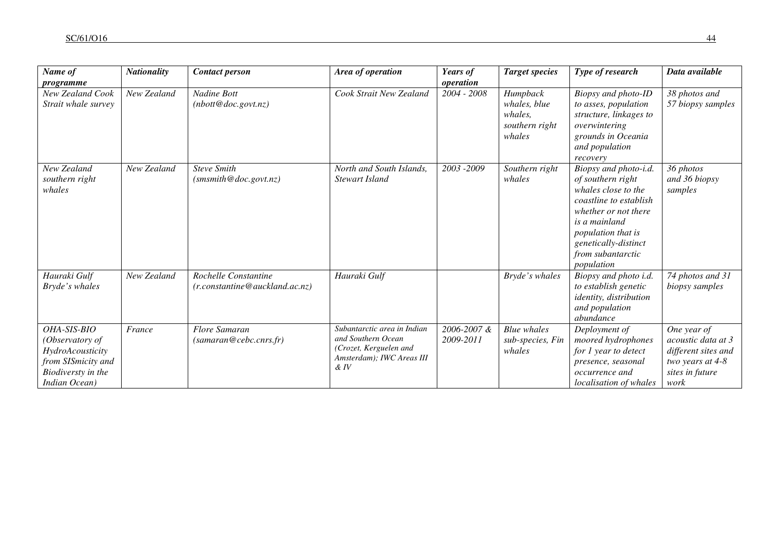| Name of<br>programme                                                                                            | <b>Nationality</b> | <b>Contact person</b>                                   | Area of operation                                                                                               | Years of<br>operation    | <b>Target species</b>                                           | Type of research                                                                                                                                                                                                      | Data available                                                                                          |
|-----------------------------------------------------------------------------------------------------------------|--------------------|---------------------------------------------------------|-----------------------------------------------------------------------------------------------------------------|--------------------------|-----------------------------------------------------------------|-----------------------------------------------------------------------------------------------------------------------------------------------------------------------------------------------------------------------|---------------------------------------------------------------------------------------------------------|
| New Zealand Cook<br>Strait whale survey                                                                         | New Zealand        | Nadine Bott<br>(nbott@doc.gov.nz)                       | Cook Strait New Zealand                                                                                         | 2004 - 2008              | Humpback<br>whales, blue<br>whales,<br>southern right<br>whales | Biopsy and photo-ID<br>to asses, population<br>structure, linkages to<br>overwintering<br>grounds in Oceania<br>and population<br>recovery                                                                            | 38 photos and<br>57 biopsy samples                                                                      |
| New Zealand<br>southern right<br>whales                                                                         | New Zealand        | <b>Steve Smith</b><br>(smsmith@doc.gov.nz)              | North and South Islands,<br>Stewart Island                                                                      | 2003 - 2009              | Southern right<br>whales                                        | Biopsy and photo-i.d.<br>of southern right<br>whales close to the<br>coastline to establish<br>whether or not there<br>is a mainland<br>population that is<br>genetically-distinct<br>from subantarctic<br>population | 36 photos<br>and 36 biopsy<br>samples                                                                   |
| Hauraki Gulf<br>Bryde's whales                                                                                  | New Zealand        | Rochelle Constantine<br>(r. constantine@auckland.ac.nz) | Hauraki Gulf                                                                                                    |                          | Bryde's whales                                                  | Biopsy and photo i.d.<br>to establish genetic<br>identity, distribution<br>and population<br>abundance                                                                                                                | 74 photos and 31<br>biopsy samples                                                                      |
| OHA-SIS-BIO<br>(Observatory of<br>HydroAcousticity<br>from SISmicity and<br>Biodiversty in the<br>Indian Ocean) | France             | <b>Flore Samaran</b><br>(samaran@cebc.cnrs.fr)          | Subantarctic area in Indian<br>and Southern Ocean<br>(Crozet, Kerguelen and<br>Amsterdam); IWC Areas III<br>&IV | 2006-2007 &<br>2009-2011 | <b>Blue</b> whales<br>sub-species, Fin<br>whales                | Deployment of<br>moored hydrophones<br>for 1 year to detect<br>presence, seasonal<br>occurrence and<br>localisation of whales                                                                                         | One year of<br>acoustic data at 3<br>different sites and<br>two years at 4-8<br>sites in future<br>work |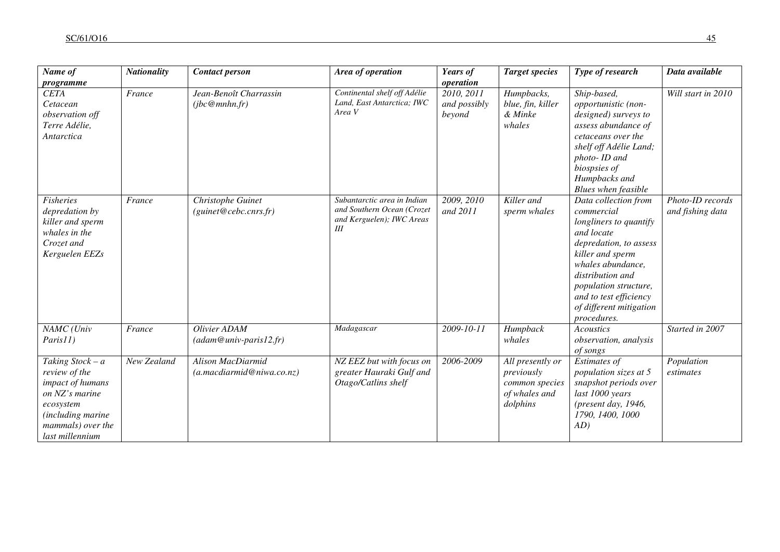| Name of                                                                                                                                             | <b>Nationality</b> | <b>Contact person</b>                          | Area of operation                                                                             | Years of<br>operation                | <b>Target species</b>                                                         | Type of research                                                                                                                                                                                                                                               | Data available                       |
|-----------------------------------------------------------------------------------------------------------------------------------------------------|--------------------|------------------------------------------------|-----------------------------------------------------------------------------------------------|--------------------------------------|-------------------------------------------------------------------------------|----------------------------------------------------------------------------------------------------------------------------------------------------------------------------------------------------------------------------------------------------------------|--------------------------------------|
| programme<br><b>CETA</b><br>Cetacean<br>observation off<br>Terre Adélie,<br>Antarctica                                                              | France             | Jean-Benoît Charrassin<br>(jbc@mnhn.fr)        | Continental shelf off Adélie<br>Land, East Antarctica; IWC<br>Area V                          | 2010, 2011<br>and possibly<br>beyond | Humpbacks,<br>blue, fin, killer<br>& Minke<br>whales                          | Ship-based,<br>opportunistic (non-<br>designed) surveys to<br>assess abundance of<br>cetaceans over the<br>shelf off Adélie Land;<br>photo- ID and<br>biospsies of<br>Humpbacks and<br>Blues when feasible                                                     | Will start in 2010                   |
| <b>Fisheries</b><br>depredation by<br>killer and sperm<br>whales in the<br>Crozet and<br>Kerguelen EEZs                                             | France             | Christophe Guinet<br>(guint@cebc.cnrs.fr)      | Subantarctic area in Indian<br>and Southern Ocean (Crozet<br>and Kerguelen); IWC Areas<br>III | 2009, 2010<br>and 2011               | Killer and<br>sperm whales                                                    | Data collection from<br>commercial<br>longliners to quantify<br>and locate<br>depredation, to assess<br>killer and sperm<br>whales abundance,<br>distribution and<br>population structure,<br>and to test efficiency<br>of different mitigation<br>procedures. | Photo-ID records<br>and fishing data |
| NAMC (Univ<br>Paris11)                                                                                                                              | France             | Olivier ADAM<br>$(adam@univ-paris12.fr)$       | Madagascar                                                                                    | 2009-10-11                           | Humpback<br>whales                                                            | Acoustics<br>observation, analysis<br>of songs                                                                                                                                                                                                                 | Started in 2007                      |
| Taking $Stock - a$<br>review of the<br>impact of humans<br>on NZ's marine<br>ecosystem<br>(including marine<br>mammals) over the<br>last millennium | New Zealand        | Alison MacDiarmid<br>(a.macdiarmid@niwa.co.nz) | NZ EEZ but with focus on<br>greater Hauraki Gulf and<br>Otago/Catlins shelf                   | 2006-2009                            | All presently or<br>previously<br>common species<br>of whales and<br>dolphins | Estimates of<br>population sizes at 5<br>snapshot periods over<br>last 1000 years<br>(present day, 1946,<br>1790, 1400, 1000<br>AD)                                                                                                                            | Population<br>estimates              |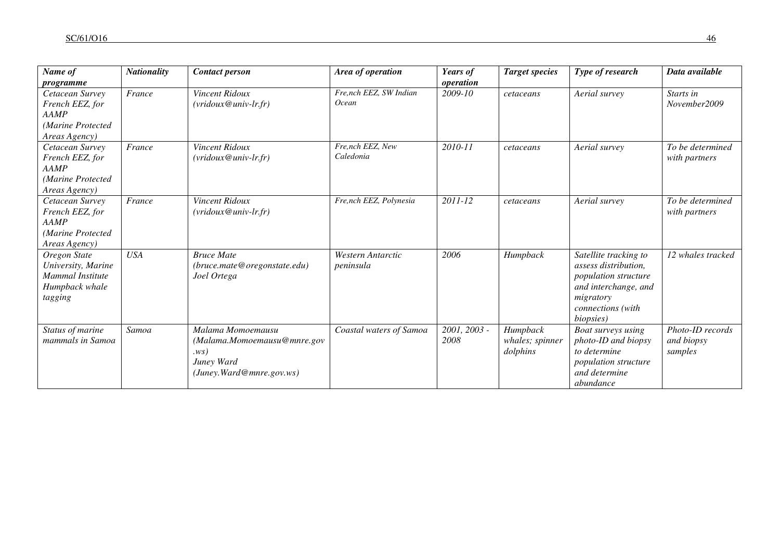| Name of<br>programme                                                                    | <b>Nationality</b> | <b>Contact person</b>                                                                             | Area of operation                      | Years of<br>operation | <b>Target species</b>                   | Type of research                                                                                                                             | Data available                            |
|-----------------------------------------------------------------------------------------|--------------------|---------------------------------------------------------------------------------------------------|----------------------------------------|-----------------------|-----------------------------------------|----------------------------------------------------------------------------------------------------------------------------------------------|-------------------------------------------|
| Cetacean Survey<br>French EEZ, for<br><b>AAMP</b><br>(Marine Protected<br>Areas Agency) | France             | Vincent Ridoux<br>$(vridoux@univ-lr.fr)$                                                          | Fre,nch EEZ, SW Indian<br><b>Ocean</b> | 2009-10               | cetaceans                               | Aerial survey                                                                                                                                | Starts in<br>November2009                 |
| Cetacean Survey<br>French EEZ, for<br>AAMP<br>(Marine Protected<br>Areas Agency)        | France             | Vincent Ridoux<br>$(vridoux@univ-lr.fr)$                                                          | Fre,nch EEZ, New<br>Caledonia          | 2010-11               | cetaceans                               | Aerial survey                                                                                                                                | To be determined<br>with partners         |
| Cetacean Survey<br>French EEZ, for<br><b>AAMP</b><br>(Marine Protected<br>Areas Agency) | France             | Vincent Ridoux<br>$(vridoux@univ-lr.fr)$                                                          | Fre,nch EEZ, Polynesia                 | 2011-12               | cetaceans                               | Aerial survey                                                                                                                                | To be determined<br>with partners         |
| Oregon State<br>University, Marine<br>Mammal Institute<br>Humpback whale<br>tagging     | <b>USA</b>         | <b>Bruce Mate</b><br>(bruce.mate@oregonstate.edu)<br>Joel Ortega                                  | <b>Western Antarctic</b><br>peninsula  | 2006                  | Humpback                                | Satellite tracking to<br>assess distribution,<br>population structure<br>and interchange, and<br>migratory<br>connections (with<br>biopsies) | 12 whales tracked                         |
| Status of marine<br>mammals in Samoa                                                    | Samoa              | Malama Momoemausu<br>(Malama.Momoemausu@mnre.gov<br>.ws)<br>Juney Ward<br>(Juney.Ward@mne.gov.ws) | Coastal waters of Samoa                | 2001, 2003 -<br>2008  | Humpback<br>whales; spinner<br>dolphins | Boat surveys using<br>photo-ID and biopsy<br>to determine<br>population structure<br>and determine<br>abundance                              | Photo-ID records<br>and biopsy<br>samples |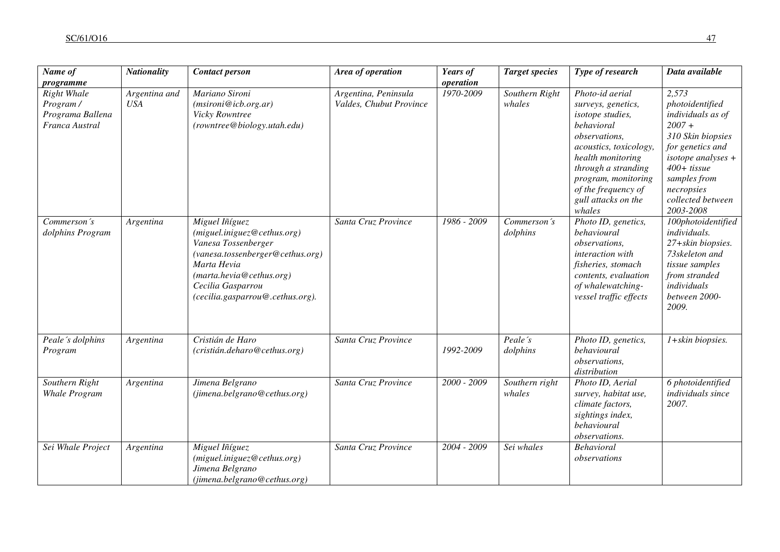| Name of                                                                           | <b>Nationality</b>          | <b>Contact person</b>                                                                                                                                                                                        | Area of operation                               | Years of<br>operation | <b>Target species</b>    | Type of research                                                                                                                                                                                                                              | Data available                                                                                                                                                                                              |
|-----------------------------------------------------------------------------------|-----------------------------|--------------------------------------------------------------------------------------------------------------------------------------------------------------------------------------------------------------|-------------------------------------------------|-----------------------|--------------------------|-----------------------------------------------------------------------------------------------------------------------------------------------------------------------------------------------------------------------------------------------|-------------------------------------------------------------------------------------------------------------------------------------------------------------------------------------------------------------|
| programme<br><b>Right Whale</b><br>Program/<br>Programa Ballena<br>Franca Austral | Argentina and<br><b>USA</b> | Mariano Sironi<br>(msironi@icb.org.ar)<br>Vicky Rowntree<br>(rowntree@biology.utah.edu)                                                                                                                      | Argentina, Peninsula<br>Valdes, Chubut Province | 1970-2009             | Southern Right<br>whales | Photo-id aerial<br>surveys, genetics,<br>isotope studies,<br>behavioral<br>observations,<br>acoustics, toxicology,<br>health monitoring<br>through a stranding<br>program, monitoring<br>of the frequency of<br>gull attacks on the<br>whales | 2,573<br>photoidentified<br>individuals as of<br>$2007 +$<br>310 Skin biopsies<br>for genetics and<br>isotope analyses $+$<br>$400+$ tissue<br>samples from<br>necropsies<br>collected between<br>2003-2008 |
| Commerson's<br>dolphins Program                                                   | Argentina                   | Miguel Iñíguez<br>(miguel.iniguez@cethus.org)<br>Vanesa Tossenberger<br>(vanesa.tossenberger@cethus.org)<br>Marta Hevia<br>(marta.hevia@cethus.org)<br>Cecilia Gasparrou<br>(cecilia.gasparrou@.cethus.org). | Santa Cruz Province                             | 1986 - 2009           | Commerson's<br>dolphins  | Photo ID, genetics,<br>behavioural<br><i>observations,</i><br>interaction with<br>fisheries, stomach<br>contents, evaluation<br>of whalewatching-<br>vessel traffic effects                                                                   | 100photoidentified<br>individuals.<br>27+skin biopsies.<br>73skeleton and<br>tissue samples<br>from stranded<br>individuals<br>between 2000-<br>2009.                                                       |
| Peale's dolphins<br>Program                                                       | Argentina                   | Cristián de Haro<br>(cristián.deharo@cethus.org)                                                                                                                                                             | Santa Cruz Province                             | 1992-2009             | Peale's<br>dolphins      | Photo ID, genetics,<br>behavioural<br>observations,<br>distribution                                                                                                                                                                           | 1+skin biopsies.                                                                                                                                                                                            |
| Southern Right<br><b>Whale Program</b>                                            | Argentina                   | Jimena Belgrano<br>(jimena.belgrano@cethus.org)                                                                                                                                                              | Santa Cruz Province                             | 2000 - 2009           | Southern right<br>whales | Photo ID, Aerial<br>survey, habitat use,<br>climate factors,<br>sightings index,<br>behavioural<br>observations.                                                                                                                              | 6 photoidentified<br>individuals since<br>2007.                                                                                                                                                             |
| Sei Whale Project                                                                 | Argentina                   | Miguel Iñíguez<br>(miguel.iniguez@cethus.org)<br>Jimena Belgrano<br>(jimena.belgrano@cethus.org)                                                                                                             | Santa Cruz Province                             | 2004 - 2009           | Sei whales               | <b>Behavioral</b><br>observations                                                                                                                                                                                                             |                                                                                                                                                                                                             |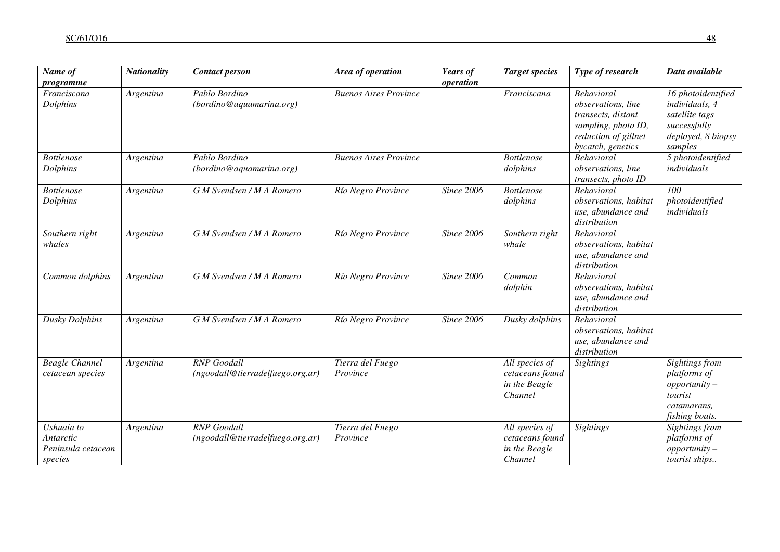| Name of<br>programme                                     | <b>Nationality</b> | <b>Contact person</b>                                  | Area of operation            | Years of<br>operation | <b>Target species</b>                                         | Type of research                                                                                                                  | Data available                                                                                          |
|----------------------------------------------------------|--------------------|--------------------------------------------------------|------------------------------|-----------------------|---------------------------------------------------------------|-----------------------------------------------------------------------------------------------------------------------------------|---------------------------------------------------------------------------------------------------------|
| Franciscana<br>Dolphins                                  | Argentina          | Pablo Bordino<br>(bordino@a quantumarina.org)          | <b>Buenos Aires Province</b> |                       | Franciscana                                                   | <b>Behavioral</b><br>observations, line<br>transects, distant<br>sampling, photo ID,<br>reduction of gillnet<br>bycatch, genetics | 16 photoidentified<br>individuals, 4<br>satellite tags<br>successfully<br>deployed, 8 biopsy<br>samples |
| <b>Bottlenose</b><br>Dolphins                            | Argentina          | Pablo Bordino<br>(bordino@aquamarina.org)              | <b>Buenos Aires Province</b> |                       | <b>Bottlenose</b><br>dolphins                                 | <b>Behavioral</b><br>observations, line<br>transects, photo ID                                                                    | 5 photoidentified<br>individuals                                                                        |
| <b>Bottlenose</b><br>Dolphins                            | Argentina          | G M Svendsen / M A Romero                              | Río Negro Province           | <b>Since 2006</b>     | <b>Bottlenose</b><br>dolphins                                 | <b>Behavioral</b><br>observations, habitat<br>use, abundance and<br>distribution                                                  | 100<br>photoidentified<br>individuals                                                                   |
| Southern right<br>whales                                 | Argentina          | G M Svendsen / M A Romero                              | Río Negro Province           | <b>Since 2006</b>     | Southern right<br>whale                                       | <b>Behavioral</b><br>observations, habitat<br>use, abundance and<br>distribution                                                  |                                                                                                         |
| Common dolphins                                          | Argentina          | G M Svendsen / M A Romero                              | Río Negro Province           | <b>Since 2006</b>     | Common<br>dolphin                                             | <b>Behavioral</b><br>observations, habitat<br>use, abundance and<br>distribution                                                  |                                                                                                         |
| <b>Dusky Dolphins</b>                                    | Argentina          | G M Svendsen / M A Romero                              | Río Negro Province           | <b>Since 2006</b>     | Dusky dolphins                                                | <b>Behavioral</b><br>observations, habitat<br>use, abundance and<br>distribution                                                  |                                                                                                         |
| <b>Beagle Channel</b><br>cetacean species                | Argentina          | <b>RNP</b> Goodall<br>(ngoodall@tierradelfuego.org.ar) | Tierra del Fuego<br>Province |                       | All species of<br>cetaceans found<br>in the Beagle<br>Channel | <b>Sightings</b>                                                                                                                  | Sightings from<br>platforms of<br>$opportunity -$<br>tourist<br>catamarans,<br>fishing boats.           |
| Ushuaia to<br>Antarctic<br>Peninsula cetacean<br>species | Argentina          | <b>RNP</b> Goodall<br>(ngoodall@tierradelfuego.org.ar) | Tierra del Fuego<br>Province |                       | All species of<br>cetaceans found<br>in the Beagle<br>Channel | <b>Sightings</b>                                                                                                                  | Sightings from<br>platforms of<br>$opportunity -$<br>tourist ships                                      |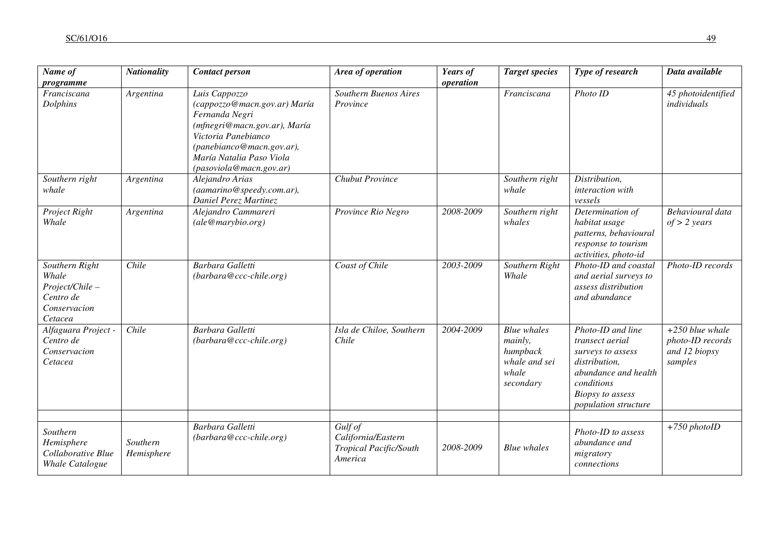| Name of                                                                           | <b>Nationality</b>     | <b>Contact person</b>                                                                                                                                                                                      | Area of operation                                                  | Years of  | <b>Target species</b>                                                            | Type of research                                                                                                                                                    | Data available                                                    |
|-----------------------------------------------------------------------------------|------------------------|------------------------------------------------------------------------------------------------------------------------------------------------------------------------------------------------------------|--------------------------------------------------------------------|-----------|----------------------------------------------------------------------------------|---------------------------------------------------------------------------------------------------------------------------------------------------------------------|-------------------------------------------------------------------|
| programme<br>Franciscana<br>Dolphins                                              | Argentina              | Luis Cappozzo<br>(cappozzo@macn.gov.ar) María<br>Fernanda Negri<br>(mfnegri@macn.gov.ar), María<br>Victoria Panebianco<br>(panebianco@macn.gov.ar),<br>María Natalia Paso Viola<br>(pasoviola@macn.gov.ar) | <b>Southern Buenos Aires</b><br>Province                           | operation | Franciscana                                                                      | Photo ID                                                                                                                                                            | 45 photoidentified<br>individuals                                 |
| Southern right<br>whale                                                           | Argentina              | Alejandro Arias<br>(aamarino@speedy.com.ar),<br>Daniel Perez Martinez                                                                                                                                      | <b>Chubut Province</b>                                             |           | Southern right<br>whale                                                          | Distribution,<br>interaction with<br>vessels                                                                                                                        |                                                                   |
| Project Right<br>Whale                                                            | Argentina              | Alejandro Cammareri<br>(ale@marybio.org)                                                                                                                                                                   | Province Rio Negro                                                 | 2008-2009 | Southern right<br>whales                                                         | Determination of<br>habitat usage<br>patterns, behavioural<br>response to tourism<br>activities, photo-id                                                           | Behavioural data<br>$of > 2$ years                                |
| Southern Right<br>Whale<br>Project/Chile-<br>Centro de<br>Conservacion<br>Cetacea | Chile                  | <b>Barbara Galletti</b><br>$(barbara@ccc\text{-}chile.org)$                                                                                                                                                | Coast of Chile                                                     | 2003-2009 | Southern Right<br>Whale                                                          | Photo-ID and coastal<br>and aerial surveys to<br>assess distribution<br>and abundance                                                                               | Photo-ID records                                                  |
| Alfaguara Project -<br>Centro de<br>Conservacion<br>Cetacea                       | Chile                  | <b>Barbara Galletti</b><br>$(barbara@ccc\text{-}chile.org)$                                                                                                                                                | Isla de Chiloe, Southern<br>Chile                                  | 2004-2009 | <b>Blue</b> whales<br>mainly,<br>humpback<br>whale and sei<br>whale<br>secondary | Photo-ID and line<br>transect aerial<br>surveys to assess<br>distribution,<br>abundance and health<br>conditions<br><b>Biopsy</b> to assess<br>population structure | $+250$ blue whale<br>photo-ID records<br>and 12 biopsy<br>samples |
| Southern<br>Hemisphere<br>Collaborative Blue<br>Whale Catalogue                   | Southern<br>Hemisphere | Barbara Galletti<br>(barbara@ccc-chile.org)                                                                                                                                                                | Gulf of<br>California/Eastern<br>Tropical Pacific/South<br>America | 2008-2009 | <b>Blue</b> whales                                                               | Photo-ID to assess<br>abundance and<br>migratory<br>connections                                                                                                     | $+750$ photoID                                                    |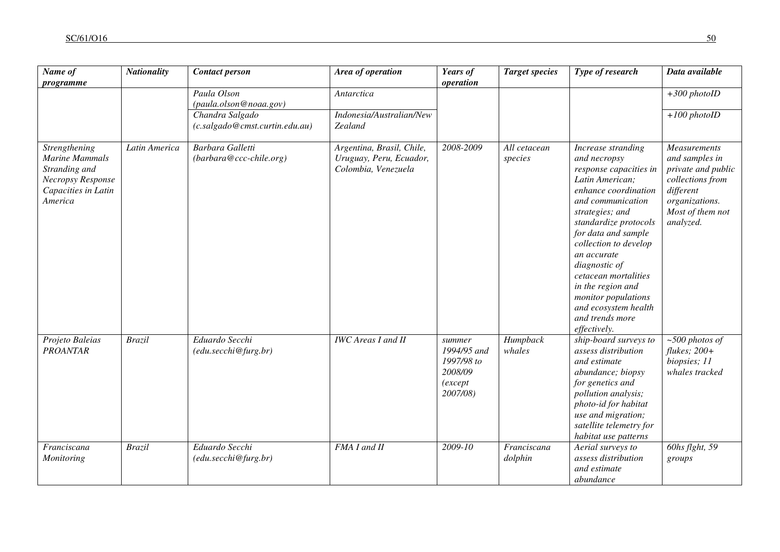| Name of<br>programme                                                                                           | <b>Nationality</b> | <b>Contact person</b>                             | Area of operation                                                           | Years of<br>operation                                                 | <b>Target species</b>   | Type of research                                                                                                                                                                                                                                                                                                                                                                        | Data available                                                                                                                           |
|----------------------------------------------------------------------------------------------------------------|--------------------|---------------------------------------------------|-----------------------------------------------------------------------------|-----------------------------------------------------------------------|-------------------------|-----------------------------------------------------------------------------------------------------------------------------------------------------------------------------------------------------------------------------------------------------------------------------------------------------------------------------------------------------------------------------------------|------------------------------------------------------------------------------------------------------------------------------------------|
|                                                                                                                |                    | Paula Olson<br>(paula.olson@noaa.gov)             | Antarctica                                                                  |                                                                       |                         |                                                                                                                                                                                                                                                                                                                                                                                         | $+300$ photoID                                                                                                                           |
|                                                                                                                |                    | Chandra Salgado<br>(c.salgado@cmst.curtin.edu.au) | Indonesia/Australian/New<br>Zealand                                         |                                                                       |                         |                                                                                                                                                                                                                                                                                                                                                                                         | $+100$ photoID                                                                                                                           |
| Strengthening<br><b>Marine Mammals</b><br>Stranding and<br>Necropsy Response<br>Capacities in Latin<br>America | Latin America      | Barbara Galletti<br>(barbara@ccc-chile.org)       | Argentina, Brasil, Chile,<br>Uruguay, Peru, Ecuador,<br>Colombia, Venezuela | 2008-2009                                                             | All cetacean<br>species | Increase stranding<br>and necropsy<br>response capacities in<br>Latin American;<br>enhance coordination<br>and communication<br>strategies; and<br>standardize protocols<br>for data and sample<br>collection to develop<br>an accurate<br>diagnostic of<br>cetacean mortalities<br>in the region and<br>monitor populations<br>and ecosystem health<br>and trends more<br>effectively. | Measurements<br>and samples in<br>private and public<br>collections from<br>different<br>organizations.<br>Most of them not<br>analyzed. |
| Projeto Baleias<br><b>PROANTAR</b>                                                                             | <b>Brazil</b>      | Eduardo Secchi<br>(edu.secchi@furg.br)            | <b>IWC</b> Areas I and II                                                   | summer<br>1994/95 and<br>1997/98 to<br>2008/09<br>(except<br>2007/08) | Humpback<br>whales      | ship-board surveys to<br>assess distribution<br>and estimate<br>abundance; biopsy<br>for genetics and<br>pollution analysis;<br>photo-id for habitat<br>use and migration;<br>satellite telemetry for<br>habitat use patterns                                                                                                                                                           | $\sim$ 500 photos of<br>$flukes; 200+$<br>biopsies; 11<br>whales tracked                                                                 |
| Franciscana<br><b>Monitoring</b>                                                                               | <b>Brazil</b>      | Eduardo Secchi<br>(edu. secchi@furg.br)           | FMA I and II                                                                | 2009-10                                                               | Franciscana<br>dolphin  | Aerial surveys to<br>assess distribution<br>and estimate<br>abundance                                                                                                                                                                                                                                                                                                                   | 60hs flght, 59<br>groups                                                                                                                 |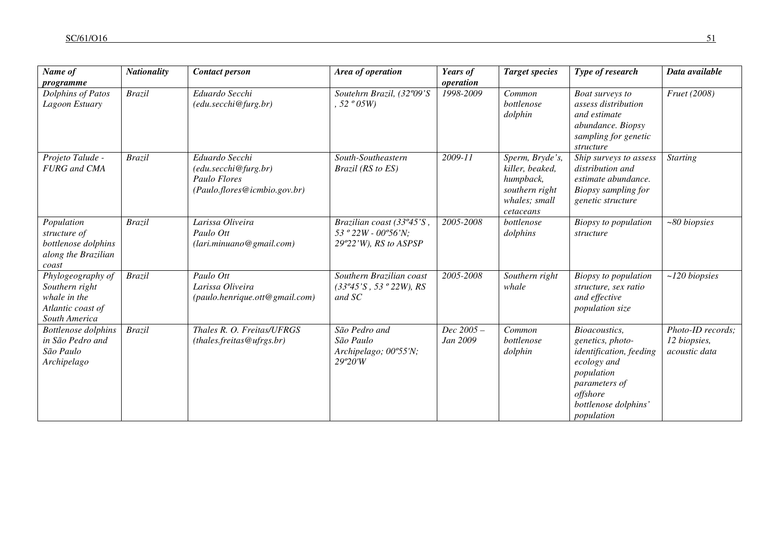| Name of                                                                                   | <b>Nationality</b>  | <b>Contact person</b>                                                                  | Area of operation                                                                             | Years of              | <b>Target species</b>                                                                           | Type of research                                                                                                                                             | Data available                                     |
|-------------------------------------------------------------------------------------------|---------------------|----------------------------------------------------------------------------------------|-----------------------------------------------------------------------------------------------|-----------------------|-------------------------------------------------------------------------------------------------|--------------------------------------------------------------------------------------------------------------------------------------------------------------|----------------------------------------------------|
| programme                                                                                 |                     |                                                                                        |                                                                                               | operation             |                                                                                                 |                                                                                                                                                              |                                                    |
| Dolphins of Patos<br>Lagoon Estuary                                                       | $\overline{Brazil}$ | Eduardo Secchi<br>$(edu \, secchi @ furg \, br)$                                       | Soutehrn Brazil, (32°09'S<br>, 52°05W                                                         | 1998-2009             | Common<br>bottlenose<br>dolphin                                                                 | Boat surveys to<br>assess distribution<br>and estimate<br>abundance. Biopsy<br>sampling for genetic<br>structure                                             | Fruet (2008)                                       |
| Projeto Talude -<br><b>FURG</b> and CMA                                                   | <b>Brazil</b>       | Eduardo Secchi<br>(edu.secchi@furg.br)<br>Paulo Flores<br>(Paulo.flores@icmbio.gov.br) | South-Southeastern<br>Brazil (RS to ES)                                                       | 2009-11               | Sperm, Bryde's,<br>killer, beaked,<br>humpback,<br>southern right<br>whales; small<br>cetaceans | Ship surveys to assess<br>distribution and<br>estimate abundance.<br>Biopsy sampling for<br>genetic structure                                                | <b>Starting</b>                                    |
| Population<br>structure of<br>bottlenose dolphins<br>along the Brazilian<br>coast         | <b>Brazil</b>       | Larissa Oliveira<br>Paulo Ott<br>(lari.minuano@gmail.com)                              | Brazilian coast (33°45'S,<br>53 $^{\circ}$ 22W - 00 $^{\circ}$ 56'N;<br>29°22'W), RS to ASPSP | 2005-2008             | bottlenose<br>dolphins                                                                          | <b>Biopsy</b> to population<br>structure                                                                                                                     | $~80$ biopsies                                     |
| Phylogeography of<br>Southern right<br>whale in the<br>Atlantic coast of<br>South America | <b>Brazil</b>       | Paulo Ott<br>Larissa Oliveira<br>(paulo.henrique.ott@gmail.com)                        | Southern Brazilian coast<br>$(33^{\circ}45^{\circ}S, 53^{\circ}22W), RS$<br>and SC            | 2005-2008             | Southern right<br>whale                                                                         | Biopsy to population<br>structure, sex ratio<br>and effective<br>population size                                                                             | $~120$ biopsies                                    |
| <b>Bottlenose</b> dolphins<br>in São Pedro and<br>São Paulo<br>Archipelago                | <b>Brazil</b>       | Thales R. O. Freitas/UFRGS<br>(hales. freitas @urrgs.br)                               | São Pedro and<br>São Paulo<br>Archipelago; 00°55'N;<br>29°20'W                                | Dec 2005-<br>Jan 2009 | Common<br>bottlenose<br>dolphin                                                                 | Bioacoustics,<br>genetics, photo-<br>identification, feeding<br>ecology and<br>population<br>parameters of<br>offshore<br>bottlenose dolphins'<br>population | Photo-ID records;<br>12 biopsies,<br>acoustic data |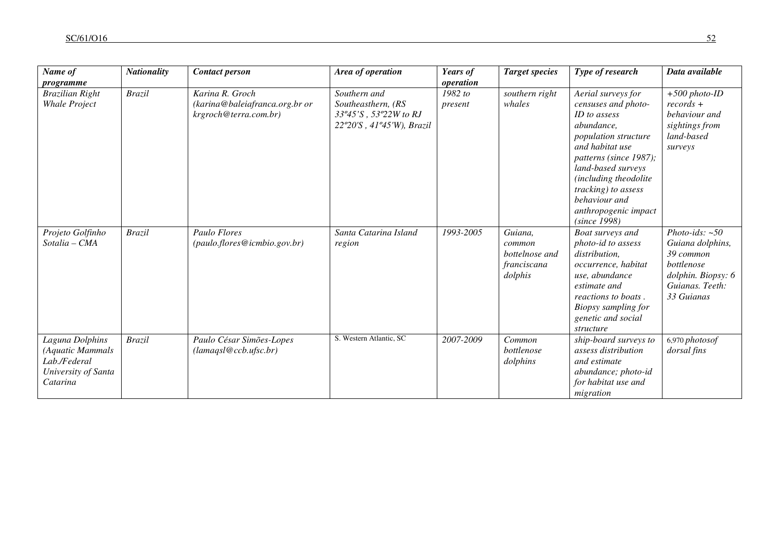| Name of<br>programme                                                                   | <b>Nationality</b> | <b>Contact person</b>                                                      | Area of operation                                                                        | Years of<br>operation   | <b>Target species</b>                                         | Type of research                                                                                                                                                                                                                                                                   | Data available                                                                                                         |
|----------------------------------------------------------------------------------------|--------------------|----------------------------------------------------------------------------|------------------------------------------------------------------------------------------|-------------------------|---------------------------------------------------------------|------------------------------------------------------------------------------------------------------------------------------------------------------------------------------------------------------------------------------------------------------------------------------------|------------------------------------------------------------------------------------------------------------------------|
| <b>Brazilian Right</b><br><b>Whale Project</b>                                         | <b>Brazil</b>      | Karina R. Groch<br>(karina@baleiafranca.org.br or<br>krgroch@terra.com.br) | Southern and<br>Southeasthern, (RS<br>33°45'S, 53°22W to RJ<br>22°20'S, 41°45'W), Brazil | 1982 to<br>present      | southern right<br>whales                                      | Aerial surveys for<br>censuses and photo-<br>ID to assess<br>abundance,<br>population structure<br>and habitat use<br>patterns (since 1987);<br>land-based surveys<br>(including theodolite<br>tracking) to assess<br>behaviour and<br>anthropogenic impact<br><i>(since 1998)</i> | $+500$ photo-ID<br>$records +$<br>behaviour and<br>sightings from<br>land-based<br>surveys                             |
| Projeto Golfinho<br>Sotalia – CMA                                                      | <b>Brazil</b>      | Paulo Flores<br>(paulo.flores@icmbio.gov.br)                               | Santa Catarina Island<br>region                                                          | 1993-2005               | Guiana,<br>common<br>bottelnose and<br>franciscana<br>dolphis | Boat surveys and<br>photo-id to assess<br>distribution,<br>occurrence, habitat<br>use, abundance<br>estimate and<br>reactions to boats.<br>Biopsy sampling for<br>genetic and social<br>structure                                                                                  | Photo-ids: $~50$<br>Guiana dolphins,<br>39 common<br>bottlenose<br>dolphin. Biopsy: 6<br>Guianas. Teeth:<br>33 Guianas |
| Laguna Dolphins<br>(Aquatic Mammals<br>Lab./Federal<br>University of Santa<br>Catarina | <b>Brazil</b>      | Paulo César Simões-Lopes<br>(lamagsl@ccb.ufsc.br)                          | S. Western Atlantic, SC                                                                  | $\overline{2007}$ -2009 | Common<br>bottlenose<br>dolphins                              | ship-board surveys to<br>assess distribution<br>and estimate<br>abundance; photo-id<br>for habitat use and<br>migration                                                                                                                                                            | 6,970 photosof<br>dorsal fins                                                                                          |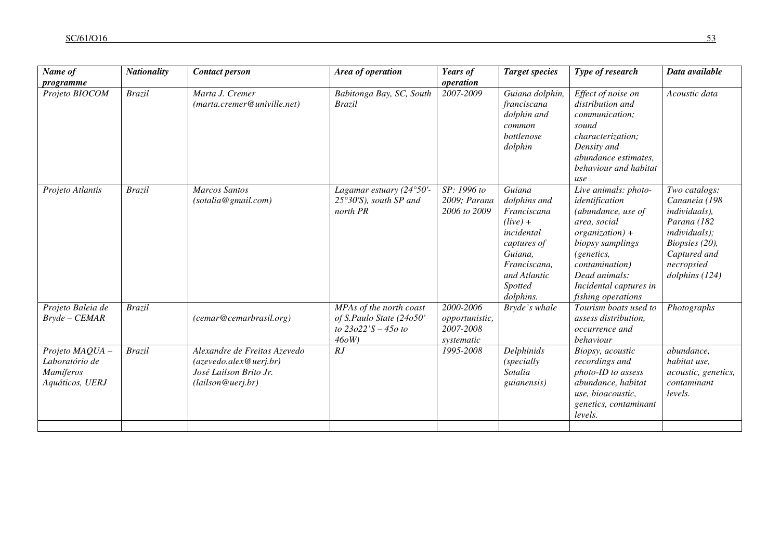| Name of                                                           | <b>Nationality</b> | <b>Contact person</b>                                                                                 | Area of operation                                                                    | Years of                                               | <b>Target species</b>                                                                                                                               | Type of research                                                                                                                                                                                                        | Data available                                                                                                                                           |
|-------------------------------------------------------------------|--------------------|-------------------------------------------------------------------------------------------------------|--------------------------------------------------------------------------------------|--------------------------------------------------------|-----------------------------------------------------------------------------------------------------------------------------------------------------|-------------------------------------------------------------------------------------------------------------------------------------------------------------------------------------------------------------------------|----------------------------------------------------------------------------------------------------------------------------------------------------------|
| programme                                                         |                    |                                                                                                       |                                                                                      | operation                                              |                                                                                                                                                     |                                                                                                                                                                                                                         |                                                                                                                                                          |
| Projeto BIOCOM                                                    | <b>Brazil</b>      | Marta J. Cremer<br>(marta.cremer@univille.net)                                                        | Babitonga Bay, SC, South<br><b>Brazil</b>                                            | 2007-2009                                              | Guiana dolphin,<br>franciscana<br>dolphin and<br>common<br>bottlenose<br>dolphin                                                                    | Effect of noise on<br>distribution and<br><i>communication;</i><br>sound<br>characterization:<br>Density and<br>abundance estimates,<br>behaviour and habitat<br>use                                                    | Acoustic data                                                                                                                                            |
| Projeto Atlantis                                                  | <b>Brazil</b>      | <b>Marcos Santos</b><br>(sotalia@gmail.com)                                                           | Lagamar estuary (24°50'-<br>$25^{\circ}30^{\prime}$ S), south SP and<br>north PR     | SP: 1996 to<br>2009; Parana<br>2006 to 2009            | Guiana<br>dolphins and<br>Franciscana<br>$(live) +$<br>incidental<br>captures of<br>Guiana,<br>Franciscana,<br>and Atlantic<br>Spotted<br>dolphins. | Live animals: photo-<br>identification<br>(abundance, use of<br>area, social<br>$organization$ ) +<br>biopsy samplings<br>(genetics,<br>contamination)<br>Dead animals:<br>Incidental captures in<br>fishing operations | Two catalogs:<br>Cananeia (198<br>individuals),<br>Parana (182<br><i>individuals</i> );<br>Biopsies (20),<br>Captured and<br>necropsied<br>dolphins(124) |
| Projeto Baleia de<br>$Bryde - CEMAR$                              | <b>Brazil</b>      | (cemar@cemarbrasil.org)                                                                               | MPAs of the north coast<br>of S.Paulo State (24o50'<br>to $23022'S - 450$ to<br>460W | 2000-2006<br>opportunistic,<br>2007-2008<br>systematic | Bryde's whale                                                                                                                                       | Tourism boats used to<br>assess distribution,<br>occurrence and<br>behaviour                                                                                                                                            | Photographs                                                                                                                                              |
| Projeto MAQUA -<br>Laboratório de<br>Mamíferos<br>Aquáticos, UERJ | <b>Brazil</b>      | Alexandre de Freitas Azevedo<br>(azevedo.alex@uerj.br)<br>José Lailson Brito Jr.<br>(lailson@uerj.br) | RJ                                                                                   | 1995-2008                                              | Delphinids<br><i>(specially</i><br>Sotalia<br><i>guianensis</i> )                                                                                   | Biopsy, acoustic<br>recordings and<br>photo-ID to assess<br>abundance, habitat<br>use, bioacoustic,<br>genetics, contaminant<br>levels.                                                                                 | abundance,<br>habitat use,<br>acoustic, genetics,<br>contaminant<br>levels.                                                                              |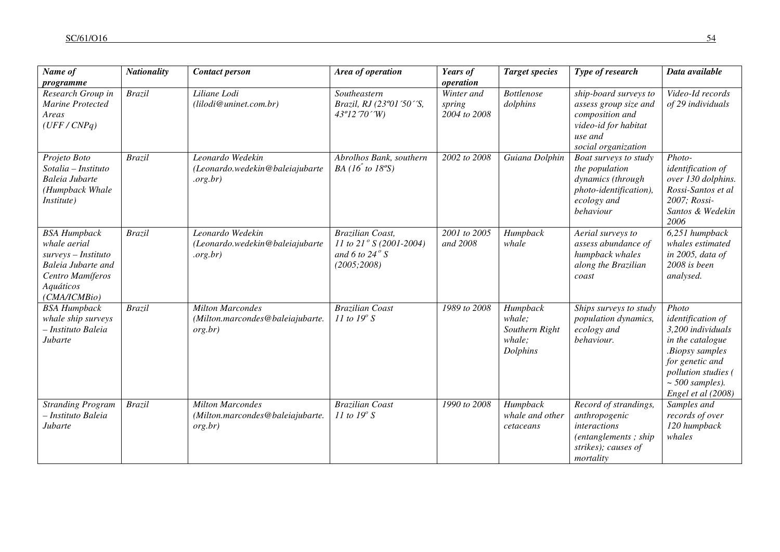| $\overline{Name}$ of<br>programme                                                                                                 | <b>Nationality</b> | <b>Contact person</b>                                                  | Area of operation                                                                             | Years of<br>operation                 | <b>Target species</b>                                      | Type of research                                                                                                            | Data available                                                                                                                                                                 |
|-----------------------------------------------------------------------------------------------------------------------------------|--------------------|------------------------------------------------------------------------|-----------------------------------------------------------------------------------------------|---------------------------------------|------------------------------------------------------------|-----------------------------------------------------------------------------------------------------------------------------|--------------------------------------------------------------------------------------------------------------------------------------------------------------------------------|
| Research Group in<br>Marine Protected<br>Areas<br>(UFF/CNPq)                                                                      | <b>Brazil</b>      | Liliane Lodi<br>(lilodi@uninet.com.br)                                 | Southeastern<br>Brazil, RJ (23°01'50''S,<br>$43^{\circ}12'70'W$                               | Winter and<br>spring<br>2004 to 2008  | <b>Bottlenose</b><br>dolphins                              | ship-board surveys to<br>assess group size and<br>composition and<br>video-id for habitat<br>use and<br>social organization | Video-Id records<br>of 29 individuals                                                                                                                                          |
| Projeto Boto<br>Sotalia - Instituto<br>Baleia Jubarte<br>(Humpback Whale<br>Institute)                                            | <b>Brazil</b>      | Leonardo Wedekin<br>(Leonardo.wedekin@baleiajubarte<br>.org.br)        | Abrolhos Bank, southern<br>BA (16 <sup><math>\degree</math></sup> to 18 $\degree$ S)          | 2002 to 2008                          | Guiana Dolphin                                             | Boat surveys to study<br>the population<br>dynamics (through<br>photo-identification),<br>ecology and<br>behaviour          | Photo-<br>identification of<br>over 130 dolphins.<br>Rossi-Santos et al<br>2007; Rossi-<br>Santos & Wedekin<br>2006                                                            |
| <b>BSA Humpback</b><br>whale aerial<br>surveys - Instituto<br>Baleia Jubarte and<br>Centro Mamíferos<br>Aquáticos<br>(CMA/ICMBio) | <b>Brazil</b>      | Leonardo Wedekin<br>(Leonardo.wedekin@baleiajubarte<br>.org.br)        | <b>Brazilian Coast,</b><br>11 to 21° S (2001-2004)<br>and 6 to 24 $\degree$ S<br>(2005; 2008) | $\frac{2001}{10}$ to 2005<br>and 2008 | Humpback<br>whale                                          | Aerial surveys to<br>assess abundance of<br>humpback whales<br>along the Brazilian<br>coast                                 | 6,251 humpback<br>whales estimated<br>in 2005, data of<br>2008 is been<br>analysed.                                                                                            |
| <b>BSA Humpback</b><br>whale ship surveys<br>- Instituto Baleia<br>Jubarte                                                        | <b>Brazil</b>      | <b>Milton Marcondes</b><br>(Milton.marcondes@baleiajubarte.<br>org.br) | <b>Brazilian Coast</b><br>11 to $19^\circ$ S                                                  | 1989 to 2008                          | Humpback<br>whale;<br>Southern Right<br>whale:<br>Dolphins | Ships surveys to study<br>population dynamics,<br>ecology and<br>behaviour.                                                 | Photo<br>identification of<br>3,200 individuals<br>in the catalogue<br>.Biopsy samples<br>for genetic and<br>pollution studies (<br>$\sim$ 500 samples).<br>Engel et al (2008) |
| <b>Stranding Program</b><br>- Instituto Baleia<br>Jubarte                                                                         | <b>Brazil</b>      | <b>Milton Marcondes</b><br>(Milton.marcondes@baleiajubarte.<br>org.br) | <b>Brazilian Coast</b><br>11 to $19^\circ$ S                                                  | 1990 to 2008                          | Humpback<br>whale and other<br>cetaceans                   | Record of strandings,<br>anthropogenic<br><i>interactions</i><br>(entanglements; ship)<br>strikes); causes of<br>mortality  | Samples and<br>records of over<br>120 humpback<br>whales                                                                                                                       |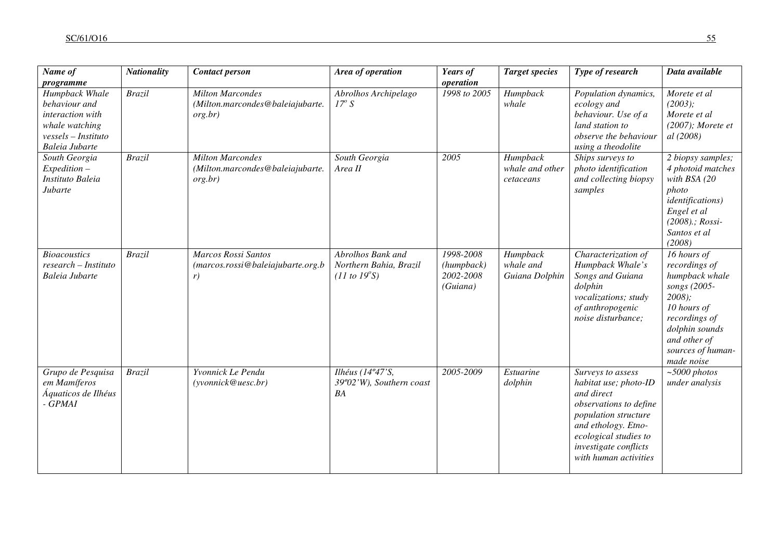| Name of<br>programme                                                                                           | <b>Nationality</b> | <b>Contact person</b>                                                  | Area of operation                                                             | Years of<br>operation                            | <b>Target species</b>                    | Type of research                                                                                                                                                                                             | Data available                                                                                                                                                                   |
|----------------------------------------------------------------------------------------------------------------|--------------------|------------------------------------------------------------------------|-------------------------------------------------------------------------------|--------------------------------------------------|------------------------------------------|--------------------------------------------------------------------------------------------------------------------------------------------------------------------------------------------------------------|----------------------------------------------------------------------------------------------------------------------------------------------------------------------------------|
| Humpback Whale<br>behaviour and<br>interaction with<br>whale watching<br>vessels – Instituto<br>Baleia Jubarte | <b>Brazil</b>      | <b>Milton Marcondes</b><br>(Milton.marcondes@baleiajubarte.<br>org.br) | Abrolhos Archipelago<br>$17^{\circ}$ S                                        | 1998 to 2005                                     | Humpback<br>whale                        | Population dynamics,<br>ecology and<br>behaviour. Use of a<br>land station to<br>observe the behaviour<br>using a theodolite                                                                                 | Morete et al<br>(2003);<br>Morete et al<br>$(2007)$ ; Morete et<br>al (2008)                                                                                                     |
| South Georgia<br>$Expedition -$<br>Instituto Baleia<br>Jubarte                                                 | <b>Brazil</b>      | <b>Milton Marcondes</b><br>(Milton.marcondes@baleiajubarte.<br>org.br) | South Georgia<br>Area II                                                      | 2005                                             | Humpback<br>whale and other<br>cetaceans | Ships surveys to<br>photo identification<br>and collecting biopsy<br>samples                                                                                                                                 | 2 biopsy samples;<br>4 photoid matches<br>with BSA $(20$<br>photo<br><i>identifications</i> )<br>Engel et al<br>$(2008)$ .; Rossi-<br>Santos et al<br>(2008)                     |
| <b>Bioacoustics</b><br>$research-Instituto$<br>Baleia Jubarte                                                  | <b>Brazil</b>      | Marcos Rossi Santos<br>(marcos.rossi@baleiajubarte.org.b<br>r)         | Abrolhos Bank and<br>Northern Bahia, Brazil<br>$(11 \text{ to } 19^{\circ}S)$ | 1998-2008<br>(humpback)<br>2002-2008<br>(Guiana) | Humpback<br>whale and<br>Guiana Dolphin  | Characterization of<br>Humpback Whale's<br>Songs and Guiana<br>dolphin<br>vocalizations; study<br>of anthropogenic<br>noise disturbance;                                                                     | 16 hours of<br>recordings of<br>humpback whale<br>songs (2005-<br>$2008$ );<br>10 hours of<br>recordings of<br>dolphin sounds<br>and other of<br>sources of human-<br>made noise |
| Grupo de Pesquisa<br>em Mamíferos<br>Áquaticos de Ilhéus<br>- GPMAI                                            | <b>Brazil</b>      | Yvonnick Le Pendu<br>(yvonnick@uesc.br)                                | Ilhéus (14°47'S,<br>39°02'W), Southern coast<br>BA                            | 2005-2009                                        | Estuarine<br>dolphin                     | Surveys to assess<br>habitat use; photo-ID<br>and direct<br>observations to define<br>population structure<br>and ethology. Etno-<br>ecological studies to<br>investigate conflicts<br>with human activities | $\sim$ 5000 photos<br>under analysis                                                                                                                                             |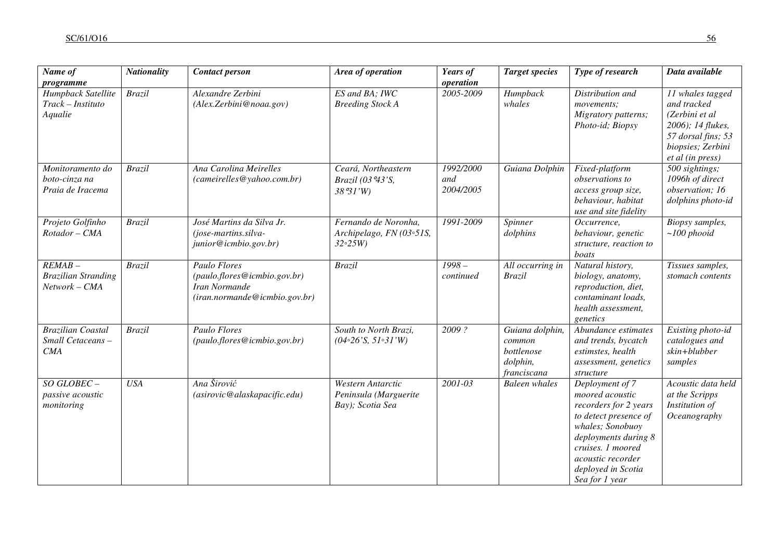| Name of<br>programme                                       | <b>Nationality</b> | <b>Contact person</b>                                                                                 | Area of operation                                                                           | Years of<br>operation         | <b>Target species</b>                                              | Type of research                                                                                                                                                                                                   | Data available                                                                                                                        |
|------------------------------------------------------------|--------------------|-------------------------------------------------------------------------------------------------------|---------------------------------------------------------------------------------------------|-------------------------------|--------------------------------------------------------------------|--------------------------------------------------------------------------------------------------------------------------------------------------------------------------------------------------------------------|---------------------------------------------------------------------------------------------------------------------------------------|
| Humpback Satellite<br>$Track-Instituto$<br>Aqualie         | <b>Brazil</b>      | Alexandre Zerbini<br>(Alex.Zerbini@noaa.gov)                                                          | ES and BA; IWC<br><b>Breeding Stock A</b>                                                   | 2005-2009                     | Humpback<br>whales                                                 | Distribution and<br>movements;<br>Migratory patterns;<br>Photo-id; Biopsy                                                                                                                                          | 11 whales tagged<br>and tracked<br>(Zerbini et al<br>2006); 14 flukes,<br>57 dorsal fins; 53<br>biopsies; Zerbini<br>et al (in press) |
| Monitoramento do<br>boto-cinza na<br>Praia de Iracema      | <b>Brazil</b>      | Ana Carolina Meirelles<br>(cameirelles@yahoo.com.br)                                                  | Ceará, Northeastern<br>Brazil (03 °43'S,<br>38°31'W                                         | 1992/2000<br>and<br>2004/2005 | Guiana Dolphin                                                     | Fixed-platform<br>observations to<br>access group size,<br>behaviour, habitat<br>use and site fidelity                                                                                                             | 500 sightings;<br>1096h of direct<br>observation; 16<br>dolphins photo-id                                                             |
| Projeto Golfinho<br>Rotador - CMA                          | <b>Brazil</b>      | José Martins da Silva Jr.<br>(jose-martins.silva-<br>junior@icmbio.gov.br)                            | Fernando de Noronha,<br>Archipelago, FN (03°51S,<br>32°25W                                  | 1991-2009                     | Spinner<br>dolphins                                                | Occurrence.<br>behaviour, genetic<br>structure, reaction to<br>boats                                                                                                                                               | Biopsy samples,<br>$\sim$ 100 phooid                                                                                                  |
| $REMAB -$<br><b>Brazilian Stranding</b><br>Network - CMA   | <b>Brazil</b>      | <b>Paulo Flores</b><br>(paulo.flores@icmbio.gov.br)<br>Iran Normande<br>(iran.normande@icmbio.gov.br) | <b>Brazil</b>                                                                               | $1998 -$<br>continued         | All occurring in<br><b>Brazil</b>                                  | Natural history,<br>biology, anatomy,<br>reproduction, diet,<br>contaminant loads,<br>health assessment,<br>genetics                                                                                               | Tissues samples,<br>stomach contents                                                                                                  |
| <b>Brazilian Coastal</b><br>Small Cetaceans-<br><b>CMA</b> | <b>Brazil</b>      | Paulo Flores<br>(paulo.flores@icmbio.gov.br)                                                          | South to North Brazi,<br>$(04\textdegree 26\textdegree 'S, 51\textdegree 31\textdegree 'W)$ | 2009?                         | Guiana dolphin,<br>common<br>bottlenose<br>dolphin,<br>franciscana | Abundance estimates<br>and trends, bycatch<br>estimstes, health<br>assessment, genetics<br>structure                                                                                                               | Existing photo-id<br>catalogues and<br>skin+blubber<br>samples                                                                        |
| SO GLOBEC-<br>passive acoustic<br>monitoring               | <b>USA</b>         | Ana Širović<br>(asirovic@alaskapacific.edu)                                                           | Western Antarctic<br>Peninsula (Marguerite<br>Bay); Scotia Sea                              | 2001-03                       | <b>Baleen</b> whales                                               | Deployment of 7<br>moored acoustic<br>recorders for 2 years<br>to detect presence of<br>whales; Sonobuoy<br>deployments during 8<br>cruises. 1 moored<br>acoustic recorder<br>deployed in Scotia<br>Sea for 1 year | Acoustic data held<br>at the Scripps<br>Institution of<br>Oceanography                                                                |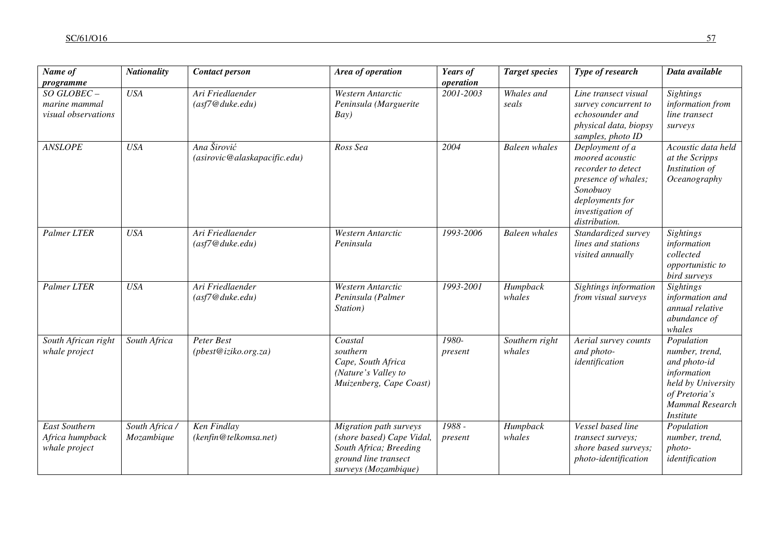| Name of<br>programme                               | <b>Nationality</b>           | <b>Contact person</b>                       | Area of operation                                                                                                             | Years of<br>operation | <b>Target species</b>    | Type of research                                                                                                                                    | Data available                                                                                                                                   |
|----------------------------------------------------|------------------------------|---------------------------------------------|-------------------------------------------------------------------------------------------------------------------------------|-----------------------|--------------------------|-----------------------------------------------------------------------------------------------------------------------------------------------------|--------------------------------------------------------------------------------------------------------------------------------------------------|
| SO GLOBEC-<br>marine mammal<br>visual observations | <b>USA</b>                   | Ari Friedlaender<br>(asf7@duke.edu)         | Western Antarctic<br>Peninsula (Marguerite<br>Bay)                                                                            | 2001-2003             | Whales and<br>seals      | Line transect visual<br>survey concurrent to<br>echosounder and<br>physical data, biopsy<br>samples, photo ID                                       | <b>Sightings</b><br>information from<br>line transect<br>surveys                                                                                 |
| <b>ANSLOPE</b>                                     | <b>USA</b>                   | Ana Širović<br>(asirovic@alaskapacific.edu) | Ross Sea                                                                                                                      | 2004                  | <b>Baleen</b> whales     | Deployment of a<br>moored acoustic<br>recorder to detect<br>presence of whales;<br>Sonobuoy<br>deployments for<br>investigation of<br>distribution. | Acoustic data held<br>at the Scripps<br>Institution of<br>Oceanography                                                                           |
| <b>Palmer LTER</b>                                 | <b>USA</b>                   | Ari Friedlaender<br>(asf7@duke.edu)         | Western Antarctic<br>Peninsula                                                                                                | 1993-2006             | <b>Baleen</b> whales     | Standardized survey<br>lines and stations<br>visited annually                                                                                       | <b>Sightings</b><br>information<br>collected<br>opportunistic to<br>bird surveys                                                                 |
| <b>Palmer LTER</b>                                 | <b>USA</b>                   | Ari Friedlaender<br>(asf7@duke.edu)         | Western Antarctic<br>Peninsula (Palmer<br>Station)                                                                            | 1993-2001             | Humpback<br>whales       | Sightings information<br>from visual surveys                                                                                                        | <b>Sightings</b><br>information and<br>annual relative<br>abundance of<br>whales                                                                 |
| South African right<br>whale project               | South Africa                 | Peter Best<br>(pbest@iziko.org.za)          | Coastal<br>southern<br>Cape, South Africa<br>(Nature's Valley to<br>Muizenberg, Cape Coast)                                   | 1980-<br>present      | Southern right<br>whales | Aerial survey counts<br>and photo-<br>identification                                                                                                | Population<br>number, trend,<br>and photo-id<br>information<br>held by University<br>of Pretoria's<br><b>Mammal Research</b><br><b>Institute</b> |
| East Southern<br>Africa humpback<br>whale project  | South Africa /<br>Mozambique | Ken Findlay<br>(kenfin@telkomsa.net)        | Migration path surveys<br>(shore based) Cape Vidal,<br>South Africa; Breeding<br>ground line transect<br>surveys (Mozambique) | 1988 -<br>present     | Humpback<br>whales       | Vessel based line<br>transect surveys;<br>shore based surveys;<br>photo-identification                                                              | Population<br>number, trend,<br>photo-<br>identification                                                                                         |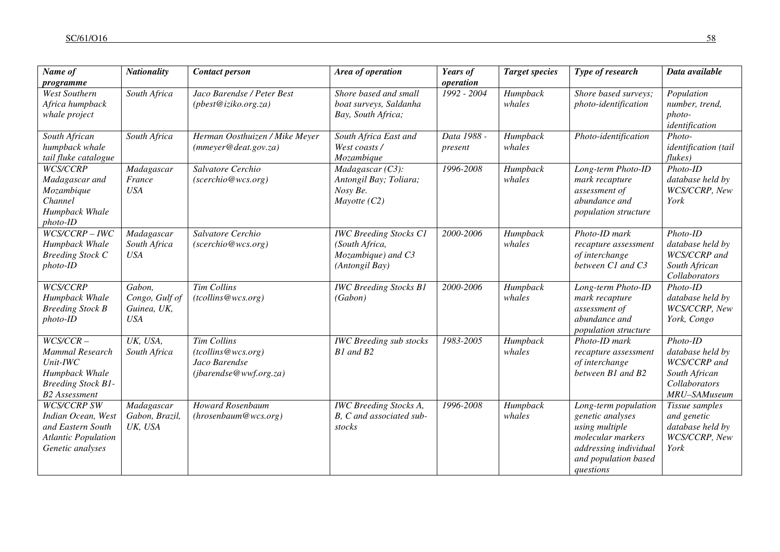| Name of<br>programme                                                                                                     | <b>Nationality</b>                                    | <b>Contact person</b>                                                               | Area of operation                                                                       | Years of<br>operation  | <b>Target species</b> | Type of research                                                                                                                              | Data available                                                                                          |
|--------------------------------------------------------------------------------------------------------------------------|-------------------------------------------------------|-------------------------------------------------------------------------------------|-----------------------------------------------------------------------------------------|------------------------|-----------------------|-----------------------------------------------------------------------------------------------------------------------------------------------|---------------------------------------------------------------------------------------------------------|
| <b>West Southern</b><br>Africa humpback<br>whale project                                                                 | South Africa                                          | Jaco Barendse / Peter Best<br>(pbest@iziko.org.za)                                  | Shore based and small<br>boat surveys, Saldanha<br>Bay, South Africa;                   | $1992 - 2004$          | Humpback<br>whales    | Shore based surveys;<br>photo-identification                                                                                                  | Population<br>number, trend,<br>photo-<br>identification                                                |
| South African<br>humpback whale<br>tail fluke catalogue                                                                  | South Africa                                          | Herman Oosthuizen / Mike Meyer<br>(mmeyer@deat.gov.za)                              | South Africa East and<br>West coasts /<br>Mozambique                                    | Data 1988 -<br>present | Humpback<br>whales    | Photo-identification                                                                                                                          | Photo-<br>identification (tail<br>flukes)                                                               |
| WCS/CCRP<br>Madagascar and<br>Mozambique<br>Channel<br>Humpback Whale<br>photo-ID                                        | Madagascar<br>France<br><b>USA</b>                    | Salvatore Cerchio<br>(scerchio@wcs.org)                                             | $Madagascar(C3)$ :<br>Antongil Bay; Toliara;<br>Nosy Be.<br>Mayotte $(C2)$              | 1996-2008              | Humpback<br>whales    | Long-term Photo-ID<br>mark recapture<br>assessment of<br>abundance and<br>population structure                                                | Photo-ID<br>database held by<br>WCS/CCRP, New<br>York                                                   |
| $WCS/CCRP - IWC$<br>Humpback Whale<br><b>Breeding Stock C</b><br>photo-ID                                                | Madagascar<br>South Africa<br><b>USA</b>              | Salvatore Cerchio<br>(scerchio@wcs.org)                                             | <b>IWC Breeding Stocks C1</b><br>(South Africa,<br>Mozambique) and C3<br>(Antongil Bay) | 2000-2006              | Humpback<br>whales    | Photo-ID mark<br>recapture assessment<br>of interchange<br>between C1 and C3                                                                  | Photo-ID<br>database held by<br>WCS/CCRP and<br>South African<br>Collaborators                          |
| WCS/CCRP<br>Humpback Whale<br><b>Breeding Stock B</b><br>photo-ID                                                        | Gabon,<br>Congo, Gulf of<br>Guinea, UK,<br><b>USA</b> | <b>Tim Collins</b><br>(tcollins@wcs.org)                                            | <b>IWC Breeding Stocks B1</b><br>(Gabon)                                                | 2000-2006              | Humpback<br>whales    | Long-term Photo-ID<br>mark recapture<br>assessment of<br>abundance and<br>population structure                                                | Photo-ID<br>database held by<br>WCS/CCRP, New<br>York, Congo                                            |
| $WCS/CCR -$<br><b>Mammal Research</b><br>Unit-IWC<br>Humpback Whale<br><b>Breeding Stock B1-</b><br><b>B2</b> Assessment | UK, USA,<br>South Africa                              | <b>Tim Collins</b><br>(tcollins@wcs.org)<br>Jaco Barendse<br>(jbarendse@wwf.org.za) | <b>IWC</b> Breeding sub stocks<br>$B1$ and $B2$                                         | 1983-2005              | Humpback<br>whales    | Photo-ID mark<br>recapture assessment<br>of interchange<br>between B1 and B2                                                                  | $Photo$ - $ID$<br>database held by<br>WCS/CCRP and<br>South African<br>Collaborators<br>$MRU$ -SAMuseum |
| <b>WCS/CCRP SW</b><br>Indian Ocean, West<br>and Eastern South<br><b>Atlantic Population</b><br>Genetic analyses          | Madagascar<br>Gabon, Brazil,<br>UK, USA               | <b>Howard Rosenbaum</b><br>(hrosenbaum@wcs.org)                                     | <b>IWC</b> Breeding Stocks A,<br>B, C and associated sub-<br>stocks                     | 1996-2008              | Humpback<br>whales    | Long-term population<br>genetic analyses<br>using multiple<br>molecular markers<br>addressing individual<br>and population based<br>questions | Tissue samples<br>and genetic<br>database held by<br>WCS/CCRP, New<br>York                              |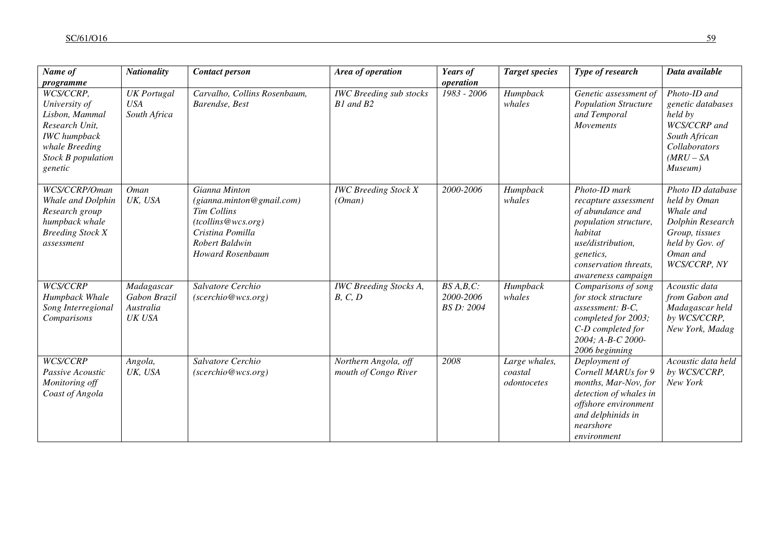| Name of                                                                                                                                  | <b>Nationality</b>                                | <b>Contact person</b>                                                                                                                                   | Area of operation                            | Years of                                  | <b>Target species</b>                   | Type of research                                                                                                                                                                      | Data available                                                                                                                      |
|------------------------------------------------------------------------------------------------------------------------------------------|---------------------------------------------------|---------------------------------------------------------------------------------------------------------------------------------------------------------|----------------------------------------------|-------------------------------------------|-----------------------------------------|---------------------------------------------------------------------------------------------------------------------------------------------------------------------------------------|-------------------------------------------------------------------------------------------------------------------------------------|
| programme                                                                                                                                |                                                   |                                                                                                                                                         |                                              | operation                                 |                                         |                                                                                                                                                                                       |                                                                                                                                     |
| WCS/CCRP,<br>University of<br>Lisbon, Mammal<br>Research Unit,<br><b>IWC</b> humpback<br>whale Breeding<br>Stock B population<br>genetic | <b>UK</b> Portugal<br><b>USA</b><br>South Africa  | Carvalho, Collins Rosenbaum,<br>Barendse, Best                                                                                                          | <b>IWC</b> Breeding sub stocks<br>B1 and B2  | 1983 - 2006                               | Humpback<br>whales                      | Genetic assessment of<br><b>Population Structure</b><br>and Temporal<br>Movements                                                                                                     | Photo-ID and<br>genetic databases<br>held by<br>WCS/CCRP and<br>South African<br>Collaborators<br>$(MRU - SA$<br>Museum)            |
| WCS/CCRP/Oman<br>Whale and Dolphin<br>Research group<br>humpback whale<br><b>Breeding Stock X</b><br>assessment                          | Oman<br>UK, USA                                   | Gianna Minton<br>(gianna.minton@gmail.com)<br><b>Tim Collins</b><br>(tcollins@wcs.org)<br>Cristina Pomilla<br>Robert Baldwin<br><b>Howard Rosenbaum</b> | <b>IWC Breeding Stock X</b><br>(Oman)        | 2000-2006                                 | Humpback<br>whales                      | Photo-ID mark<br>recapture assessment<br>of abundance and<br>population structure,<br>habitat<br>use/distribution,<br><i>genetics,</i><br>conservation threats,<br>awareness campaign | Photo ID database<br>held by Oman<br>Whale and<br>Dolphin Research<br>Group, tissues<br>held by Gov. of<br>Oman and<br>WCS/CCRP, NY |
| WCS/CCRP<br>Humpback Whale<br>Song Interregional<br>Comparisons                                                                          | Madagascar<br>Gabon Brazil<br>Australia<br>UK USA | Salvatore Cerchio<br>(scerchio@wcs.org)                                                                                                                 | <b>IWC</b> Breeding Stocks A,<br>B, C, D     | $BS A, B, C$ :<br>2000-2006<br>BS D: 2004 | Humpback<br>whales                      | Comparisons of song<br>for stock structure<br>assessment: B-C,<br>completed for 2003;<br>C-D completed for<br>2004; A-B-C 2000-<br>2006 beginning                                     | Acoustic data<br>from Gabon and<br>Madagascar held<br>by WCS/CCRP,<br>New York, Madag                                               |
| WCS/CCRP<br>Passive Acoustic<br>Monitoring off<br>Coast of Angola                                                                        | Angola,<br>UK, USA                                | Salvatore Cerchio<br>(scerchio@wcs.org)                                                                                                                 | Northern Angola, off<br>mouth of Congo River | 2008                                      | Large whales,<br>coastal<br>odontocetes | Deployment of<br>Cornell MARUs for 9<br>months, Mar-Nov, for<br>detection of whales in<br>offshore environment<br>and delphinids in<br>nearshore<br>environment                       | Acoustic data held<br>by WCS/CCRP,<br>New York                                                                                      |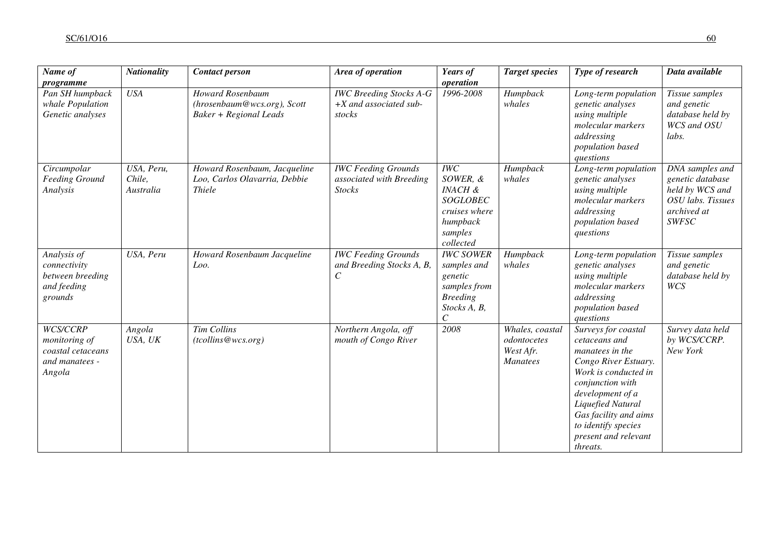| Name of                                                                    | <b>Nationality</b>                | <b>Contact person</b>                                                                   | Area of operation                                                       | Years of                                                                                                       | <b>Target species</b>                                          | Type of research                                                                                                                                                                                                                                         | Data available                                                                                             |
|----------------------------------------------------------------------------|-----------------------------------|-----------------------------------------------------------------------------------------|-------------------------------------------------------------------------|----------------------------------------------------------------------------------------------------------------|----------------------------------------------------------------|----------------------------------------------------------------------------------------------------------------------------------------------------------------------------------------------------------------------------------------------------------|------------------------------------------------------------------------------------------------------------|
| programme<br>Pan SH humpback<br>whale Population<br>Genetic analyses       | <b>USA</b>                        | <b>Howard Rosenbaum</b><br>(hrosenbaum@wcs.org), Scott<br><b>Baker + Regional Leads</b> | <b>IWC</b> Breeding Stocks A-G<br>$+X$ and associated sub-<br>stocks    | operation<br>1996-2008                                                                                         | Humpback<br>whales                                             | Long-term population<br>genetic analyses<br>using multiple<br>molecular markers<br>addressing<br>population based<br>questions                                                                                                                           | Tissue samples<br>and genetic<br>database held by<br>WCS and OSU<br>labs.                                  |
| Circumpolar<br><b>Feeding Ground</b><br>Analysis                           | USA, Peru,<br>Chile,<br>Australia | Howard Rosenbaum, Jacqueline<br>Loo, Carlos Olavarria, Debbie<br><b>Thiele</b>          | <b>IWC Feeding Grounds</b><br>associated with Breeding<br><b>Stocks</b> | IWC<br>SOWER, &<br><b>INACH &amp;</b><br><b>SOGLOBEC</b><br>cruises where<br>humpback<br>samples<br>collected  | Humpback<br>whales                                             | Long-term population<br>genetic analyses<br>using multiple<br>molecular markers<br>addressing<br>population based<br>questions                                                                                                                           | DNA samples and<br>genetic database<br>held by WCS and<br>OSU labs. Tissues<br>archived at<br><b>SWFSC</b> |
| Analysis of<br>connectivity<br>between breeding<br>and feeding<br>grounds  | USA, Peru                         | Howard Rosenbaum Jacqueline<br>Loo.                                                     | <b>IWC Feeding Grounds</b><br>and Breeding Stocks A, B,<br>$\,c\,$      | <b>IWC SOWER</b><br>samples and<br>genetic<br>samples from<br><b>Breeding</b><br>Stocks A, B,<br>$\mathcal{C}$ | Humpback<br>whales                                             | Long-term population<br>genetic analyses<br>using multiple<br>molecular markers<br>addressing<br>population based<br>questions                                                                                                                           | Tissue samples<br>and genetic<br>database held by<br>WCS                                                   |
| WCS/CCRP<br>monitoring of<br>coastal cetaceans<br>and manatees -<br>Angola | Angola<br>USA, UK                 | <b>Tim Collins</b><br>(tcollins@wcs.org)                                                | Northern Angola, off<br>mouth of Congo River                            | 2008                                                                                                           | Whales, coastal<br>odontocetes<br>West Afr.<br><b>Manatees</b> | Surveys for coastal<br>cetaceans and<br>manatees in the<br>Congo River Estuary.<br>Work is conducted in<br>conjunction with<br>development of a<br>Liquefied Natural<br>Gas facility and aims<br>to identify species<br>present and relevant<br>threats. | Survey data held<br>by WCS/CCRP.<br>New York                                                               |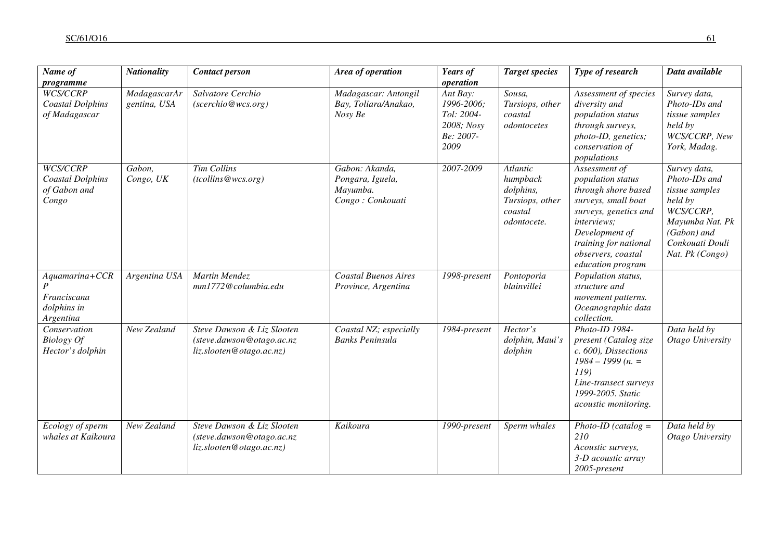| Name of                                                                  | <b>Nationality</b>           | <b>Contact person</b>                                                               | Area of operation                                                  | Years of<br>operation                                                   | <b>Target species</b>                                                          | Type of research                                                                                                                                                                                                      | Data available                                                                                                                                  |
|--------------------------------------------------------------------------|------------------------------|-------------------------------------------------------------------------------------|--------------------------------------------------------------------|-------------------------------------------------------------------------|--------------------------------------------------------------------------------|-----------------------------------------------------------------------------------------------------------------------------------------------------------------------------------------------------------------------|-------------------------------------------------------------------------------------------------------------------------------------------------|
| programme<br><b>WCS/CCRP</b><br><b>Coastal Dolphins</b><br>of Madagascar | MadagascarAr<br>gentina, USA | Salvatore Cerchio<br>(scerchio@wcs.org)                                             | Madagascar: Antongil<br>Bay, Toliara/Anakao,<br>Nosy Be            | Ant Bay:<br>1996-2006;<br>Tol: 2004-<br>2008; Nosy<br>Be: 2007-<br>2009 | Sousa,<br>Tursiops, other<br>coastal<br>odontocetes                            | Assessment of species<br>diversity and<br>population status<br>through surveys,<br>photo-ID, genetics;<br>conservation of<br>populations                                                                              | Survey data,<br>Photo-IDs and<br>tissue samples<br>held by<br>WCS/CCRP, New<br>York, Madag.                                                     |
| WCS/CCRP<br><b>Coastal Dolphins</b><br>of Gabon and<br>Congo             | Gabon,<br>Congo, UK          | Tim Collins<br>(tcollins@wcs.org)                                                   | Gabon: Akanda,<br>Pongara, Iguela,<br>Mayumba.<br>Congo: Conkouati | 2007-2009                                                               | Atlantic<br>humpback<br>dolphins,<br>Tursiops, other<br>coastal<br>odontocete. | Assessment of<br>population status<br>through shore based<br>surveys, small boat<br>surveys, genetics and<br><i>interviews;</i><br>Development of<br>training for national<br>observers, coastal<br>education program | Survey data,<br>Photo-IDs and<br>tissue samples<br>held by<br>WCS/CCRP,<br>Mayumba Nat. Pk<br>(Gabon) and<br>Conkouati Douli<br>Nat. Pk (Congo) |
| Aquamarina+CCR<br>Franciscana<br>dolphins in<br>Argentina                | Argentina USA                | Martin Mendez<br>mm1772@columbia.edu                                                | <b>Coastal Buenos Aires</b><br>Province, Argentina                 | 1998-present                                                            | Pontoporia<br>blainvillei                                                      | Population status,<br>structure and<br>movement patterns.<br>Oceanographic data<br>collection.                                                                                                                        |                                                                                                                                                 |
| Conservation<br><b>Biology Of</b><br>Hector's dolphin                    | New Zealand                  | Steve Dawson & Liz Slooten<br>(steve.dawson@otago.ac.nz<br>liz.slooten@otago.ac.nz) | Coastal NZ; especially<br><b>Banks Peninsula</b>                   | 1984-present                                                            | Hector's<br>dolphin, Maui's<br>dolphin                                         | Photo-ID 1984-<br>present (Catalog size<br>c. 600), Dissections<br>$1984 - 1999(n. =$<br>119)<br>Line-transect surveys<br>1999-2005. Static<br>acoustic monitoring.                                                   | Data held by<br>Otago University                                                                                                                |
| Ecology of sperm<br>whales at Kaikoura                                   | New Zealand                  | Steve Dawson & Liz Slooten<br>(steve.dawson@otago.ac.nz<br>liz.slooten@otago.ac.nz) | Kaikoura                                                           | 1990-present                                                            | Sperm whales                                                                   | $Photo$ -ID (catalog =<br>210<br>Acoustic surveys,<br>3-D acoustic array<br>$2005$ -present                                                                                                                           | Data held by<br>Otago University                                                                                                                |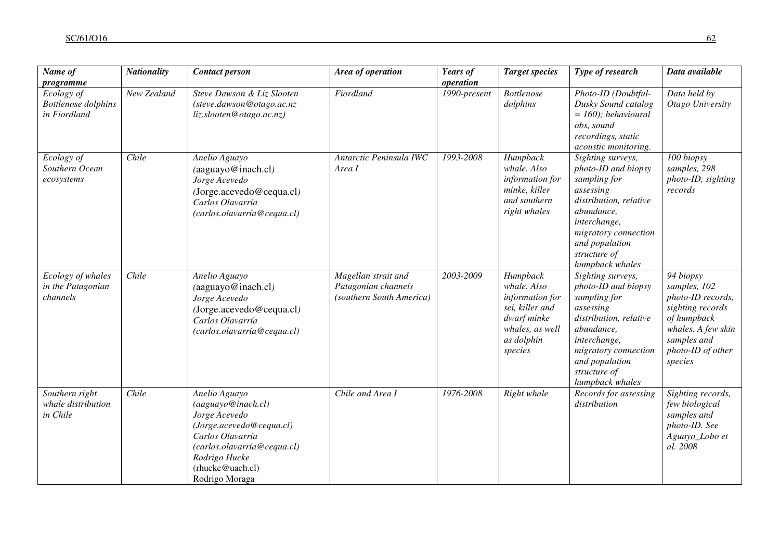| Name of                                                               | <b>Nationality</b> | <b>Contact person</b>                                                                                                                                                                      | Area of operation                                                      | Years of                  | <b>Target species</b>                                                                                                    | Type of research                                                                                                                                                                                           | Data available                                                                                                                                         |
|-----------------------------------------------------------------------|--------------------|--------------------------------------------------------------------------------------------------------------------------------------------------------------------------------------------|------------------------------------------------------------------------|---------------------------|--------------------------------------------------------------------------------------------------------------------------|------------------------------------------------------------------------------------------------------------------------------------------------------------------------------------------------------------|--------------------------------------------------------------------------------------------------------------------------------------------------------|
| programme<br>Ecology of<br><b>Bottlenose</b> dolphins<br>in Fiordland | New Zealand        | Steve Dawson & Liz Slooten<br>(steve.dawson@otago.ac.nz<br>liz.slooten@otago.ac.nz)                                                                                                        | Fiordland                                                              | operation<br>1990-present | <b>Bottlenose</b><br>dolphins                                                                                            | Photo-ID (Doubtful-<br>Dusky Sound catalog<br>$= 160$ ); behavioural<br>obs, sound<br>recordings, static<br>acoustic monitoring.                                                                           | Data held by<br>Otago University                                                                                                                       |
| Ecology of<br>Southern Ocean<br>ecosystems                            | Chile              | Anelio Aguayo<br>(aaguayo@inach.cl)<br>Jorge Acevedo<br>(Jorge.acevedo@cequa.cl)<br>Carlos Olavarría<br>(carlos.olavarría@cequa.cl)                                                        | Antarctic Peninsula IWC<br>Area I                                      | 1993-2008                 | Humpback<br>whale. Also<br>information for<br>minke, killer<br>and southern<br>right whales                              | Sighting surveys,<br>photo-ID and biopsy<br>sampling for<br>assessing<br>distribution, relative<br>abundance,<br>interchange,<br>migratory connection<br>and population<br>structure of<br>humpback whales | 100 biopsy<br>samples, 298<br>photo-ID, sighting<br>records                                                                                            |
| Ecology of whales<br>in the Patagonian<br>channels                    | Chile              | Anelio Aguayo<br>(aaguayo@inach.cl)<br>Jorge Acevedo<br>(Jorge.acevedo@cequa.cl)<br>Carlos Olavarría<br>(carlos.olavarría@cequa.cl)                                                        | Magellan strait and<br>Patagonian channels<br>(southern South America) | 2003-2009                 | Humpback<br>whale. Also<br>information for<br>sei, killer and<br>dwarf minke<br>whales, as well<br>as dolphin<br>species | Sighting surveys,<br>photo-ID and biopsy<br>sampling for<br>assessing<br>distribution, relative<br>abundance,<br>interchange,<br>migratory connection<br>and population<br>structure of<br>humpback whales | 94 biopsy<br>samples, 102<br>photo-ID records,<br>sighting records<br>of humpback<br>whales. A few skin<br>samples and<br>photo-ID of other<br>species |
| Southern right<br>whale distribution<br>in Chile                      | Chile              | Anelio Aguayo<br>(aaguayo@inach.cl)<br>Jorge Acevedo<br>(Jorge.acevedo@cequa.cl)<br>Carlos Olavarría<br>(carlos.olavarría@cequa.cl)<br>Rodrigo Hucke<br>(rhucke@uach.cl)<br>Rodrigo Moraga | Chile and Area I                                                       | 1976-2008                 | Right whale                                                                                                              | Records for assessing<br>distribution                                                                                                                                                                      | Sighting records,<br>few biological<br>samples and<br>photo-ID. See<br>Aguayo_Lobo et<br>al. 2008                                                      |